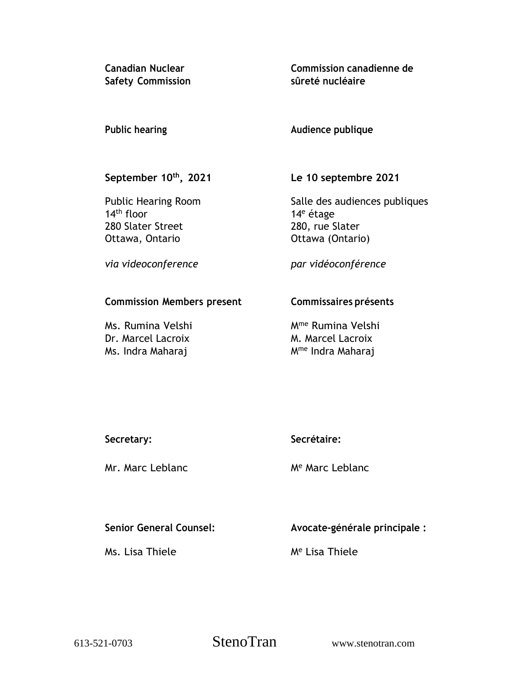**Canadian Nuclear Safety Commission** **Commission canadienne de sûreté nucléaire**

### **Public hearing**

**Audience publique**

# **September 10th , 2021**

Public Hearing Room 14th floor 280 Slater Street Ottawa, Ontario

**Le 10 septembre 2021**

Salle des audiences publiques 14<sup>e</sup> étage 280, rue Slater Ottawa (Ontario)

*via videoconference*

*par vidéoconférence*

### **Commission Members present**

Ms. Rumina Velshi Dr. Marcel Lacroix Ms. Indra Maharaj

# **Commissaires présents**

Mme Rumina Velshi M. Marcel Lacroix Mme Indra Maharaj

| Secretary: | Secrétaire: |
|------------|-------------|
|            |             |

Mr. Marc Leblanc

M<sup>e</sup> Marc Leblanc

# **Senior General Counsel:**

Ms. Lisa Thiele

**Avocate-générale principale :**

M<sup>e</sup> Lisa Thiele

613-521-0703 StenoTran www.stenotran.com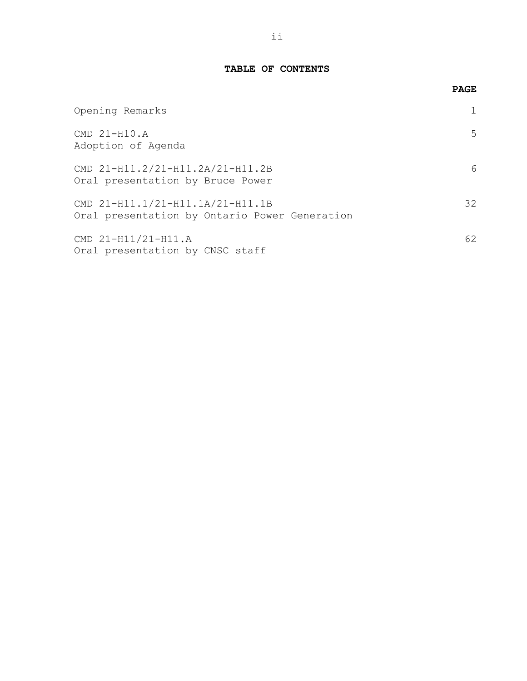### **TABLE OF CONTENTS**

|                                                                                   | <b>PAGE</b>  |
|-----------------------------------------------------------------------------------|--------------|
| Opening Remarks                                                                   | $\mathbf{1}$ |
| CMD 21-H10.A<br>Adoption of Aqenda                                                | 5            |
| CMD 21-H11.2/21-H11.2A/21-H11.2B<br>Oral presentation by Bruce Power              | 6            |
| CMD 21-H11.1/21-H11.1A/21-H11.1B<br>Oral presentation by Ontario Power Generation | 32           |
| CMD 21-H11/21-H11.A<br>Oral presentation by CNSC staff                            | 62           |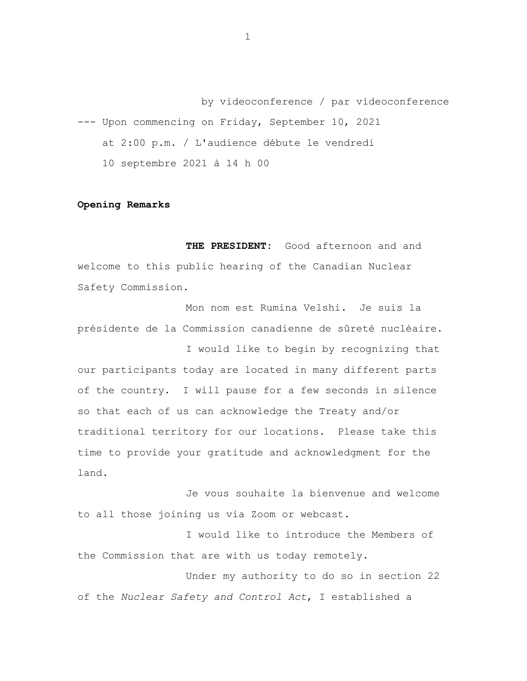by videoconference / par videoconference --- Upon commencing on Friday, September 10, 2021 at 2:00 p.m. / L'audience débute le vendredi 10 septembre 2021 à 14 h 00

#### **Opening Remarks**

**THE PRESIDENT:** Good afternoon and and welcome to this public hearing of the Canadian Nuclear Safety Commission.

Mon nom est Rumina Velshi. Je suis la présidente de la Commission canadienne de sûreté nucléaire.

I would like to begin by recognizing that our participants today are located in many different parts of the country. I will pause for a few seconds in silence so that each of us can acknowledge the Treaty and/or traditional territory for our locations. Please take this time to provide your gratitude and acknowledgment for the land.

Je vous souhaite la bienvenue and welcome to all those joining us via Zoom or webcast.

I would like to introduce the Members of the Commission that are with us today remotely.

Under my authority to do so in section 22 of the *Nuclear Safety and Control Act*, I established a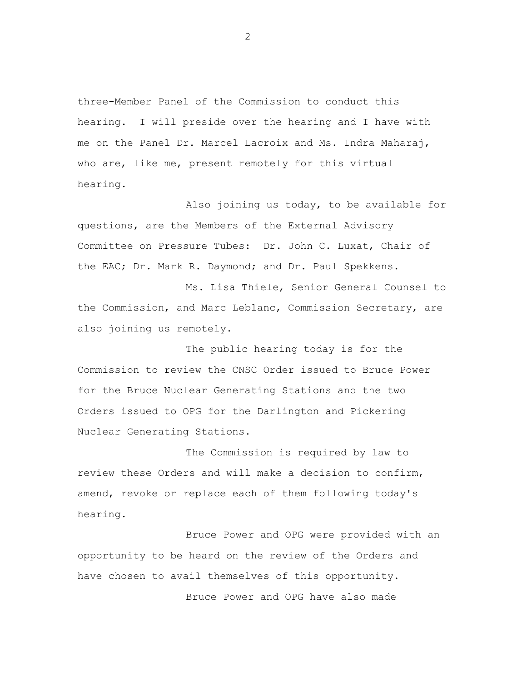three-Member Panel of the Commission to conduct this hearing. I will preside over the hearing and I have with me on the Panel Dr. Marcel Lacroix and Ms. Indra Maharaj, who are, like me, present remotely for this virtual hearing.

Also joining us today, to be available for questions, are the Members of the External Advisory Committee on Pressure Tubes: Dr. John C. Luxat, Chair of the EAC; Dr. Mark R. Daymond; and Dr. Paul Spekkens.

Ms. Lisa Thiele, Senior General Counsel to the Commission, and Marc Leblanc, Commission Secretary, are also joining us remotely.

The public hearing today is for the Commission to review the CNSC Order issued to Bruce Power for the Bruce Nuclear Generating Stations and the two Orders issued to OPG for the Darlington and Pickering Nuclear Generating Stations.

The Commission is required by law to review these Orders and will make a decision to confirm, amend, revoke or replace each of them following today's hearing.

Bruce Power and OPG were provided with an opportunity to be heard on the review of the Orders and have chosen to avail themselves of this opportunity.

Bruce Power and OPG have also made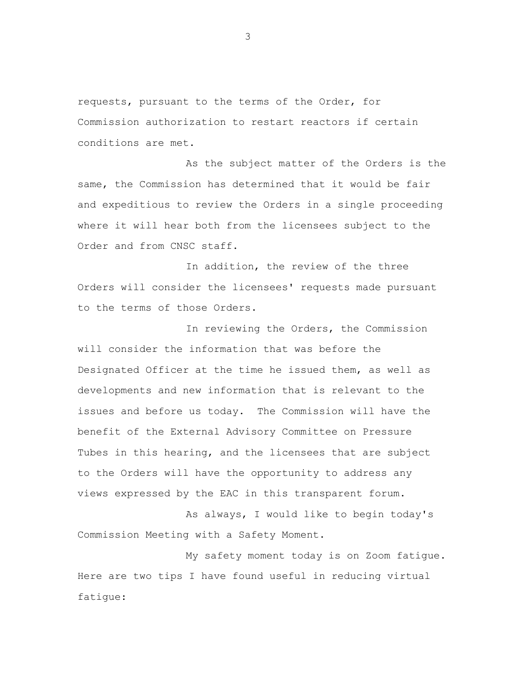requests, pursuant to the terms of the Order, for Commission authorization to restart reactors if certain conditions are met.

As the subject matter of the Orders is the same, the Commission has determined that it would be fair and expeditious to review the Orders in a single proceeding where it will hear both from the licensees subject to the Order and from CNSC staff.

In addition, the review of the three Orders will consider the licensees' requests made pursuant to the terms of those Orders.

In reviewing the Orders, the Commission will consider the information that was before the Designated Officer at the time he issued them, as well as developments and new information that is relevant to the issues and before us today. The Commission will have the benefit of the External Advisory Committee on Pressure Tubes in this hearing, and the licensees that are subject to the Orders will have the opportunity to address any views expressed by the EAC in this transparent forum.

As always, I would like to begin today's Commission Meeting with a Safety Moment.

My safety moment today is on Zoom fatigue. Here are two tips I have found useful in reducing virtual fatigue: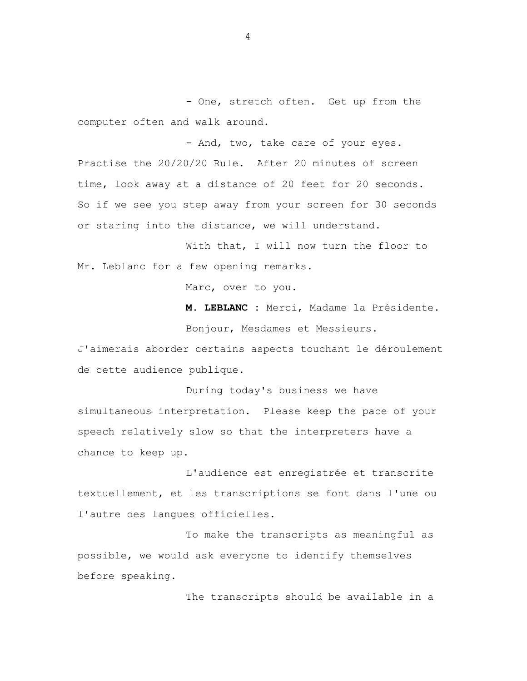- One, stretch often. Get up from the computer often and walk around.

- And, two, take care of your eyes. Practise the 20/20/20 Rule. After 20 minutes of screen time, look away at a distance of 20 feet for 20 seconds. So if we see you step away from your screen for 30 seconds or staring into the distance, we will understand.

With that, I will now turn the floor to Mr. Leblanc for a few opening remarks.

Marc, over to you.

**M. LEBLANC :** Merci, Madame la Présidente.

Bonjour, Mesdames et Messieurs.

J'aimerais aborder certains aspects touchant le déroulement de cette audience publique.

During today's business we have simultaneous interpretation. Please keep the pace of your speech relatively slow so that the interpreters have a chance to keep up.

L'audience est enregistrée et transcrite textuellement, et les transcriptions se font dans l'une ou l'autre des langues officielles.

To make the transcripts as meaningful as possible, we would ask everyone to identify themselves before speaking.

The transcripts should be available in a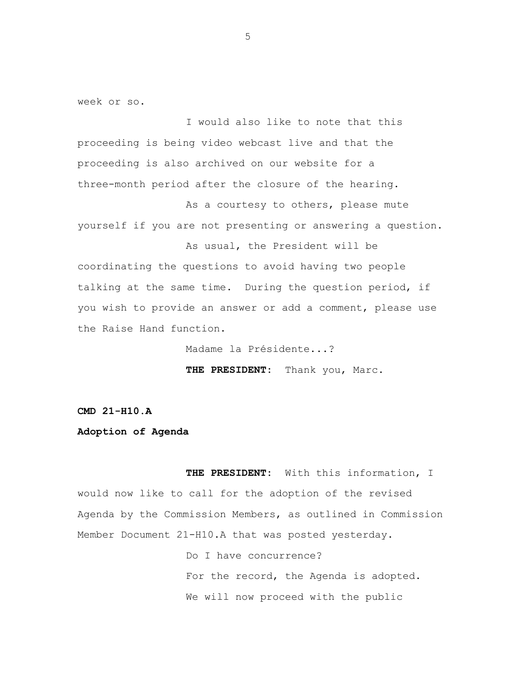week or so.

I would also like to note that this proceeding is being video webcast live and that the proceeding is also archived on our website for a three-month period after the closure of the hearing.

As a courtesy to others, please mute yourself if you are not presenting or answering a question.

As usual, the President will be coordinating the questions to avoid having two people talking at the same time. During the question period, if you wish to provide an answer or add a comment, please use the Raise Hand function.

Madame la Présidente...?

**THE PRESIDENT:** Thank you, Marc.

**CMD 21-H10.A**

#### **Adoption of Agenda**

**THE PRESIDENT:** With this information, I would now like to call for the adoption of the revised Agenda by the Commission Members, as outlined in Commission Member Document 21-H10.A that was posted yesterday.

> Do I have concurrence? For the record, the Agenda is adopted. We will now proceed with the public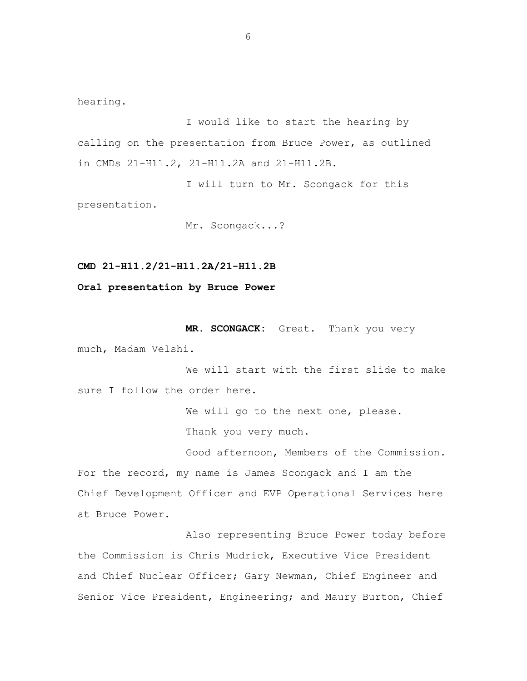hearing.

I would like to start the hearing by calling on the presentation from Bruce Power, as outlined in CMDs 21-H11.2, 21-H11.2A and 21-H11.2B.

I will turn to Mr. Scongack for this presentation.

Mr. Scongack...?

**CMD 21-H11.2/21-H11.2A/21-H11.2B**

**Oral presentation by Bruce Power**

**MR. SCONGACK:** Great. Thank you very much, Madam Velshi.

We will start with the first slide to make sure I follow the order here.

> We will go to the next one, please. Thank you very much.

Good afternoon, Members of the Commission. For the record, my name is James Scongack and I am the Chief Development Officer and EVP Operational Services here at Bruce Power.

Also representing Bruce Power today before the Commission is Chris Mudrick, Executive Vice President and Chief Nuclear Officer; Gary Newman, Chief Engineer and Senior Vice President, Engineering; and Maury Burton, Chief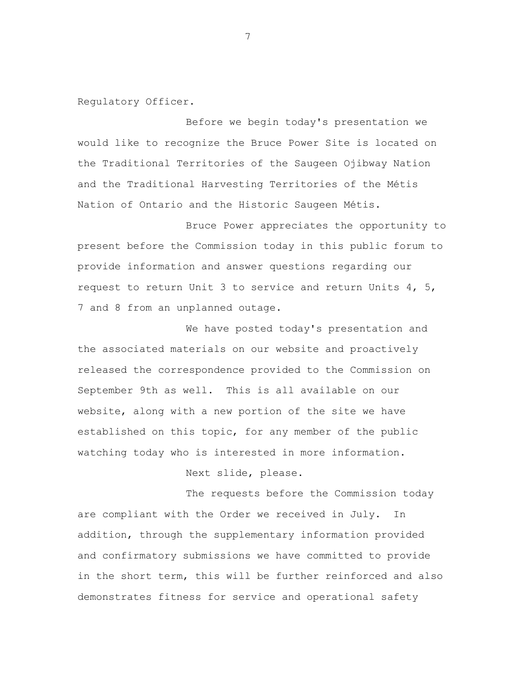Regulatory Officer.

Before we begin today's presentation we would like to recognize the Bruce Power Site is located on the Traditional Territories of the Saugeen Ojibway Nation and the Traditional Harvesting Territories of the Métis Nation of Ontario and the Historic Saugeen Métis.

Bruce Power appreciates the opportunity to present before the Commission today in this public forum to provide information and answer questions regarding our request to return Unit 3 to service and return Units 4, 5, 7 and 8 from an unplanned outage.

We have posted today's presentation and the associated materials on our website and proactively released the correspondence provided to the Commission on September 9th as well. This is all available on our website, along with a new portion of the site we have established on this topic, for any member of the public watching today who is interested in more information.

Next slide, please.

The requests before the Commission today are compliant with the Order we received in July. In addition, through the supplementary information provided and confirmatory submissions we have committed to provide in the short term, this will be further reinforced and also demonstrates fitness for service and operational safety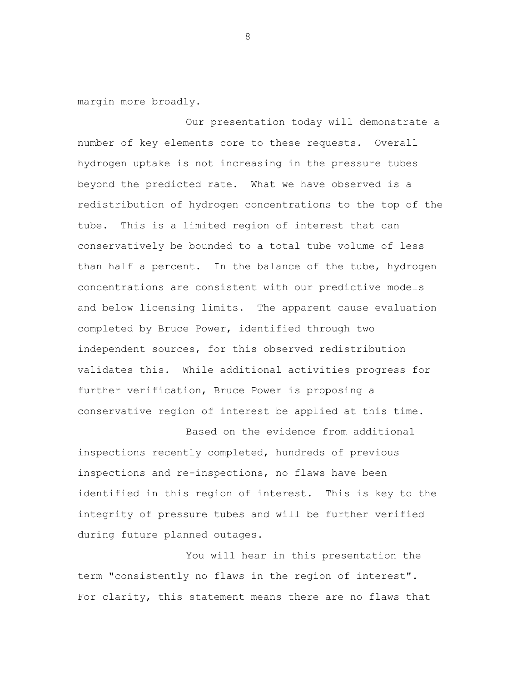margin more broadly.

Our presentation today will demonstrate a number of key elements core to these requests. Overall hydrogen uptake is not increasing in the pressure tubes beyond the predicted rate. What we have observed is a redistribution of hydrogen concentrations to the top of the tube. This is a limited region of interest that can conservatively be bounded to a total tube volume of less than half a percent. In the balance of the tube, hydrogen concentrations are consistent with our predictive models and below licensing limits. The apparent cause evaluation completed by Bruce Power, identified through two independent sources, for this observed redistribution validates this. While additional activities progress for further verification, Bruce Power is proposing a conservative region of interest be applied at this time.

Based on the evidence from additional inspections recently completed, hundreds of previous inspections and re-inspections, no flaws have been identified in this region of interest. This is key to the integrity of pressure tubes and will be further verified during future planned outages.

You will hear in this presentation the term "consistently no flaws in the region of interest". For clarity, this statement means there are no flaws that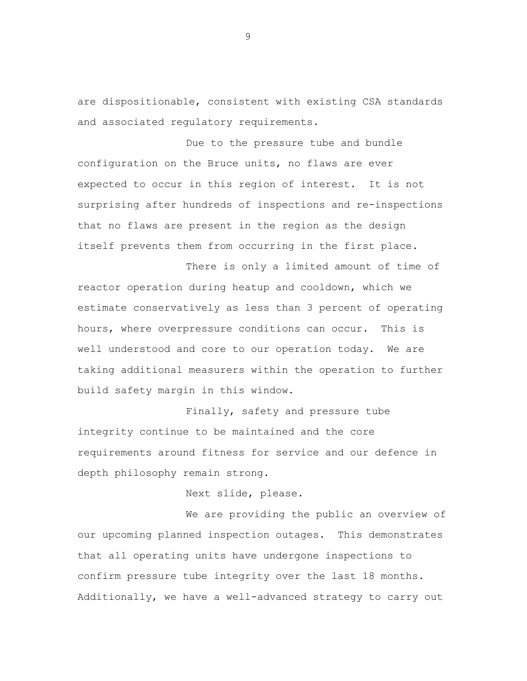are dispositionable, consistent with existing CSA standards and associated regulatory requirements.

Due to the pressure tube and bundle configuration on the Bruce units, no flaws are ever expected to occur in this region of interest. It is not surprising after hundreds of inspections and re-inspections that no flaws are present in the region as the design itself prevents them from occurring in the first place.

There is only a limited amount of time of reactor operation during heatup and cooldown, which we estimate conservatively as less than 3 percent of operating hours, where overpressure conditions can occur. This is well understood and core to our operation today. We are taking additional measurers within the operation to further build safety margin in this window.

Finally, safety and pressure tube integrity continue to be maintained and the core requirements around fitness for service and our defence in depth philosophy remain strong.

Next slide, please.

We are providing the public an overview of our upcoming planned inspection outages. This demonstrates that all operating units have undergone inspections to confirm pressure tube integrity over the last 18 months. Additionally, we have a well-advanced strategy to carry out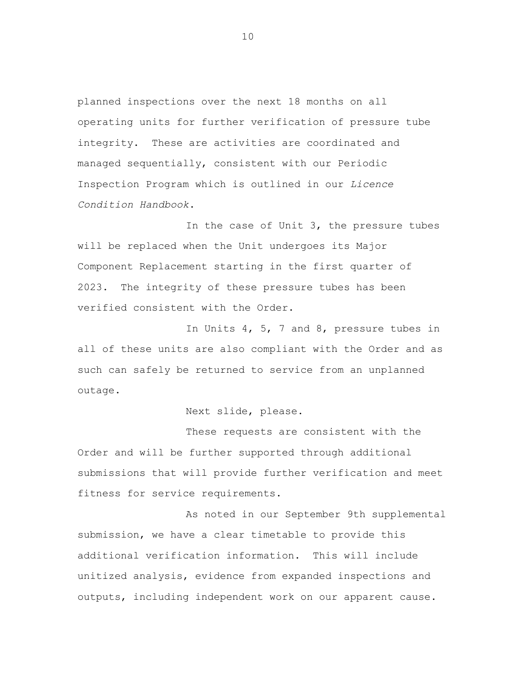planned inspections over the next 18 months on all operating units for further verification of pressure tube integrity. These are activities are coordinated and managed sequentially, consistent with our Periodic Inspection Program which is outlined in our *Licence Condition Handbook*.

In the case of Unit 3, the pressure tubes will be replaced when the Unit undergoes its Major Component Replacement starting in the first quarter of 2023. The integrity of these pressure tubes has been verified consistent with the Order.

In Units 4, 5, 7 and 8, pressure tubes in all of these units are also compliant with the Order and as such can safely be returned to service from an unplanned outage.

Next slide, please.

These requests are consistent with the Order and will be further supported through additional submissions that will provide further verification and meet fitness for service requirements.

As noted in our September 9th supplemental submission, we have a clear timetable to provide this additional verification information. This will include unitized analysis, evidence from expanded inspections and outputs, including independent work on our apparent cause.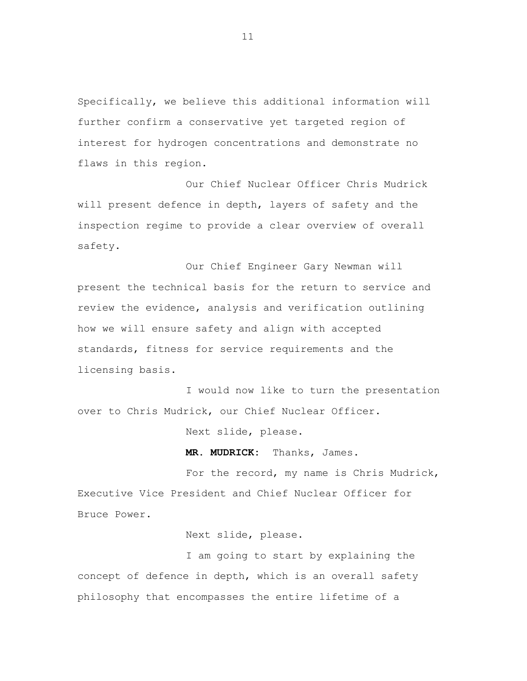Specifically, we believe this additional information will further confirm a conservative yet targeted region of interest for hydrogen concentrations and demonstrate no flaws in this region.

Our Chief Nuclear Officer Chris Mudrick will present defence in depth, layers of safety and the inspection regime to provide a clear overview of overall safety.

Our Chief Engineer Gary Newman will present the technical basis for the return to service and review the evidence, analysis and verification outlining how we will ensure safety and align with accepted standards, fitness for service requirements and the licensing basis.

I would now like to turn the presentation over to Chris Mudrick, our Chief Nuclear Officer.

Next slide, please.

**MR. MUDRICK:** Thanks, James.

For the record, my name is Chris Mudrick, Executive Vice President and Chief Nuclear Officer for Bruce Power.

Next slide, please.

I am going to start by explaining the concept of defence in depth, which is an overall safety philosophy that encompasses the entire lifetime of a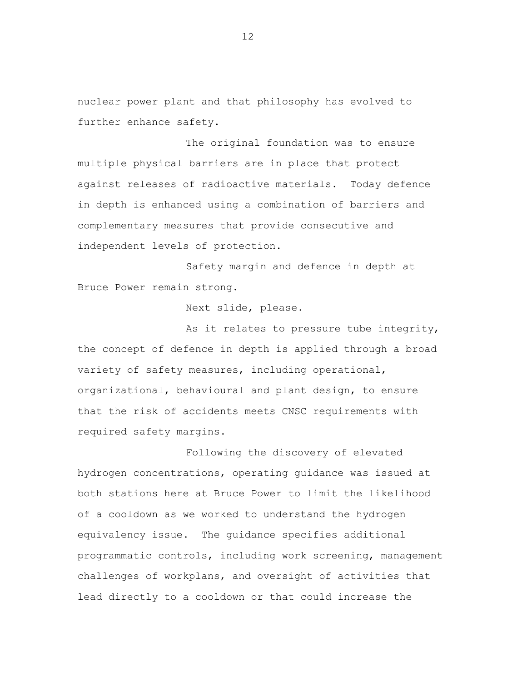nuclear power plant and that philosophy has evolved to further enhance safety.

The original foundation was to ensure multiple physical barriers are in place that protect against releases of radioactive materials. Today defence in depth is enhanced using a combination of barriers and complementary measures that provide consecutive and independent levels of protection.

Safety margin and defence in depth at Bruce Power remain strong.

Next slide, please.

As it relates to pressure tube integrity, the concept of defence in depth is applied through a broad variety of safety measures, including operational, organizational, behavioural and plant design, to ensure that the risk of accidents meets CNSC requirements with required safety margins.

Following the discovery of elevated hydrogen concentrations, operating guidance was issued at both stations here at Bruce Power to limit the likelihood of a cooldown as we worked to understand the hydrogen equivalency issue. The guidance specifies additional programmatic controls, including work screening, management challenges of workplans, and oversight of activities that lead directly to a cooldown or that could increase the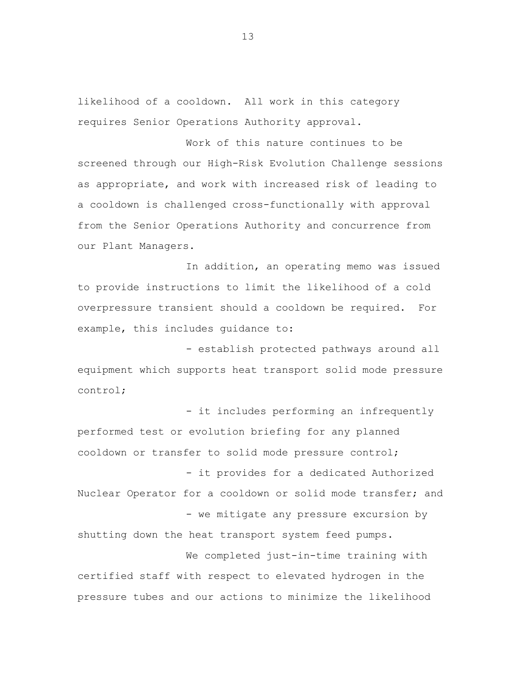likelihood of a cooldown. All work in this category requires Senior Operations Authority approval.

Work of this nature continues to be screened through our High-Risk Evolution Challenge sessions as appropriate, and work with increased risk of leading to a cooldown is challenged cross-functionally with approval from the Senior Operations Authority and concurrence from our Plant Managers.

In addition, an operating memo was issued to provide instructions to limit the likelihood of a cold overpressure transient should a cooldown be required. For example, this includes guidance to:

- establish protected pathways around all equipment which supports heat transport solid mode pressure control;

- it includes performing an infrequently performed test or evolution briefing for any planned cooldown or transfer to solid mode pressure control; - it provides for a dedicated Authorized Nuclear Operator for a cooldown or solid mode transfer; and - we mitigate any pressure excursion by shutting down the heat transport system feed pumps.

We completed just-in-time training with certified staff with respect to elevated hydrogen in the pressure tubes and our actions to minimize the likelihood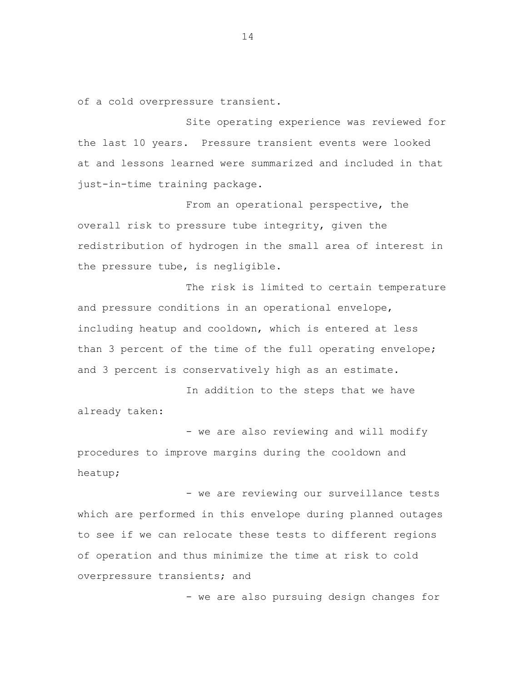of a cold overpressure transient.

Site operating experience was reviewed for the last 10 years. Pressure transient events were looked at and lessons learned were summarized and included in that just-in-time training package.

From an operational perspective, the overall risk to pressure tube integrity, given the redistribution of hydrogen in the small area of interest in the pressure tube, is negligible.

The risk is limited to certain temperature and pressure conditions in an operational envelope, including heatup and cooldown, which is entered at less than 3 percent of the time of the full operating envelope; and 3 percent is conservatively high as an estimate.

In addition to the steps that we have already taken:

- we are also reviewing and will modify procedures to improve margins during the cooldown and heatup;

- we are reviewing our surveillance tests which are performed in this envelope during planned outages to see if we can relocate these tests to different regions of operation and thus minimize the time at risk to cold overpressure transients; and

- we are also pursuing design changes for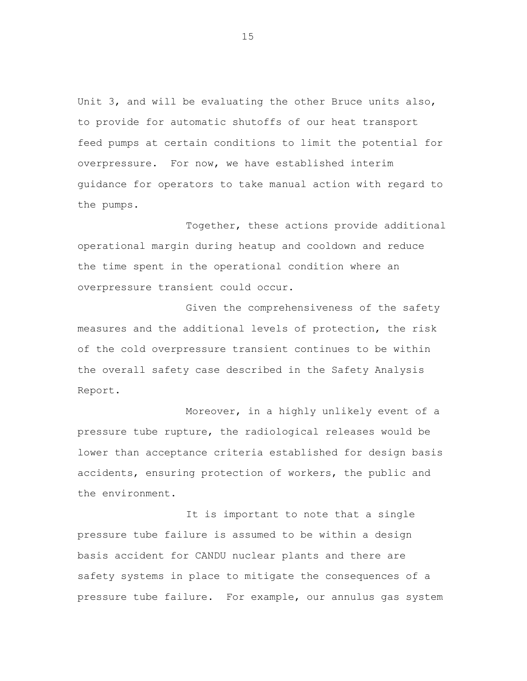Unit 3, and will be evaluating the other Bruce units also, to provide for automatic shutoffs of our heat transport feed pumps at certain conditions to limit the potential for overpressure. For now, we have established interim guidance for operators to take manual action with regard to the pumps.

Together, these actions provide additional operational margin during heatup and cooldown and reduce the time spent in the operational condition where an overpressure transient could occur.

Given the comprehensiveness of the safety measures and the additional levels of protection, the risk of the cold overpressure transient continues to be within the overall safety case described in the Safety Analysis Report.

Moreover, in a highly unlikely event of a pressure tube rupture, the radiological releases would be lower than acceptance criteria established for design basis accidents, ensuring protection of workers, the public and the environment.

It is important to note that a single pressure tube failure is assumed to be within a design basis accident for CANDU nuclear plants and there are safety systems in place to mitigate the consequences of a pressure tube failure. For example, our annulus gas system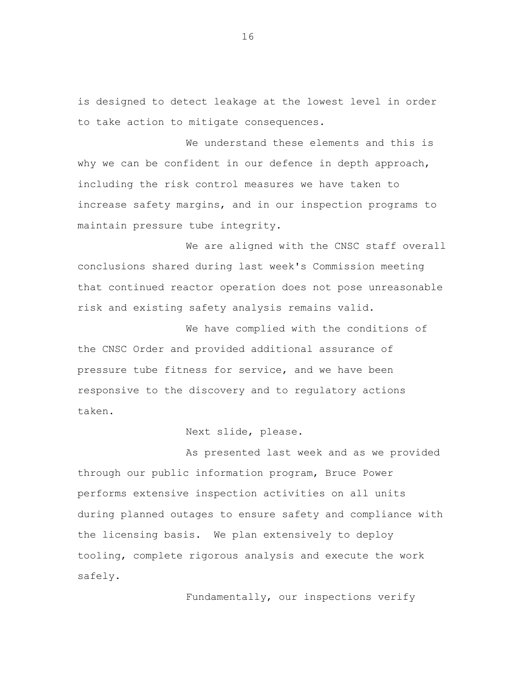is designed to detect leakage at the lowest level in order to take action to mitigate consequences.

We understand these elements and this is why we can be confident in our defence in depth approach, including the risk control measures we have taken to increase safety margins, and in our inspection programs to maintain pressure tube integrity.

We are aligned with the CNSC staff overall conclusions shared during last week's Commission meeting that continued reactor operation does not pose unreasonable risk and existing safety analysis remains valid.

We have complied with the conditions of the CNSC Order and provided additional assurance of pressure tube fitness for service, and we have been responsive to the discovery and to regulatory actions taken.

### Next slide, please.

As presented last week and as we provided through our public information program, Bruce Power performs extensive inspection activities on all units during planned outages to ensure safety and compliance with the licensing basis. We plan extensively to deploy tooling, complete rigorous analysis and execute the work safely.

Fundamentally, our inspections verify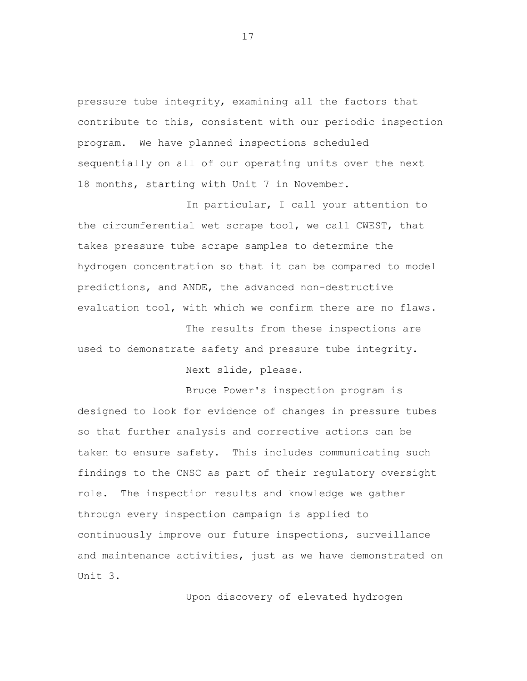pressure tube integrity, examining all the factors that contribute to this, consistent with our periodic inspection program. We have planned inspections scheduled sequentially on all of our operating units over the next 18 months, starting with Unit 7 in November.

In particular, I call your attention to the circumferential wet scrape tool, we call CWEST, that takes pressure tube scrape samples to determine the hydrogen concentration so that it can be compared to model predictions, and ANDE, the advanced non-destructive evaluation tool, with which we confirm there are no flaws.

The results from these inspections are used to demonstrate safety and pressure tube integrity.

Next slide, please.

Bruce Power's inspection program is designed to look for evidence of changes in pressure tubes so that further analysis and corrective actions can be taken to ensure safety. This includes communicating such findings to the CNSC as part of their regulatory oversight role. The inspection results and knowledge we gather through every inspection campaign is applied to continuously improve our future inspections, surveillance and maintenance activities, just as we have demonstrated on Unit 3.

Upon discovery of elevated hydrogen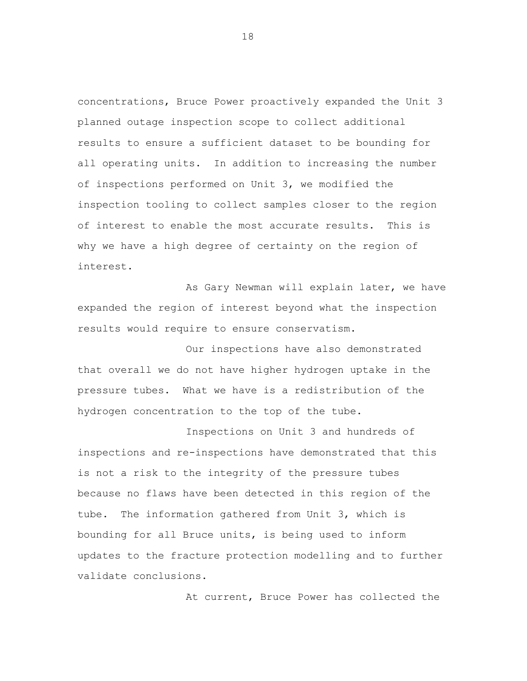concentrations, Bruce Power proactively expanded the Unit 3 planned outage inspection scope to collect additional results to ensure a sufficient dataset to be bounding for all operating units. In addition to increasing the number of inspections performed on Unit 3, we modified the inspection tooling to collect samples closer to the region of interest to enable the most accurate results. This is why we have a high degree of certainty on the region of interest.

As Gary Newman will explain later, we have expanded the region of interest beyond what the inspection results would require to ensure conservatism.

Our inspections have also demonstrated that overall we do not have higher hydrogen uptake in the pressure tubes. What we have is a redistribution of the hydrogen concentration to the top of the tube.

Inspections on Unit 3 and hundreds of inspections and re-inspections have demonstrated that this is not a risk to the integrity of the pressure tubes because no flaws have been detected in this region of the tube. The information gathered from Unit 3, which is bounding for all Bruce units, is being used to inform updates to the fracture protection modelling and to further validate conclusions.

At current, Bruce Power has collected the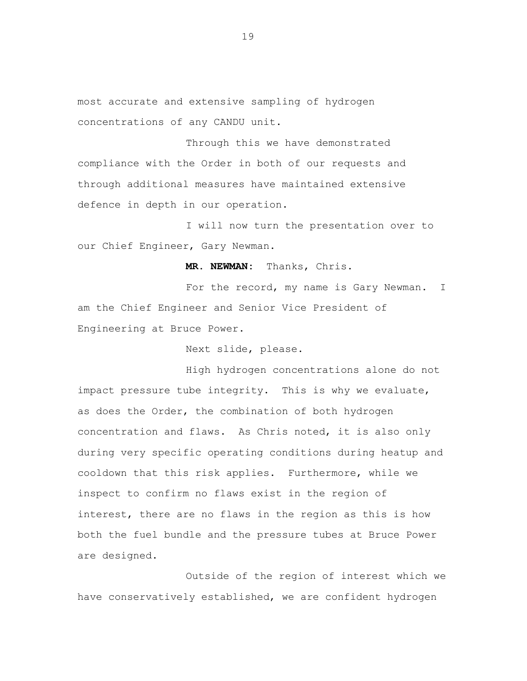most accurate and extensive sampling of hydrogen concentrations of any CANDU unit.

Through this we have demonstrated compliance with the Order in both of our requests and through additional measures have maintained extensive defence in depth in our operation.

I will now turn the presentation over to our Chief Engineer, Gary Newman.

**MR. NEWMAN:** Thanks, Chris.

For the record, my name is Gary Newman. I am the Chief Engineer and Senior Vice President of Engineering at Bruce Power.

Next slide, please.

High hydrogen concentrations alone do not impact pressure tube integrity. This is why we evaluate, as does the Order, the combination of both hydrogen concentration and flaws. As Chris noted, it is also only during very specific operating conditions during heatup and cooldown that this risk applies. Furthermore, while we inspect to confirm no flaws exist in the region of interest, there are no flaws in the region as this is how both the fuel bundle and the pressure tubes at Bruce Power are designed.

Outside of the region of interest which we have conservatively established, we are confident hydrogen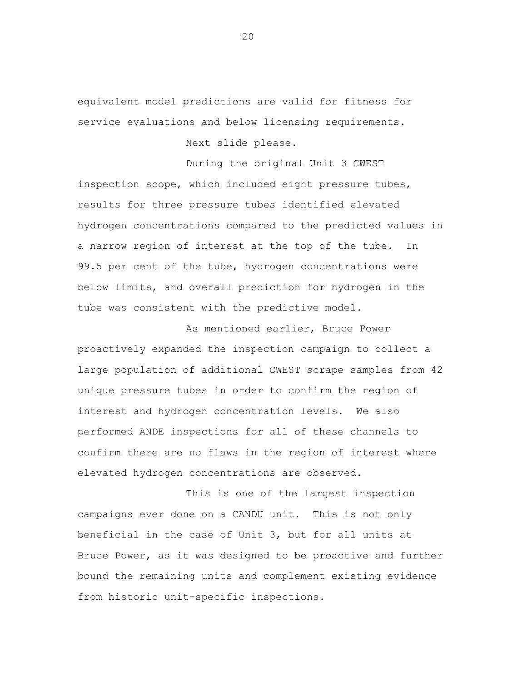equivalent model predictions are valid for fitness for service evaluations and below licensing requirements.

Next slide please.

During the original Unit 3 CWEST inspection scope, which included eight pressure tubes, results for three pressure tubes identified elevated hydrogen concentrations compared to the predicted values in a narrow region of interest at the top of the tube. In 99.5 per cent of the tube, hydrogen concentrations were below limits, and overall prediction for hydrogen in the tube was consistent with the predictive model.

As mentioned earlier, Bruce Power proactively expanded the inspection campaign to collect a large population of additional CWEST scrape samples from 42 unique pressure tubes in order to confirm the region of interest and hydrogen concentration levels. We also performed ANDE inspections for all of these channels to confirm there are no flaws in the region of interest where elevated hydrogen concentrations are observed.

This is one of the largest inspection campaigns ever done on a CANDU unit. This is not only beneficial in the case of Unit 3, but for all units at Bruce Power, as it was designed to be proactive and further bound the remaining units and complement existing evidence from historic unit-specific inspections.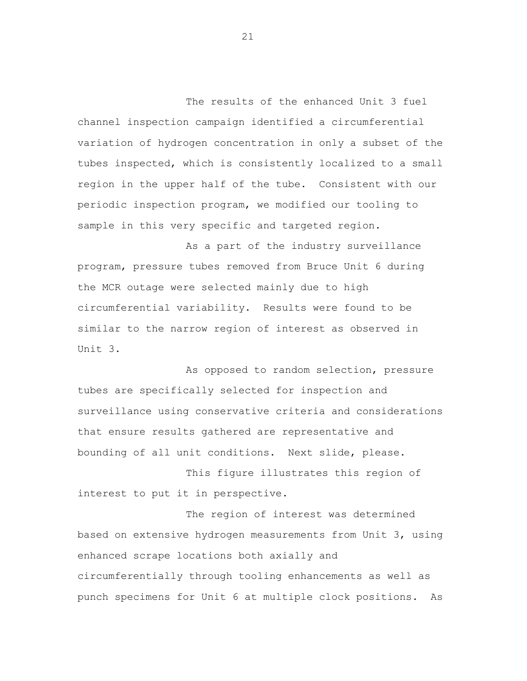The results of the enhanced Unit 3 fuel channel inspection campaign identified a circumferential variation of hydrogen concentration in only a subset of the tubes inspected, which is consistently localized to a small region in the upper half of the tube. Consistent with our periodic inspection program, we modified our tooling to sample in this very specific and targeted region.

As a part of the industry surveillance program, pressure tubes removed from Bruce Unit 6 during the MCR outage were selected mainly due to high circumferential variability. Results were found to be similar to the narrow region of interest as observed in Unit 3.

As opposed to random selection, pressure tubes are specifically selected for inspection and surveillance using conservative criteria and considerations that ensure results gathered are representative and bounding of all unit conditions. Next slide, please.

This figure illustrates this region of interest to put it in perspective.

The region of interest was determined based on extensive hydrogen measurements from Unit 3, using enhanced scrape locations both axially and circumferentially through tooling enhancements as well as punch specimens for Unit 6 at multiple clock positions. As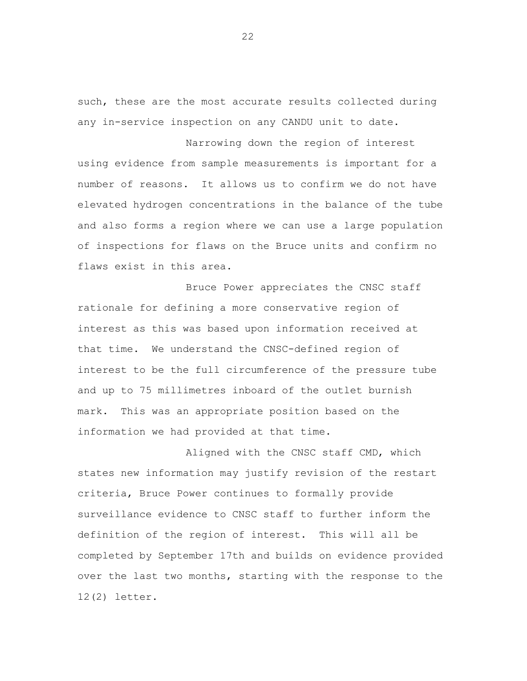such, these are the most accurate results collected during any in-service inspection on any CANDU unit to date.

Narrowing down the region of interest using evidence from sample measurements is important for a number of reasons. It allows us to confirm we do not have elevated hydrogen concentrations in the balance of the tube and also forms a region where we can use a large population of inspections for flaws on the Bruce units and confirm no flaws exist in this area.

Bruce Power appreciates the CNSC staff rationale for defining a more conservative region of interest as this was based upon information received at that time. We understand the CNSC-defined region of interest to be the full circumference of the pressure tube and up to 75 millimetres inboard of the outlet burnish mark. This was an appropriate position based on the information we had provided at that time.

Aligned with the CNSC staff CMD, which states new information may justify revision of the restart criteria, Bruce Power continues to formally provide surveillance evidence to CNSC staff to further inform the definition of the region of interest. This will all be completed by September 17th and builds on evidence provided over the last two months, starting with the response to the 12(2) letter.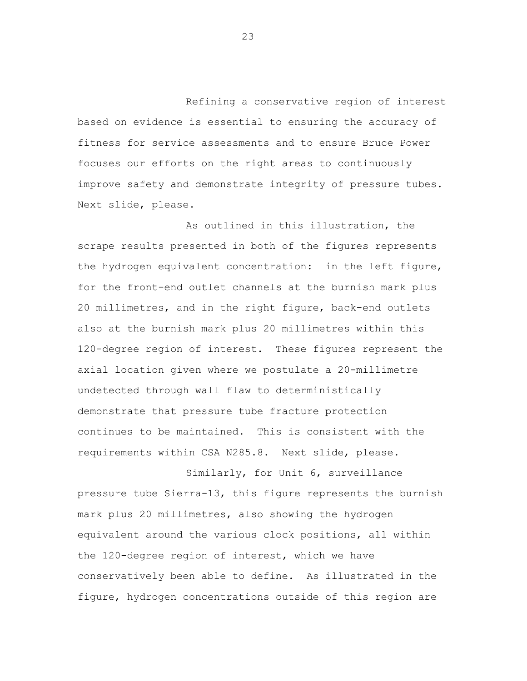Refining a conservative region of interest based on evidence is essential to ensuring the accuracy of fitness for service assessments and to ensure Bruce Power focuses our efforts on the right areas to continuously improve safety and demonstrate integrity of pressure tubes. Next slide, please.

As outlined in this illustration, the scrape results presented in both of the figures represents the hydrogen equivalent concentration: in the left figure, for the front-end outlet channels at the burnish mark plus 20 millimetres, and in the right figure, back-end outlets also at the burnish mark plus 20 millimetres within this 120-degree region of interest. These figures represent the axial location given where we postulate a 20-millimetre undetected through wall flaw to deterministically demonstrate that pressure tube fracture protection continues to be maintained. This is consistent with the requirements within CSA N285.8. Next slide, please.

Similarly, for Unit 6, surveillance pressure tube Sierra-13, this figure represents the burnish mark plus 20 millimetres, also showing the hydrogen equivalent around the various clock positions, all within the 120-degree region of interest, which we have conservatively been able to define. As illustrated in the figure, hydrogen concentrations outside of this region are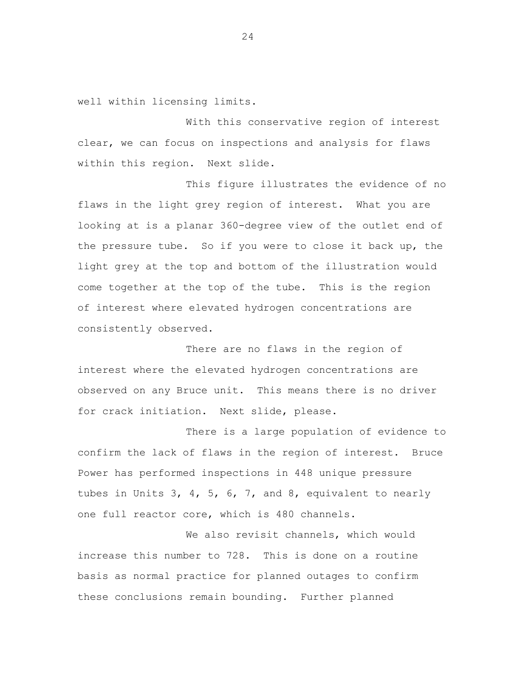well within licensing limits.

With this conservative region of interest clear, we can focus on inspections and analysis for flaws within this region. Next slide.

This figure illustrates the evidence of no flaws in the light grey region of interest. What you are looking at is a planar 360-degree view of the outlet end of the pressure tube. So if you were to close it back up, the light grey at the top and bottom of the illustration would come together at the top of the tube. This is the region of interest where elevated hydrogen concentrations are consistently observed.

There are no flaws in the region of interest where the elevated hydrogen concentrations are observed on any Bruce unit. This means there is no driver for crack initiation. Next slide, please.

There is a large population of evidence to confirm the lack of flaws in the region of interest. Bruce Power has performed inspections in 448 unique pressure tubes in Units 3, 4, 5, 6, 7, and 8, equivalent to nearly one full reactor core, which is 480 channels.

We also revisit channels, which would increase this number to 728. This is done on a routine basis as normal practice for planned outages to confirm these conclusions remain bounding. Further planned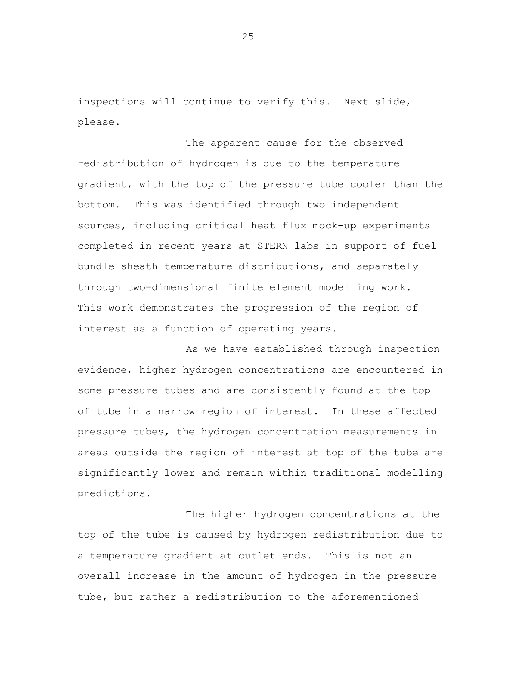inspections will continue to verify this. Next slide, please.

The apparent cause for the observed redistribution of hydrogen is due to the temperature gradient, with the top of the pressure tube cooler than the bottom. This was identified through two independent sources, including critical heat flux mock-up experiments completed in recent years at STERN labs in support of fuel bundle sheath temperature distributions, and separately through two-dimensional finite element modelling work. This work demonstrates the progression of the region of interest as a function of operating years.

As we have established through inspection evidence, higher hydrogen concentrations are encountered in some pressure tubes and are consistently found at the top of tube in a narrow region of interest. In these affected pressure tubes, the hydrogen concentration measurements in areas outside the region of interest at top of the tube are significantly lower and remain within traditional modelling predictions.

The higher hydrogen concentrations at the top of the tube is caused by hydrogen redistribution due to a temperature gradient at outlet ends. This is not an overall increase in the amount of hydrogen in the pressure tube, but rather a redistribution to the aforementioned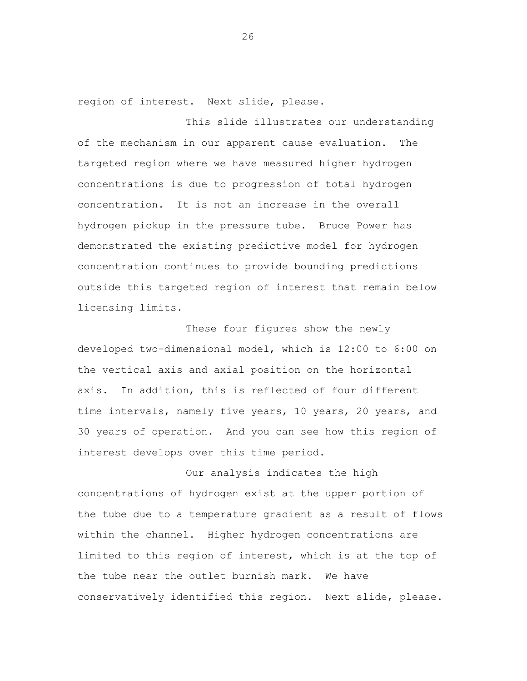region of interest. Next slide, please.

This slide illustrates our understanding of the mechanism in our apparent cause evaluation. The targeted region where we have measured higher hydrogen concentrations is due to progression of total hydrogen concentration. It is not an increase in the overall hydrogen pickup in the pressure tube. Bruce Power has demonstrated the existing predictive model for hydrogen concentration continues to provide bounding predictions outside this targeted region of interest that remain below licensing limits.

These four figures show the newly developed two-dimensional model, which is 12:00 to 6:00 on the vertical axis and axial position on the horizontal axis. In addition, this is reflected of four different time intervals, namely five years, 10 years, 20 years, and 30 years of operation. And you can see how this region of interest develops over this time period.

Our analysis indicates the high concentrations of hydrogen exist at the upper portion of the tube due to a temperature gradient as a result of flows within the channel. Higher hydrogen concentrations are limited to this region of interest, which is at the top of the tube near the outlet burnish mark. We have conservatively identified this region. Next slide, please.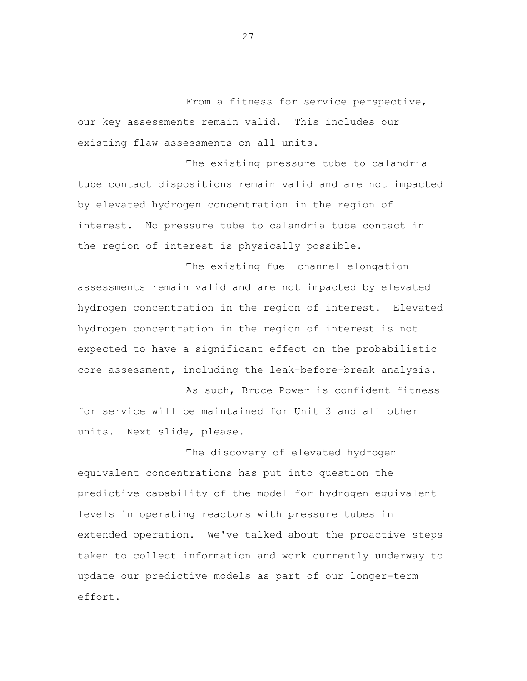From a fitness for service perspective, our key assessments remain valid. This includes our existing flaw assessments on all units.

The existing pressure tube to calandria tube contact dispositions remain valid and are not impacted by elevated hydrogen concentration in the region of interest. No pressure tube to calandria tube contact in the region of interest is physically possible.

The existing fuel channel elongation assessments remain valid and are not impacted by elevated hydrogen concentration in the region of interest. Elevated hydrogen concentration in the region of interest is not expected to have a significant effect on the probabilistic core assessment, including the leak-before-break analysis.

As such, Bruce Power is confident fitness for service will be maintained for Unit 3 and all other units. Next slide, please.

The discovery of elevated hydrogen equivalent concentrations has put into question the predictive capability of the model for hydrogen equivalent levels in operating reactors with pressure tubes in extended operation. We've talked about the proactive steps taken to collect information and work currently underway to update our predictive models as part of our longer-term effort.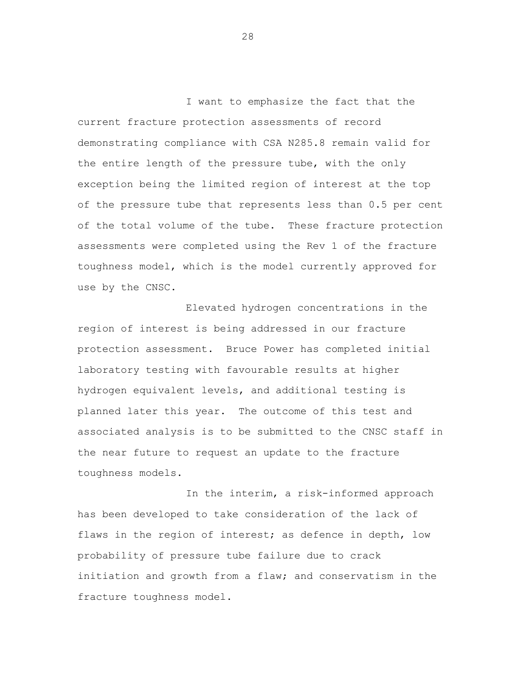I want to emphasize the fact that the current fracture protection assessments of record demonstrating compliance with CSA N285.8 remain valid for the entire length of the pressure tube, with the only exception being the limited region of interest at the top of the pressure tube that represents less than 0.5 per cent of the total volume of the tube. These fracture protection assessments were completed using the Rev 1 of the fracture toughness model, which is the model currently approved for use by the CNSC.

Elevated hydrogen concentrations in the region of interest is being addressed in our fracture protection assessment. Bruce Power has completed initial laboratory testing with favourable results at higher hydrogen equivalent levels, and additional testing is planned later this year. The outcome of this test and associated analysis is to be submitted to the CNSC staff in the near future to request an update to the fracture toughness models.

In the interim, a risk-informed approach has been developed to take consideration of the lack of flaws in the region of interest; as defence in depth, low probability of pressure tube failure due to crack initiation and growth from a flaw; and conservatism in the fracture toughness model.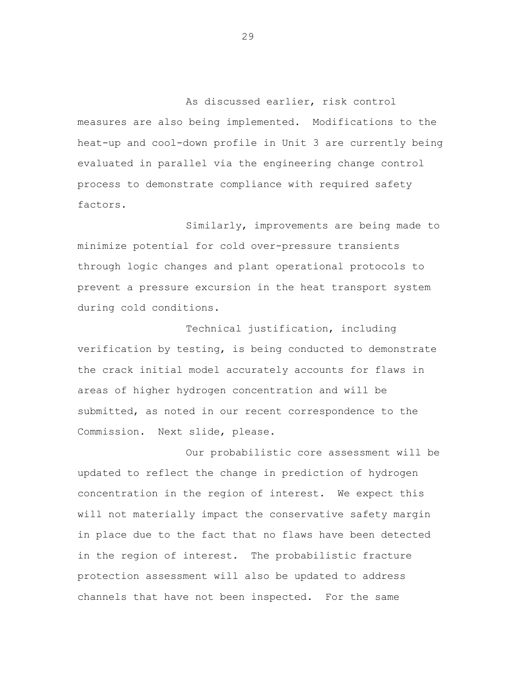As discussed earlier, risk control measures are also being implemented. Modifications to the heat-up and cool-down profile in Unit 3 are currently being evaluated in parallel via the engineering change control process to demonstrate compliance with required safety factors.

Similarly, improvements are being made to minimize potential for cold over-pressure transients through logic changes and plant operational protocols to prevent a pressure excursion in the heat transport system during cold conditions.

Technical justification, including verification by testing, is being conducted to demonstrate the crack initial model accurately accounts for flaws in areas of higher hydrogen concentration and will be submitted, as noted in our recent correspondence to the Commission. Next slide, please.

Our probabilistic core assessment will be updated to reflect the change in prediction of hydrogen concentration in the region of interest. We expect this will not materially impact the conservative safety margin in place due to the fact that no flaws have been detected in the region of interest. The probabilistic fracture protection assessment will also be updated to address channels that have not been inspected. For the same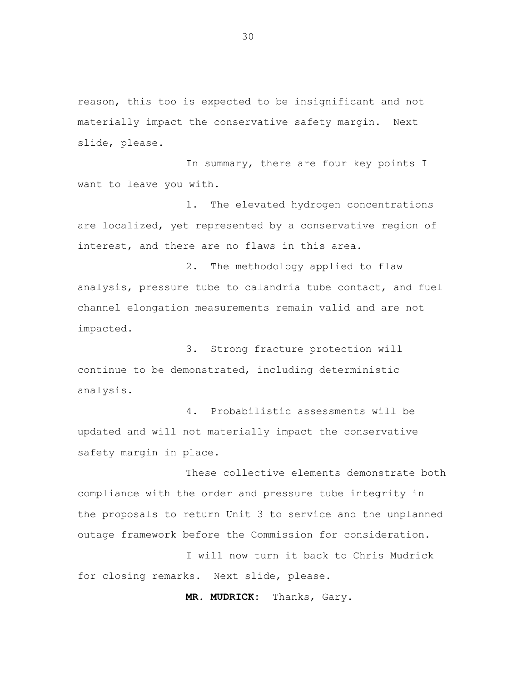reason, this too is expected to be insignificant and not materially impact the conservative safety margin. Next slide, please.

In summary, there are four key points I want to leave you with.

1. The elevated hydrogen concentrations are localized, yet represented by a conservative region of interest, and there are no flaws in this area.

2. The methodology applied to flaw analysis, pressure tube to calandria tube contact, and fuel channel elongation measurements remain valid and are not impacted.

3. Strong fracture protection will continue to be demonstrated, including deterministic analysis.

4. Probabilistic assessments will be updated and will not materially impact the conservative safety margin in place.

These collective elements demonstrate both compliance with the order and pressure tube integrity in the proposals to return Unit 3 to service and the unplanned outage framework before the Commission for consideration.

I will now turn it back to Chris Mudrick for closing remarks. Next slide, please.

**MR. MUDRICK:** Thanks, Gary.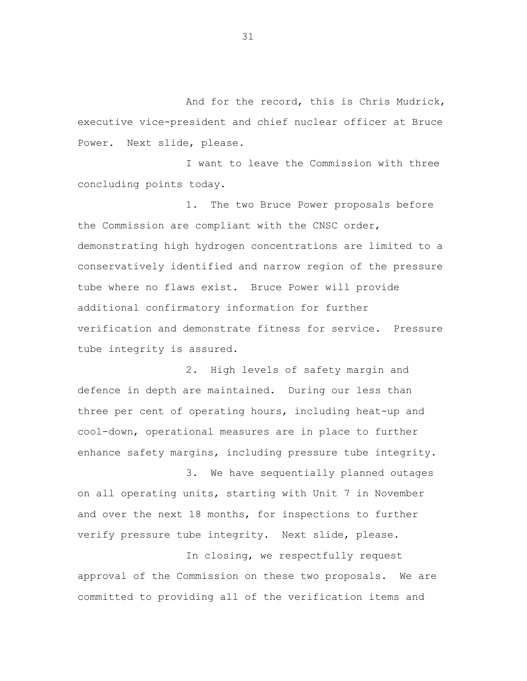And for the record, this is Chris Mudrick, executive vice-president and chief nuclear officer at Bruce Power. Next slide, please.

I want to leave the Commission with three concluding points today.

1. The two Bruce Power proposals before the Commission are compliant with the CNSC order, demonstrating high hydrogen concentrations are limited to a conservatively identified and narrow region of the pressure tube where no flaws exist. Bruce Power will provide additional confirmatory information for further verification and demonstrate fitness for service. Pressure tube integrity is assured.

2. High levels of safety margin and defence in depth are maintained. During our less than three per cent of operating hours, including heat-up and cool-down, operational measures are in place to further enhance safety margins, including pressure tube integrity.

3. We have sequentially planned outages on all operating units, starting with Unit 7 in November and over the next 18 months, for inspections to further verify pressure tube integrity. Next slide, please.

In closing, we respectfully request approval of the Commission on these two proposals. We are committed to providing all of the verification items and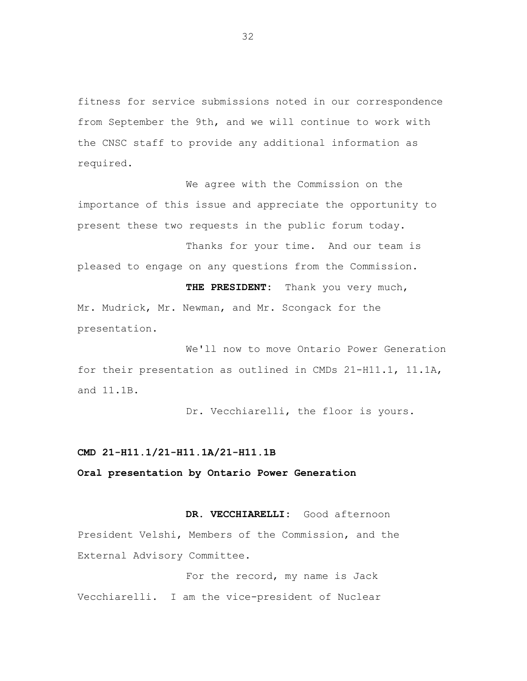fitness for service submissions noted in our correspondence from September the 9th, and we will continue to work with the CNSC staff to provide any additional information as required.

We agree with the Commission on the importance of this issue and appreciate the opportunity to present these two requests in the public forum today.

Thanks for your time. And our team is pleased to engage on any questions from the Commission.

**THE PRESIDENT:** Thank you very much, Mr. Mudrick, Mr. Newman, and Mr. Scongack for the presentation.

We'll now to move Ontario Power Generation for their presentation as outlined in CMDs 21-H11.1, 11.1A, and 11.1B.

Dr. Vecchiarelli, the floor is yours.

#### **CMD 21-H11.1/21-H11.1A/21-H11.1B**

**Oral presentation by Ontario Power Generation**

#### **DR. VECCHIARELLI:** Good afternoon

President Velshi, Members of the Commission, and the External Advisory Committee.

For the record, my name is Jack Vecchiarelli. I am the vice-president of Nuclear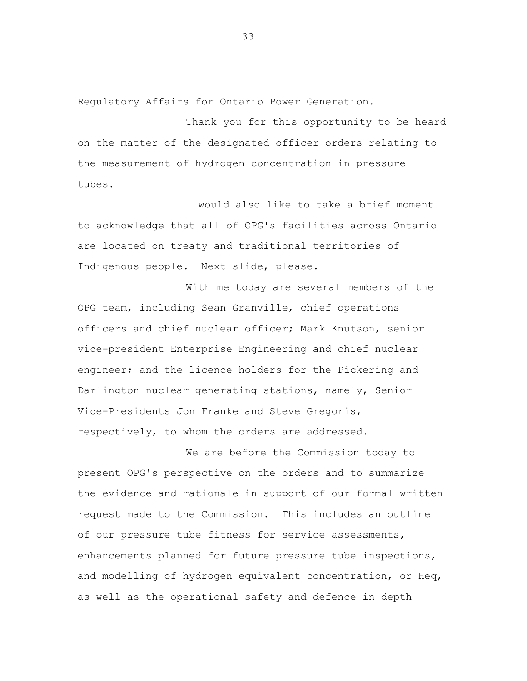Regulatory Affairs for Ontario Power Generation.

Thank you for this opportunity to be heard on the matter of the designated officer orders relating to the measurement of hydrogen concentration in pressure tubes.

I would also like to take a brief moment to acknowledge that all of OPG's facilities across Ontario are located on treaty and traditional territories of Indigenous people. Next slide, please.

With me today are several members of the OPG team, including Sean Granville, chief operations officers and chief nuclear officer; Mark Knutson, senior vice-president Enterprise Engineering and chief nuclear engineer; and the licence holders for the Pickering and Darlington nuclear generating stations, namely, Senior Vice-Presidents Jon Franke and Steve Gregoris, respectively, to whom the orders are addressed.

We are before the Commission today to present OPG's perspective on the orders and to summarize the evidence and rationale in support of our formal written request made to the Commission. This includes an outline of our pressure tube fitness for service assessments, enhancements planned for future pressure tube inspections, and modelling of hydrogen equivalent concentration, or Heq, as well as the operational safety and defence in depth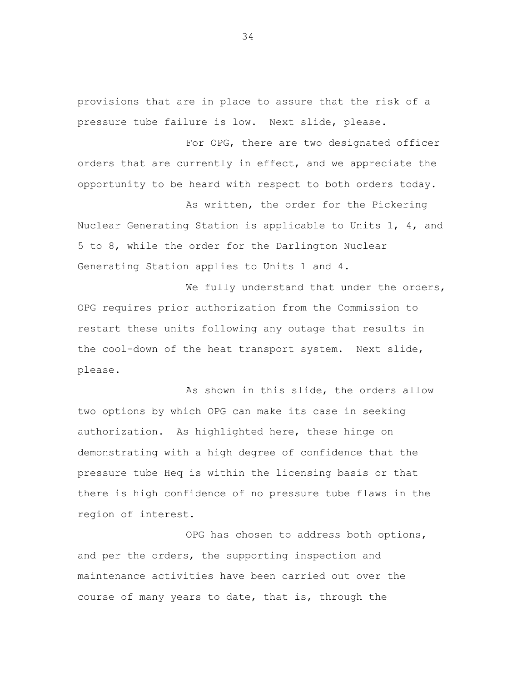provisions that are in place to assure that the risk of a pressure tube failure is low. Next slide, please.

For OPG, there are two designated officer orders that are currently in effect, and we appreciate the opportunity to be heard with respect to both orders today.

As written, the order for the Pickering Nuclear Generating Station is applicable to Units 1, 4, and 5 to 8, while the order for the Darlington Nuclear Generating Station applies to Units 1 and 4.

We fully understand that under the orders, OPG requires prior authorization from the Commission to restart these units following any outage that results in the cool-down of the heat transport system. Next slide, please.

As shown in this slide, the orders allow two options by which OPG can make its case in seeking authorization. As highlighted here, these hinge on demonstrating with a high degree of confidence that the pressure tube Heq is within the licensing basis or that there is high confidence of no pressure tube flaws in the region of interest.

OPG has chosen to address both options, and per the orders, the supporting inspection and maintenance activities have been carried out over the course of many years to date, that is, through the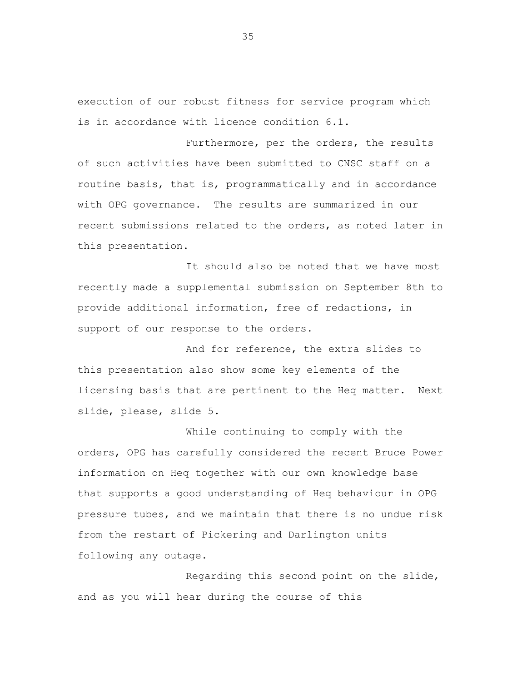execution of our robust fitness for service program which is in accordance with licence condition 6.1.

Furthermore, per the orders, the results of such activities have been submitted to CNSC staff on a routine basis, that is, programmatically and in accordance with OPG governance. The results are summarized in our recent submissions related to the orders, as noted later in this presentation.

It should also be noted that we have most recently made a supplemental submission on September 8th to provide additional information, free of redactions, in support of our response to the orders.

And for reference, the extra slides to this presentation also show some key elements of the licensing basis that are pertinent to the Heq matter. Next slide, please, slide 5.

While continuing to comply with the orders, OPG has carefully considered the recent Bruce Power information on Heq together with our own knowledge base that supports a good understanding of Heq behaviour in OPG pressure tubes, and we maintain that there is no undue risk from the restart of Pickering and Darlington units following any outage.

Regarding this second point on the slide, and as you will hear during the course of this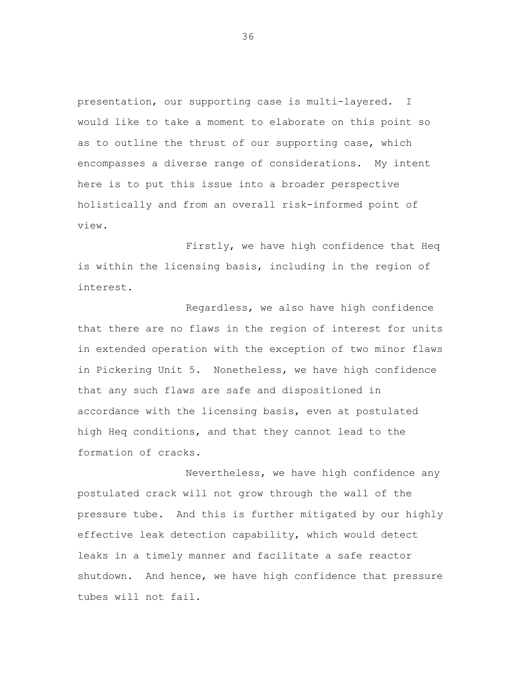presentation, our supporting case is multi-layered. I would like to take a moment to elaborate on this point so as to outline the thrust of our supporting case, which encompasses a diverse range of considerations. My intent here is to put this issue into a broader perspective holistically and from an overall risk-informed point of view.

Firstly, we have high confidence that Heq is within the licensing basis, including in the region of interest.

Regardless, we also have high confidence that there are no flaws in the region of interest for units in extended operation with the exception of two minor flaws in Pickering Unit 5. Nonetheless, we have high confidence that any such flaws are safe and dispositioned in accordance with the licensing basis, even at postulated high Heq conditions, and that they cannot lead to the formation of cracks.

Nevertheless, we have high confidence any postulated crack will not grow through the wall of the pressure tube. And this is further mitigated by our highly effective leak detection capability, which would detect leaks in a timely manner and facilitate a safe reactor shutdown. And hence, we have high confidence that pressure tubes will not fail.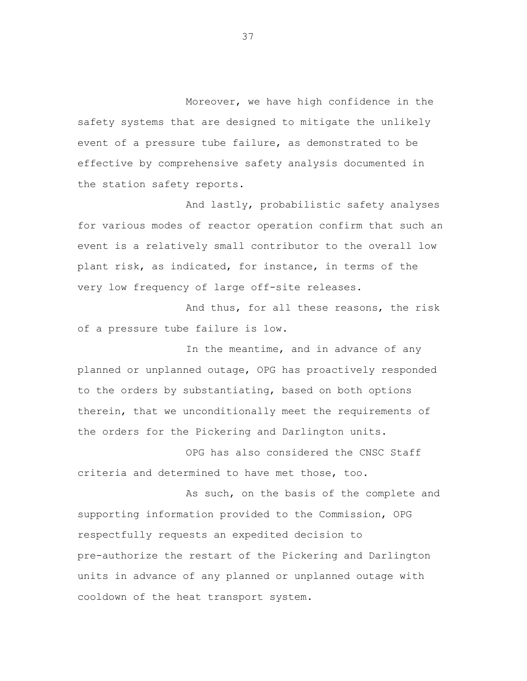Moreover, we have high confidence in the safety systems that are designed to mitigate the unlikely event of a pressure tube failure, as demonstrated to be effective by comprehensive safety analysis documented in the station safety reports.

And lastly, probabilistic safety analyses for various modes of reactor operation confirm that such an event is a relatively small contributor to the overall low plant risk, as indicated, for instance, in terms of the very low frequency of large off-site releases.

And thus, for all these reasons, the risk of a pressure tube failure is low.

In the meantime, and in advance of any planned or unplanned outage, OPG has proactively responded to the orders by substantiating, based on both options therein, that we unconditionally meet the requirements of the orders for the Pickering and Darlington units.

OPG has also considered the CNSC Staff criteria and determined to have met those, too.

As such, on the basis of the complete and supporting information provided to the Commission, OPG respectfully requests an expedited decision to pre-authorize the restart of the Pickering and Darlington units in advance of any planned or unplanned outage with cooldown of the heat transport system.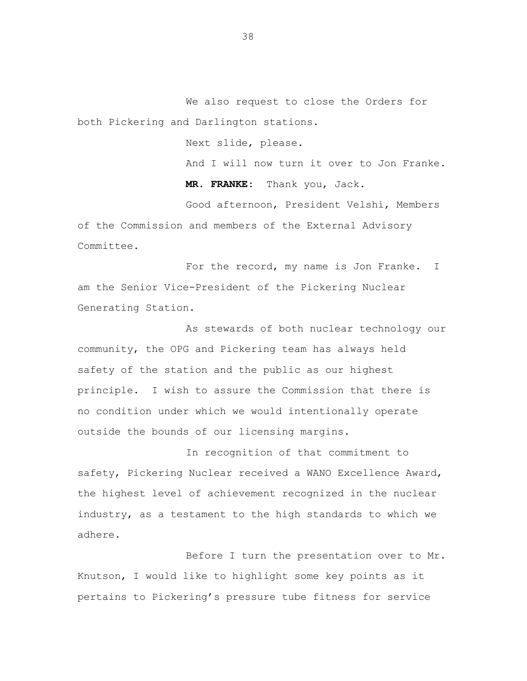We also request to close the Orders for both Pickering and Darlington stations.

Next slide, please.

And I will now turn it over to Jon Franke.

**MR. FRANKE:** Thank you, Jack.

Good afternoon, President Velshi, Members of the Commission and members of the External Advisory Committee.

For the record, my name is Jon Franke. I am the Senior Vice-President of the Pickering Nuclear Generating Station.

As stewards of both nuclear technology our community, the OPG and Pickering team has always held safety of the station and the public as our highest principle. I wish to assure the Commission that there is no condition under which we would intentionally operate outside the bounds of our licensing margins.

In recognition of that commitment to safety, Pickering Nuclear received a WANO Excellence Award, the highest level of achievement recognized in the nuclear industry, as a testament to the high standards to which we adhere.

Before I turn the presentation over to Mr. Knutson, I would like to highlight some key points as it pertains to Pickering's pressure tube fitness for service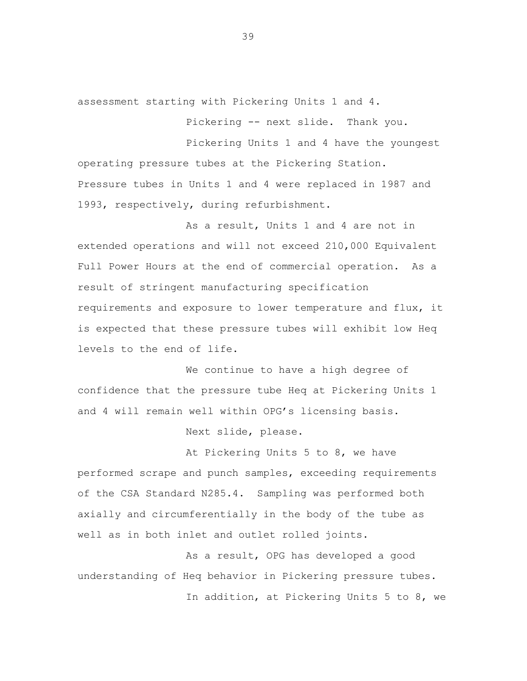assessment starting with Pickering Units 1 and 4.

Pickering -- next slide. Thank you.

Pickering Units 1 and 4 have the youngest operating pressure tubes at the Pickering Station. Pressure tubes in Units 1 and 4 were replaced in 1987 and 1993, respectively, during refurbishment.

As a result, Units 1 and 4 are not in extended operations and will not exceed 210,000 Equivalent Full Power Hours at the end of commercial operation. As a result of stringent manufacturing specification requirements and exposure to lower temperature and flux, it is expected that these pressure tubes will exhibit low Heq levels to the end of life.

We continue to have a high degree of confidence that the pressure tube Heq at Pickering Units 1 and 4 will remain well within OPG's licensing basis.

Next slide, please.

At Pickering Units 5 to 8, we have performed scrape and punch samples, exceeding requirements of the CSA Standard N285.4. Sampling was performed both axially and circumferentially in the body of the tube as well as in both inlet and outlet rolled joints.

As a result, OPG has developed a good understanding of Heq behavior in Pickering pressure tubes. In addition, at Pickering Units 5 to 8, we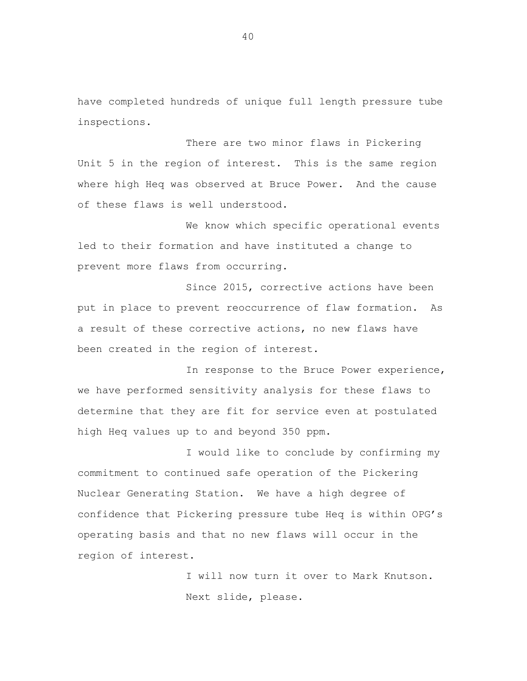have completed hundreds of unique full length pressure tube inspections.

There are two minor flaws in Pickering Unit 5 in the region of interest. This is the same region where high Heq was observed at Bruce Power. And the cause of these flaws is well understood.

We know which specific operational events led to their formation and have instituted a change to prevent more flaws from occurring.

Since 2015, corrective actions have been put in place to prevent reoccurrence of flaw formation. As a result of these corrective actions, no new flaws have been created in the region of interest.

In response to the Bruce Power experience, we have performed sensitivity analysis for these flaws to determine that they are fit for service even at postulated high Heq values up to and beyond 350 ppm.

I would like to conclude by confirming my commitment to continued safe operation of the Pickering Nuclear Generating Station. We have a high degree of confidence that Pickering pressure tube Heq is within OPG's operating basis and that no new flaws will occur in the region of interest.

> I will now turn it over to Mark Knutson. Next slide, please.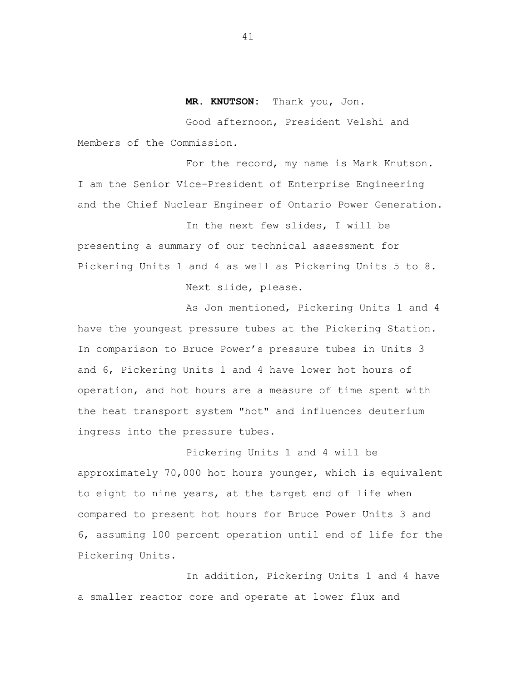## **MR. KNUTSON:** Thank you, Jon.

Good afternoon, President Velshi and Members of the Commission.

For the record, my name is Mark Knutson. I am the Senior Vice-President of Enterprise Engineering and the Chief Nuclear Engineer of Ontario Power Generation.

In the next few slides, I will be presenting a summary of our technical assessment for Pickering Units 1 and 4 as well as Pickering Units 5 to 8. Next slide, please.

As Jon mentioned, Pickering Units 1 and 4 have the youngest pressure tubes at the Pickering Station. In comparison to Bruce Power's pressure tubes in Units 3 and 6, Pickering Units 1 and 4 have lower hot hours of operation, and hot hours are a measure of time spent with the heat transport system "hot" and influences deuterium ingress into the pressure tubes.

Pickering Units 1 and 4 will be approximately 70,000 hot hours younger, which is equivalent to eight to nine years, at the target end of life when compared to present hot hours for Bruce Power Units 3 and 6, assuming 100 percent operation until end of life for the Pickering Units.

In addition, Pickering Units 1 and 4 have a smaller reactor core and operate at lower flux and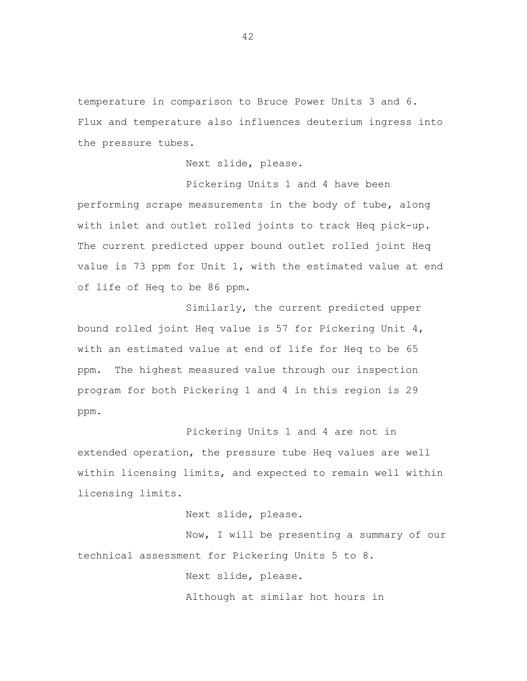temperature in comparison to Bruce Power Units 3 and 6. Flux and temperature also influences deuterium ingress into the pressure tubes.

Next slide, please.

Pickering Units 1 and 4 have been performing scrape measurements in the body of tube, along with inlet and outlet rolled joints to track Heq pick-up. The current predicted upper bound outlet rolled joint Heq value is 73 ppm for Unit 1, with the estimated value at end of life of Heq to be 86 ppm.

Similarly, the current predicted upper bound rolled joint Heq value is 57 for Pickering Unit 4, with an estimated value at end of life for Heq to be 65 ppm. The highest measured value through our inspection program for both Pickering 1 and 4 in this region is 29 ppm.

Pickering Units 1 and 4 are not in extended operation, the pressure tube Heq values are well within licensing limits, and expected to remain well within licensing limits.

Next slide, please.

Now, I will be presenting a summary of our technical assessment for Pickering Units 5 to 8.

Next slide, please.

Although at similar hot hours in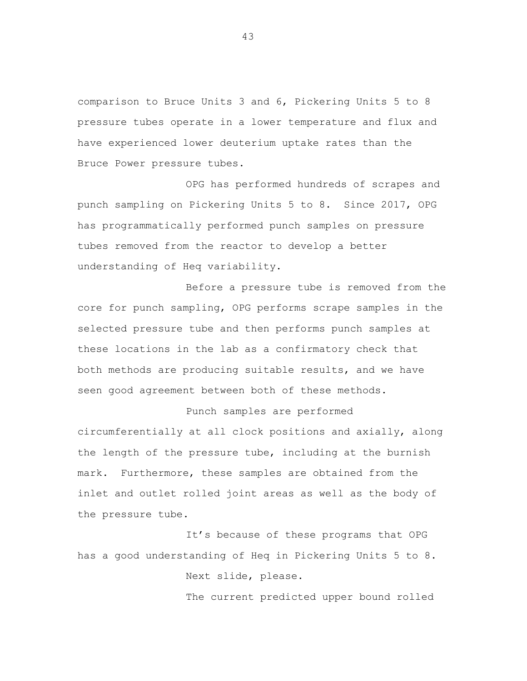comparison to Bruce Units 3 and 6, Pickering Units 5 to 8 pressure tubes operate in a lower temperature and flux and have experienced lower deuterium uptake rates than the Bruce Power pressure tubes.

OPG has performed hundreds of scrapes and punch sampling on Pickering Units 5 to 8. Since 2017, OPG has programmatically performed punch samples on pressure tubes removed from the reactor to develop a better understanding of Heq variability.

Before a pressure tube is removed from the core for punch sampling, OPG performs scrape samples in the selected pressure tube and then performs punch samples at these locations in the lab as a confirmatory check that both methods are producing suitable results, and we have seen good agreement between both of these methods.

## Punch samples are performed

circumferentially at all clock positions and axially, along the length of the pressure tube, including at the burnish mark. Furthermore, these samples are obtained from the inlet and outlet rolled joint areas as well as the body of the pressure tube.

It's because of these programs that OPG has a good understanding of Heq in Pickering Units 5 to 8.

Next slide, please.

The current predicted upper bound rolled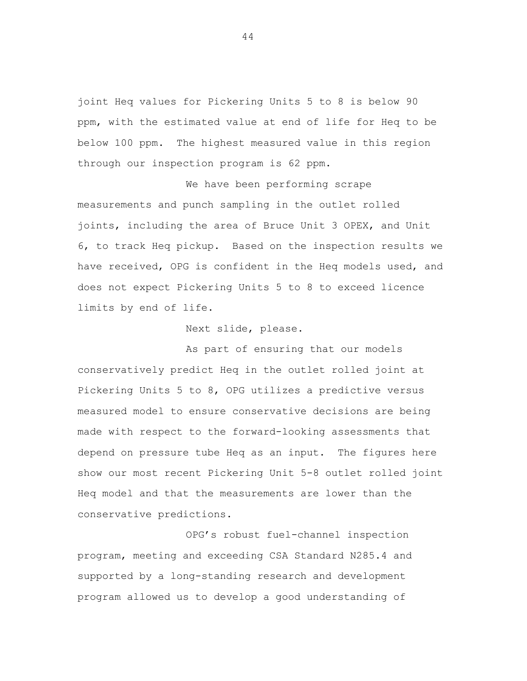joint Heq values for Pickering Units 5 to 8 is below 90 ppm, with the estimated value at end of life for Heq to be below 100 ppm. The highest measured value in this region through our inspection program is 62 ppm.

We have been performing scrape measurements and punch sampling in the outlet rolled joints, including the area of Bruce Unit 3 OPEX, and Unit 6, to track Heq pickup. Based on the inspection results we have received, OPG is confident in the Heq models used, and does not expect Pickering Units 5 to 8 to exceed licence limits by end of life.

Next slide, please.

As part of ensuring that our models conservatively predict Heq in the outlet rolled joint at Pickering Units 5 to 8, OPG utilizes a predictive versus measured model to ensure conservative decisions are being made with respect to the forward-looking assessments that depend on pressure tube Heq as an input. The figures here show our most recent Pickering Unit 5-8 outlet rolled joint Heq model and that the measurements are lower than the conservative predictions.

OPG's robust fuel-channel inspection program, meeting and exceeding CSA Standard N285.4 and supported by a long-standing research and development program allowed us to develop a good understanding of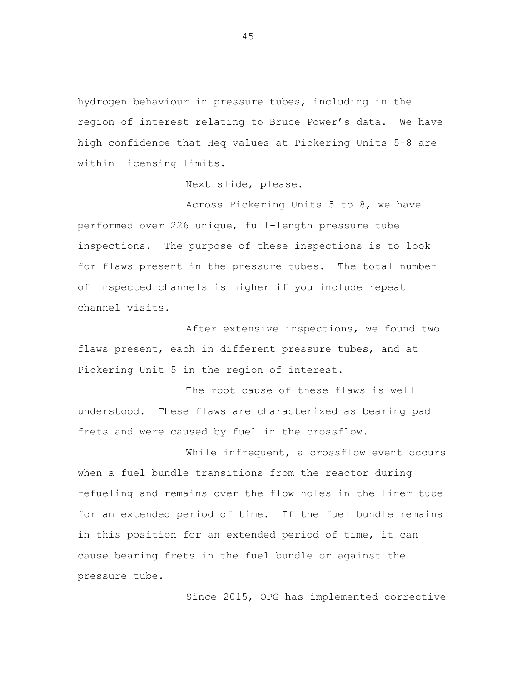hydrogen behaviour in pressure tubes, including in the region of interest relating to Bruce Power's data. We have high confidence that Heq values at Pickering Units 5-8 are within licensing limits.

Next slide, please.

Across Pickering Units 5 to 8, we have performed over 226 unique, full-length pressure tube inspections. The purpose of these inspections is to look for flaws present in the pressure tubes. The total number of inspected channels is higher if you include repeat channel visits.

After extensive inspections, we found two flaws present, each in different pressure tubes, and at Pickering Unit 5 in the region of interest.

The root cause of these flaws is well understood. These flaws are characterized as bearing pad frets and were caused by fuel in the crossflow.

While infrequent, a crossflow event occurs when a fuel bundle transitions from the reactor during refueling and remains over the flow holes in the liner tube for an extended period of time. If the fuel bundle remains in this position for an extended period of time, it can cause bearing frets in the fuel bundle or against the pressure tube.

Since 2015, OPG has implemented corrective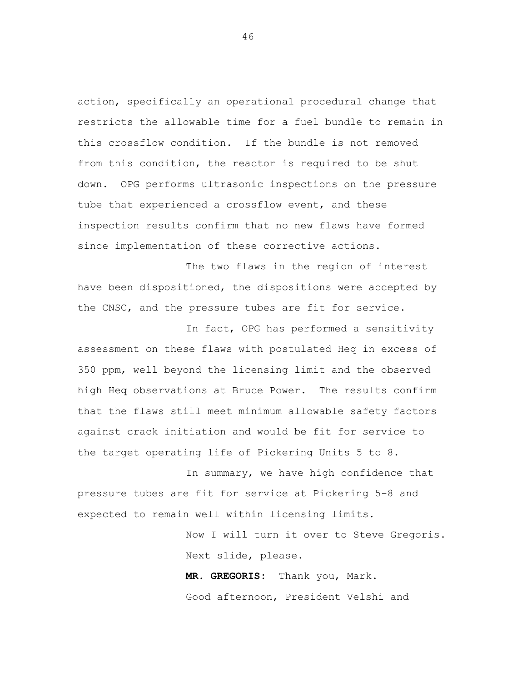action, specifically an operational procedural change that restricts the allowable time for a fuel bundle to remain in this crossflow condition. If the bundle is not removed from this condition, the reactor is required to be shut down. OPG performs ultrasonic inspections on the pressure tube that experienced a crossflow event, and these inspection results confirm that no new flaws have formed since implementation of these corrective actions.

The two flaws in the region of interest have been dispositioned, the dispositions were accepted by the CNSC, and the pressure tubes are fit for service.

In fact, OPG has performed a sensitivity assessment on these flaws with postulated Heq in excess of 350 ppm, well beyond the licensing limit and the observed high Heq observations at Bruce Power. The results confirm that the flaws still meet minimum allowable safety factors against crack initiation and would be fit for service to the target operating life of Pickering Units 5 to 8.

In summary, we have high confidence that pressure tubes are fit for service at Pickering 5-8 and expected to remain well within licensing limits.

> Now I will turn it over to Steve Gregoris. Next slide, please.

**MR. GREGORIS:** Thank you, Mark. Good afternoon, President Velshi and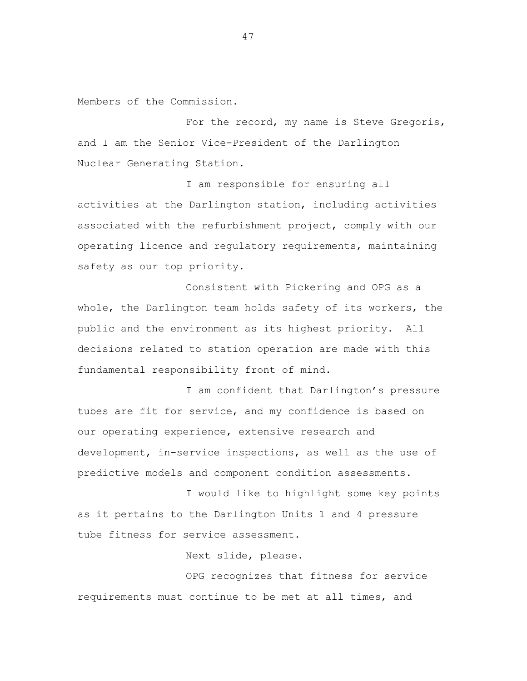Members of the Commission.

For the record, my name is Steve Gregoris, and I am the Senior Vice-President of the Darlington Nuclear Generating Station.

I am responsible for ensuring all activities at the Darlington station, including activities associated with the refurbishment project, comply with our operating licence and regulatory requirements, maintaining safety as our top priority.

Consistent with Pickering and OPG as a whole, the Darlington team holds safety of its workers, the public and the environment as its highest priority. All decisions related to station operation are made with this fundamental responsibility front of mind.

I am confident that Darlington's pressure tubes are fit for service, and my confidence is based on our operating experience, extensive research and development, in-service inspections, as well as the use of predictive models and component condition assessments.

I would like to highlight some key points as it pertains to the Darlington Units 1 and 4 pressure tube fitness for service assessment.

Next slide, please.

OPG recognizes that fitness for service requirements must continue to be met at all times, and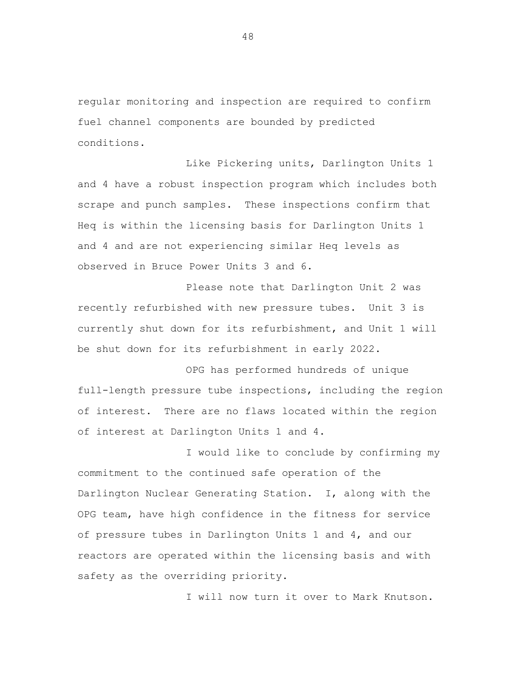regular monitoring and inspection are required to confirm fuel channel components are bounded by predicted conditions.

Like Pickering units, Darlington Units 1 and 4 have a robust inspection program which includes both scrape and punch samples. These inspections confirm that Heq is within the licensing basis for Darlington Units 1 and 4 and are not experiencing similar Heq levels as observed in Bruce Power Units 3 and 6.

Please note that Darlington Unit 2 was recently refurbished with new pressure tubes. Unit 3 is currently shut down for its refurbishment, and Unit 1 will be shut down for its refurbishment in early 2022.

OPG has performed hundreds of unique full-length pressure tube inspections, including the region of interest. There are no flaws located within the region of interest at Darlington Units 1 and 4.

I would like to conclude by confirming my commitment to the continued safe operation of the Darlington Nuclear Generating Station. I, along with the OPG team, have high confidence in the fitness for service of pressure tubes in Darlington Units 1 and 4, and our reactors are operated within the licensing basis and with safety as the overriding priority.

I will now turn it over to Mark Knutson.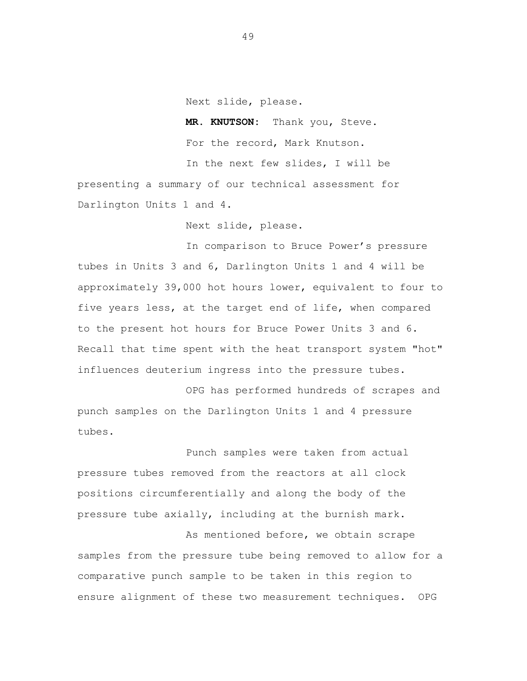Next slide, please.

**MR. KNUTSON:** Thank you, Steve. For the record, Mark Knutson. In the next few slides, I will be presenting a summary of our technical assessment for

Darlington Units 1 and 4.

Next slide, please.

In comparison to Bruce Power's pressure tubes in Units 3 and 6, Darlington Units 1 and 4 will be approximately 39,000 hot hours lower, equivalent to four to five years less, at the target end of life, when compared to the present hot hours for Bruce Power Units 3 and 6. Recall that time spent with the heat transport system "hot" influences deuterium ingress into the pressure tubes.

OPG has performed hundreds of scrapes and punch samples on the Darlington Units 1 and 4 pressure tubes.

Punch samples were taken from actual pressure tubes removed from the reactors at all clock positions circumferentially and along the body of the pressure tube axially, including at the burnish mark.

As mentioned before, we obtain scrape samples from the pressure tube being removed to allow for a comparative punch sample to be taken in this region to ensure alignment of these two measurement techniques. OPG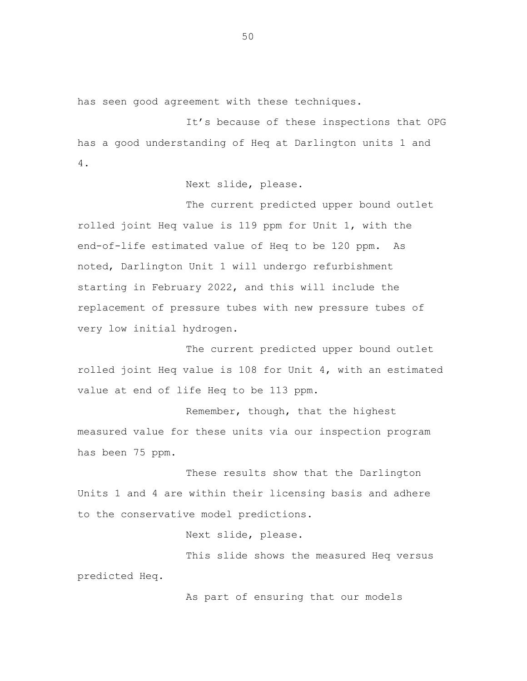has seen good agreement with these techniques.

It's because of these inspections that OPG has a good understanding of Heq at Darlington units 1 and 4.

Next slide, please.

The current predicted upper bound outlet rolled joint Heq value is 119 ppm for Unit 1, with the end-of-life estimated value of Heq to be 120 ppm. As noted, Darlington Unit 1 will undergo refurbishment starting in February 2022, and this will include the replacement of pressure tubes with new pressure tubes of very low initial hydrogen.

The current predicted upper bound outlet rolled joint Heq value is 108 for Unit 4, with an estimated value at end of life Heq to be 113 ppm.

Remember, though, that the highest measured value for these units via our inspection program has been 75 ppm.

These results show that the Darlington Units 1 and 4 are within their licensing basis and adhere to the conservative model predictions.

Next slide, please.

This slide shows the measured Heq versus predicted Heq.

As part of ensuring that our models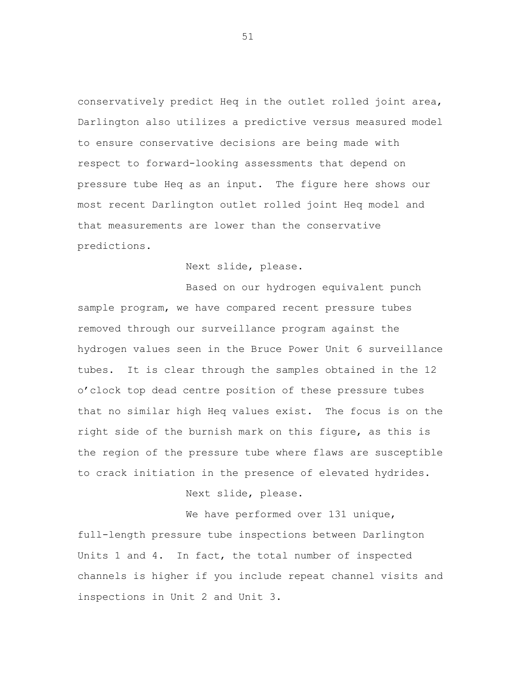conservatively predict Heq in the outlet rolled joint area, Darlington also utilizes a predictive versus measured model to ensure conservative decisions are being made with respect to forward-looking assessments that depend on pressure tube Heq as an input. The figure here shows our most recent Darlington outlet rolled joint Heq model and that measurements are lower than the conservative predictions.

Next slide, please.

Based on our hydrogen equivalent punch sample program, we have compared recent pressure tubes removed through our surveillance program against the hydrogen values seen in the Bruce Power Unit 6 surveillance tubes. It is clear through the samples obtained in the 12 o'clock top dead centre position of these pressure tubes that no similar high Heq values exist. The focus is on the right side of the burnish mark on this figure, as this is the region of the pressure tube where flaws are susceptible to crack initiation in the presence of elevated hydrides.

Next slide, please.

We have performed over 131 unique, full-length pressure tube inspections between Darlington Units 1 and 4. In fact, the total number of inspected channels is higher if you include repeat channel visits and inspections in Unit 2 and Unit 3.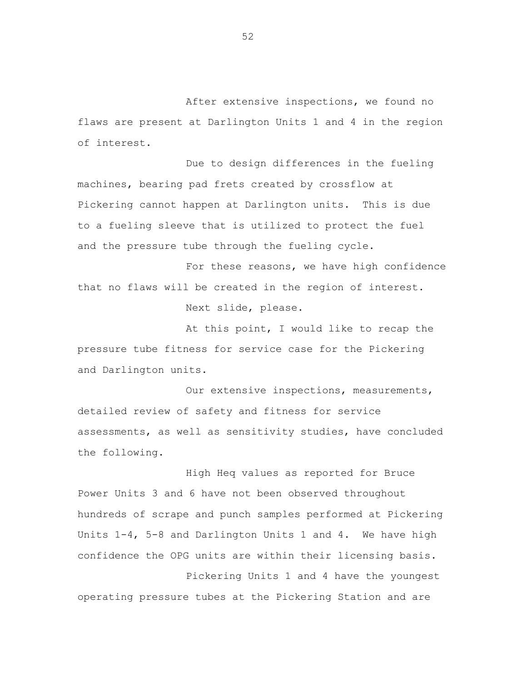After extensive inspections, we found no flaws are present at Darlington Units 1 and 4 in the region of interest.

Due to design differences in the fueling machines, bearing pad frets created by crossflow at Pickering cannot happen at Darlington units. This is due to a fueling sleeve that is utilized to protect the fuel and the pressure tube through the fueling cycle.

For these reasons, we have high confidence that no flaws will be created in the region of interest.

Next slide, please.

At this point, I would like to recap the pressure tube fitness for service case for the Pickering and Darlington units.

Our extensive inspections, measurements, detailed review of safety and fitness for service assessments, as well as sensitivity studies, have concluded the following.

High Heq values as reported for Bruce Power Units 3 and 6 have not been observed throughout hundreds of scrape and punch samples performed at Pickering Units 1-4, 5-8 and Darlington Units 1 and 4. We have high confidence the OPG units are within their licensing basis.

Pickering Units 1 and 4 have the youngest operating pressure tubes at the Pickering Station and are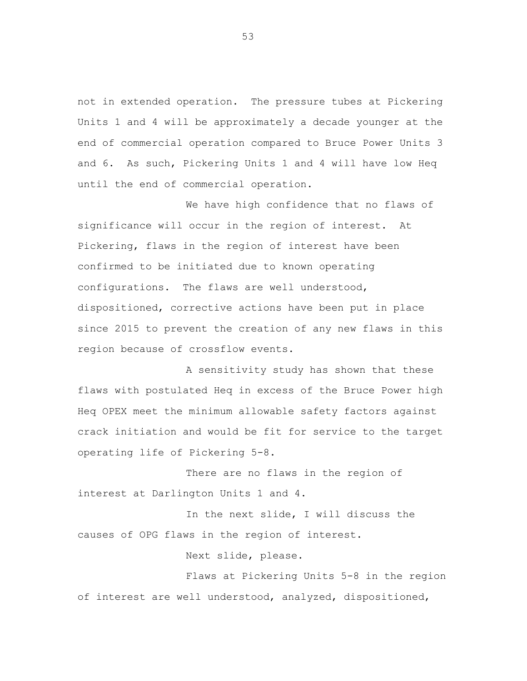not in extended operation. The pressure tubes at Pickering Units 1 and 4 will be approximately a decade younger at the end of commercial operation compared to Bruce Power Units 3 and 6. As such, Pickering Units 1 and 4 will have low Heq until the end of commercial operation.

We have high confidence that no flaws of significance will occur in the region of interest. At Pickering, flaws in the region of interest have been confirmed to be initiated due to known operating configurations. The flaws are well understood, dispositioned, corrective actions have been put in place since 2015 to prevent the creation of any new flaws in this region because of crossflow events.

A sensitivity study has shown that these flaws with postulated Heq in excess of the Bruce Power high Heq OPEX meet the minimum allowable safety factors against crack initiation and would be fit for service to the target operating life of Pickering 5-8.

There are no flaws in the region of interest at Darlington Units 1 and 4.

In the next slide, I will discuss the causes of OPG flaws in the region of interest.

Next slide, please.

Flaws at Pickering Units 5-8 in the region of interest are well understood, analyzed, dispositioned,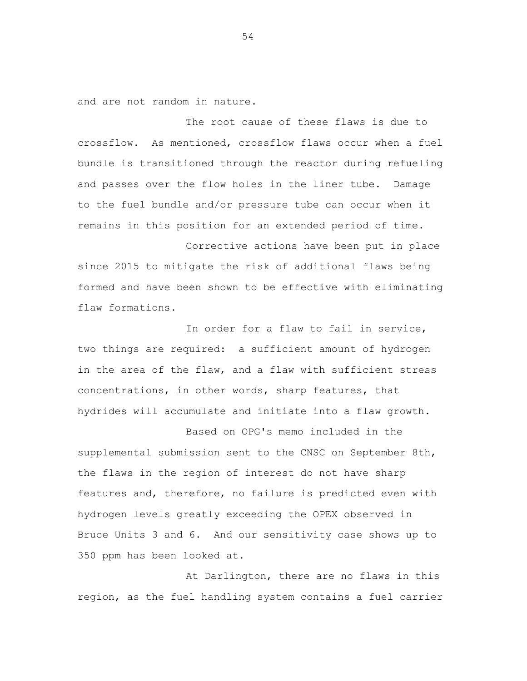and are not random in nature.

The root cause of these flaws is due to crossflow. As mentioned, crossflow flaws occur when a fuel bundle is transitioned through the reactor during refueling and passes over the flow holes in the liner tube. Damage to the fuel bundle and/or pressure tube can occur when it remains in this position for an extended period of time.

Corrective actions have been put in place since 2015 to mitigate the risk of additional flaws being formed and have been shown to be effective with eliminating flaw formations.

In order for a flaw to fail in service, two things are required: a sufficient amount of hydrogen in the area of the flaw, and a flaw with sufficient stress concentrations, in other words, sharp features, that hydrides will accumulate and initiate into a flaw growth.

Based on OPG's memo included in the supplemental submission sent to the CNSC on September 8th, the flaws in the region of interest do not have sharp features and, therefore, no failure is predicted even with hydrogen levels greatly exceeding the OPEX observed in Bruce Units 3 and 6. And our sensitivity case shows up to 350 ppm has been looked at.

At Darlington, there are no flaws in this region, as the fuel handling system contains a fuel carrier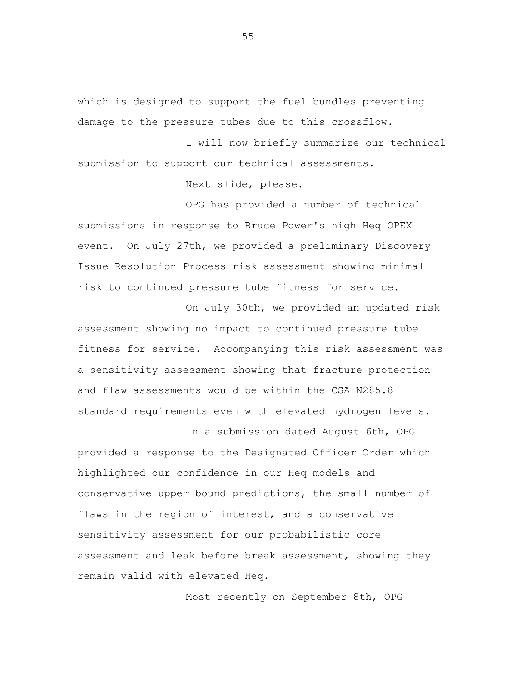which is designed to support the fuel bundles preventing damage to the pressure tubes due to this crossflow.

I will now briefly summarize our technical submission to support our technical assessments.

Next slide, please.

OPG has provided a number of technical submissions in response to Bruce Power's high Heq OPEX event. On July 27th, we provided a preliminary Discovery Issue Resolution Process risk assessment showing minimal risk to continued pressure tube fitness for service.

On July 30th, we provided an updated risk assessment showing no impact to continued pressure tube fitness for service. Accompanying this risk assessment was a sensitivity assessment showing that fracture protection and flaw assessments would be within the CSA N285.8 standard requirements even with elevated hydrogen levels.

In a submission dated August 6th, OPG provided a response to the Designated Officer Order which highlighted our confidence in our Heq models and conservative upper bound predictions, the small number of flaws in the region of interest, and a conservative sensitivity assessment for our probabilistic core assessment and leak before break assessment, showing they remain valid with elevated Heq.

Most recently on September 8th, OPG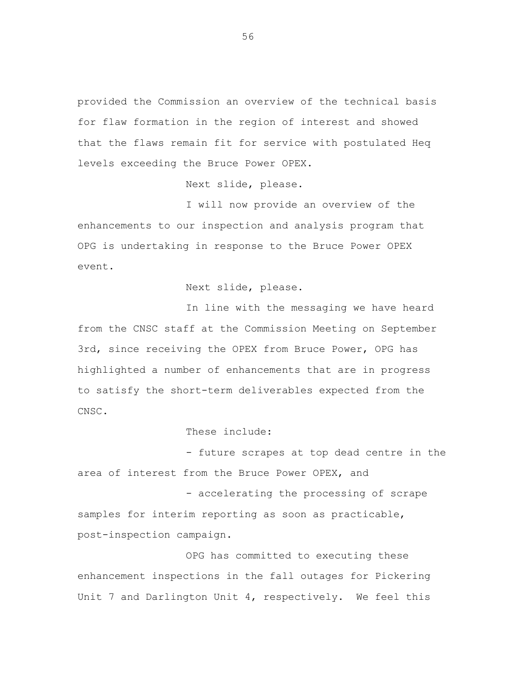provided the Commission an overview of the technical basis for flaw formation in the region of interest and showed that the flaws remain fit for service with postulated Heq levels exceeding the Bruce Power OPEX.

Next slide, please.

I will now provide an overview of the enhancements to our inspection and analysis program that OPG is undertaking in response to the Bruce Power OPEX event.

Next slide, please.

In line with the messaging we have heard from the CNSC staff at the Commission Meeting on September 3rd, since receiving the OPEX from Bruce Power, OPG has highlighted a number of enhancements that are in progress to satisfy the short-term deliverables expected from the CNSC.

## These include:

- future scrapes at top dead centre in the area of interest from the Bruce Power OPEX, and

- accelerating the processing of scrape samples for interim reporting as soon as practicable, post-inspection campaign.

OPG has committed to executing these enhancement inspections in the fall outages for Pickering Unit 7 and Darlington Unit 4, respectively. We feel this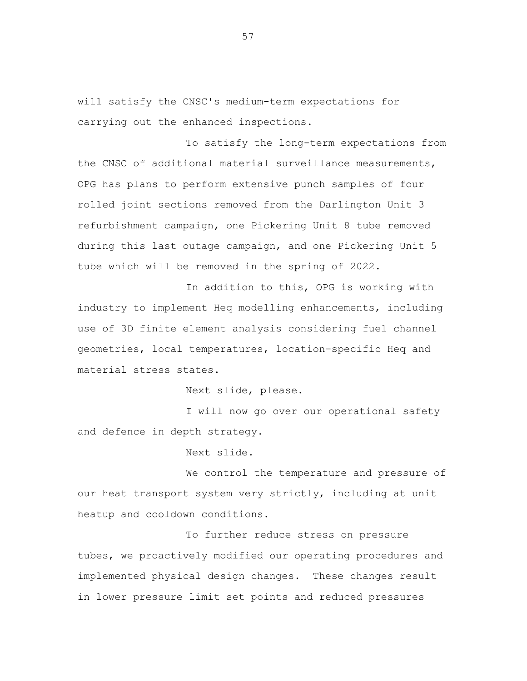will satisfy the CNSC's medium-term expectations for carrying out the enhanced inspections.

To satisfy the long-term expectations from the CNSC of additional material surveillance measurements, OPG has plans to perform extensive punch samples of four rolled joint sections removed from the Darlington Unit 3 refurbishment campaign, one Pickering Unit 8 tube removed during this last outage campaign, and one Pickering Unit 5 tube which will be removed in the spring of 2022.

In addition to this, OPG is working with industry to implement Heq modelling enhancements, including use of 3D finite element analysis considering fuel channel geometries, local temperatures, location-specific Heq and material stress states.

Next slide, please.

I will now go over our operational safety and defence in depth strategy.

Next slide.

We control the temperature and pressure of our heat transport system very strictly, including at unit heatup and cooldown conditions.

To further reduce stress on pressure tubes, we proactively modified our operating procedures and implemented physical design changes. These changes result in lower pressure limit set points and reduced pressures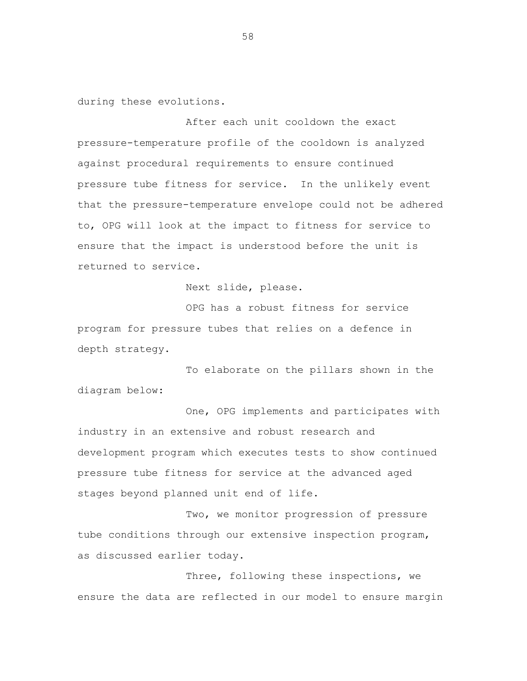during these evolutions.

After each unit cooldown the exact pressure-temperature profile of the cooldown is analyzed against procedural requirements to ensure continued pressure tube fitness for service. In the unlikely event that the pressure-temperature envelope could not be adhered to, OPG will look at the impact to fitness for service to ensure that the impact is understood before the unit is returned to service.

Next slide, please.

OPG has a robust fitness for service program for pressure tubes that relies on a defence in depth strategy.

To elaborate on the pillars shown in the diagram below:

One, OPG implements and participates with industry in an extensive and robust research and development program which executes tests to show continued pressure tube fitness for service at the advanced aged stages beyond planned unit end of life.

Two, we monitor progression of pressure tube conditions through our extensive inspection program, as discussed earlier today.

Three, following these inspections, we ensure the data are reflected in our model to ensure margin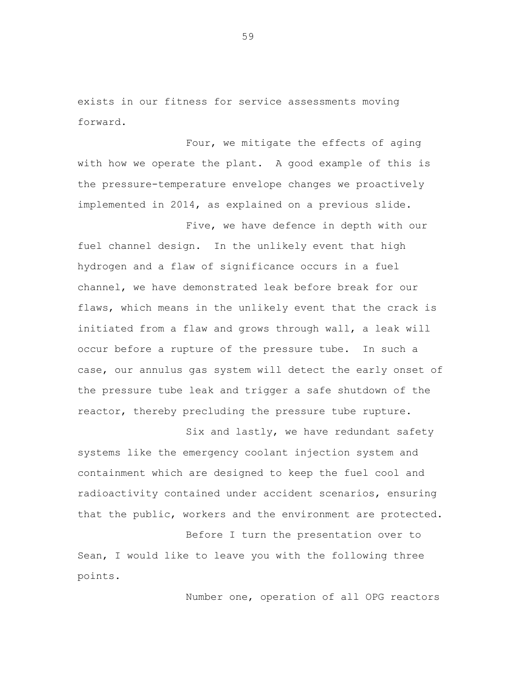exists in our fitness for service assessments moving forward.

Four, we mitigate the effects of aging with how we operate the plant. A good example of this is the pressure-temperature envelope changes we proactively implemented in 2014, as explained on a previous slide.

Five, we have defence in depth with our fuel channel design. In the unlikely event that high hydrogen and a flaw of significance occurs in a fuel channel, we have demonstrated leak before break for our flaws, which means in the unlikely event that the crack is initiated from a flaw and grows through wall, a leak will occur before a rupture of the pressure tube. In such a case, our annulus gas system will detect the early onset of the pressure tube leak and trigger a safe shutdown of the reactor, thereby precluding the pressure tube rupture.

Six and lastly, we have redundant safety systems like the emergency coolant injection system and containment which are designed to keep the fuel cool and radioactivity contained under accident scenarios, ensuring that the public, workers and the environment are protected.

Before I turn the presentation over to Sean, I would like to leave you with the following three points.

Number one, operation of all OPG reactors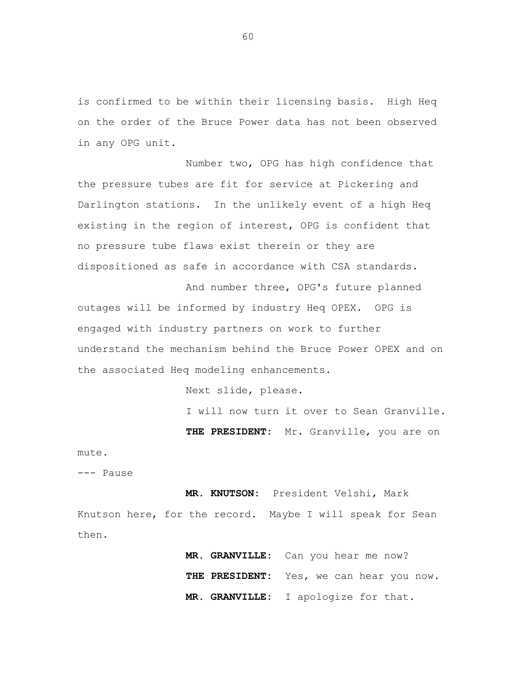is confirmed to be within their licensing basis. High Heq on the order of the Bruce Power data has not been observed in any OPG unit.

Number two, OPG has high confidence that the pressure tubes are fit for service at Pickering and Darlington stations. In the unlikely event of a high Heq existing in the region of interest, OPG is confident that no pressure tube flaws exist therein or they are dispositioned as safe in accordance with CSA standards.

And number three, OPG's future planned outages will be informed by industry Heq OPEX. OPG is engaged with industry partners on work to further understand the mechanism behind the Bruce Power OPEX and on the associated Heq modeling enhancements.

Next slide, please.

I will now turn it over to Sean Granville.

**THE PRESIDENT:** Mr. Granville, you are on

## mute.

--- Pause

**MR. KNUTSON:** President Velshi, Mark Knutson here, for the record. Maybe I will speak for Sean then.

> **MR. GRANVILLE:** Can you hear me now? **THE PRESIDENT:** Yes, we can hear you now. **MR. GRANVILLE:** I apologize for that.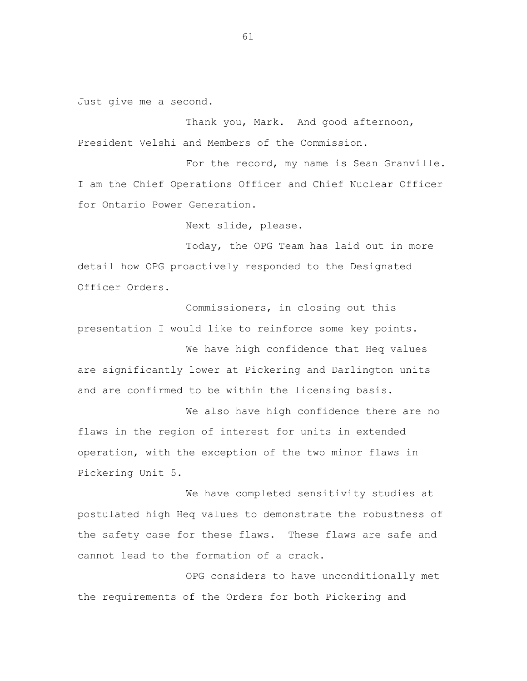Just give me a second.

Thank you, Mark. And good afternoon, President Velshi and Members of the Commission.

For the record, my name is Sean Granville. I am the Chief Operations Officer and Chief Nuclear Officer for Ontario Power Generation.

Next slide, please.

Today, the OPG Team has laid out in more detail how OPG proactively responded to the Designated Officer Orders.

Commissioners, in closing out this presentation I would like to reinforce some key points.

We have high confidence that Heq values are significantly lower at Pickering and Darlington units and are confirmed to be within the licensing basis.

We also have high confidence there are no flaws in the region of interest for units in extended operation, with the exception of the two minor flaws in Pickering Unit 5.

We have completed sensitivity studies at postulated high Heq values to demonstrate the robustness of the safety case for these flaws. These flaws are safe and cannot lead to the formation of a crack.

OPG considers to have unconditionally met the requirements of the Orders for both Pickering and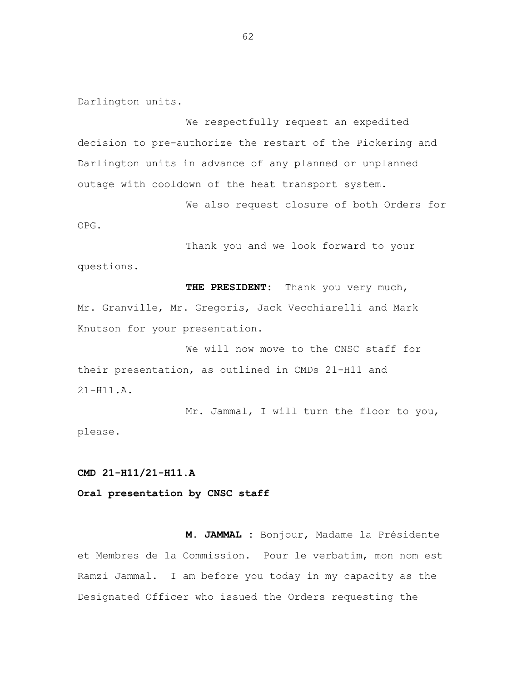Darlington units.

We respectfully request an expedited decision to pre-authorize the restart of the Pickering and Darlington units in advance of any planned or unplanned outage with cooldown of the heat transport system.

We also request closure of both Orders for OPG.

Thank you and we look forward to your questions.

**THE PRESIDENT:** Thank you very much, Mr. Granville, Mr. Gregoris, Jack Vecchiarelli and Mark Knutson for your presentation.

We will now move to the CNSC staff for their presentation, as outlined in CMDs 21-H11 and 21-H11.A.

Mr. Jammal, I will turn the floor to you, please.

**CMD 21-H11/21-H11.A**

**Oral presentation by CNSC staff**

**M. JAMMAL :** Bonjour, Madame la Présidente et Membres de la Commission. Pour le verbatim, mon nom est Ramzi Jammal. I am before you today in my capacity as the Designated Officer who issued the Orders requesting the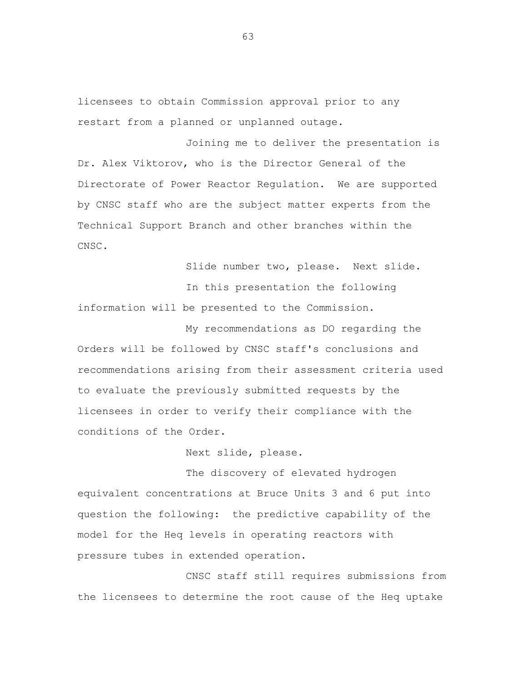licensees to obtain Commission approval prior to any restart from a planned or unplanned outage.

Joining me to deliver the presentation is Dr. Alex Viktorov, who is the Director General of the Directorate of Power Reactor Regulation. We are supported by CNSC staff who are the subject matter experts from the Technical Support Branch and other branches within the CNSC.

Slide number two, please. Next slide. In this presentation the following information will be presented to the Commission.

My recommendations as DO regarding the Orders will be followed by CNSC staff's conclusions and recommendations arising from their assessment criteria used to evaluate the previously submitted requests by the licensees in order to verify their compliance with the conditions of the Order.

Next slide, please.

The discovery of elevated hydrogen equivalent concentrations at Bruce Units 3 and 6 put into question the following: the predictive capability of the model for the Heq levels in operating reactors with pressure tubes in extended operation.

CNSC staff still requires submissions from the licensees to determine the root cause of the Heq uptake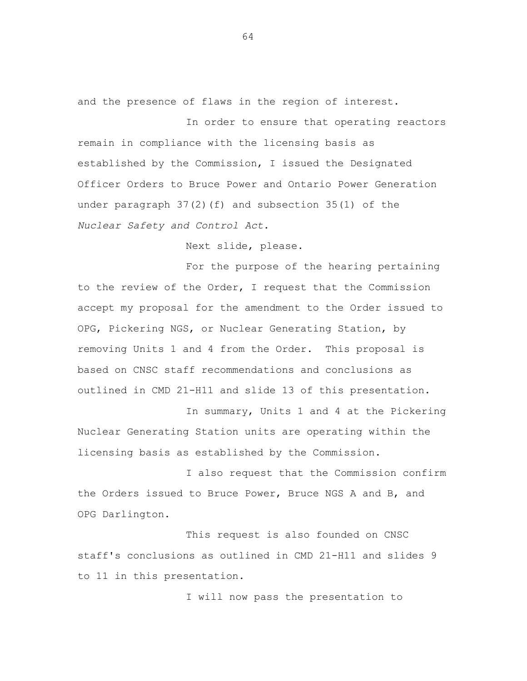and the presence of flaws in the region of interest.

In order to ensure that operating reactors remain in compliance with the licensing basis as established by the Commission, I issued the Designated Officer Orders to Bruce Power and Ontario Power Generation under paragraph  $37(2)$  (f) and subsection  $35(1)$  of the *Nuclear Safety and Control Act*.

Next slide, please.

For the purpose of the hearing pertaining to the review of the Order, I request that the Commission accept my proposal for the amendment to the Order issued to OPG, Pickering NGS, or Nuclear Generating Station, by removing Units 1 and 4 from the Order. This proposal is based on CNSC staff recommendations and conclusions as outlined in CMD 21-H11 and slide 13 of this presentation.

In summary, Units 1 and 4 at the Pickering Nuclear Generating Station units are operating within the licensing basis as established by the Commission.

I also request that the Commission confirm the Orders issued to Bruce Power, Bruce NGS A and B, and OPG Darlington.

This request is also founded on CNSC staff's conclusions as outlined in CMD 21-H11 and slides 9 to 11 in this presentation.

I will now pass the presentation to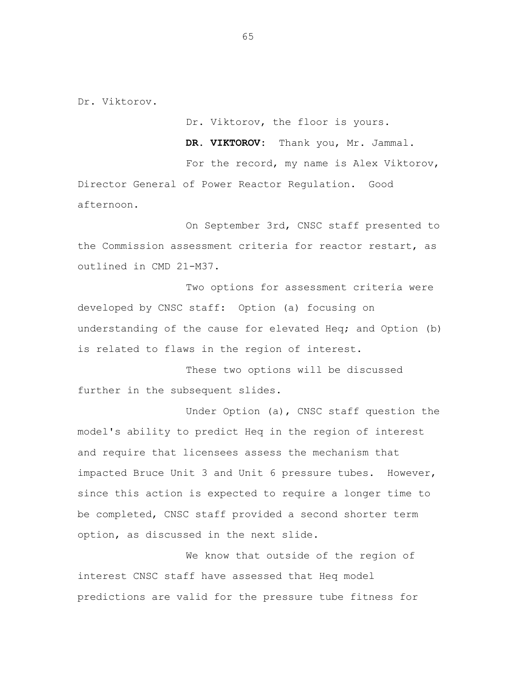Dr. Viktorov.

Dr. Viktorov, the floor is yours.

**DR. VIKTOROV:** Thank you, Mr. Jammal.

For the record, my name is Alex Viktorov, Director General of Power Reactor Regulation. Good afternoon.

On September 3rd, CNSC staff presented to the Commission assessment criteria for reactor restart, as outlined in CMD 21-M37.

Two options for assessment criteria were developed by CNSC staff: Option (a) focusing on understanding of the cause for elevated Heq; and Option (b) is related to flaws in the region of interest.

These two options will be discussed further in the subsequent slides.

Under Option (a), CNSC staff question the model's ability to predict Heq in the region of interest and require that licensees assess the mechanism that impacted Bruce Unit 3 and Unit 6 pressure tubes. However, since this action is expected to require a longer time to be completed, CNSC staff provided a second shorter term option, as discussed in the next slide.

We know that outside of the region of interest CNSC staff have assessed that Heq model predictions are valid for the pressure tube fitness for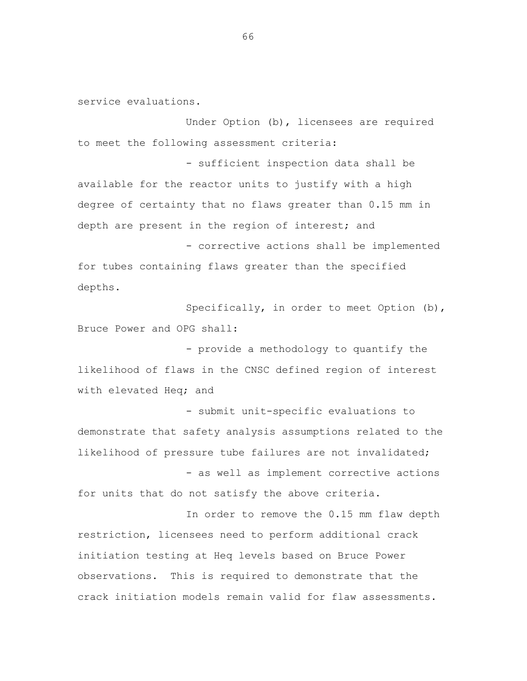service evaluations.

Under Option (b), licensees are required to meet the following assessment criteria:

- sufficient inspection data shall be available for the reactor units to justify with a high degree of certainty that no flaws greater than 0.15 mm in depth are present in the region of interest; and

- corrective actions shall be implemented for tubes containing flaws greater than the specified depths.

Specifically, in order to meet Option (b), Bruce Power and OPG shall:

- provide a methodology to quantify the likelihood of flaws in the CNSC defined region of interest with elevated Heq; and

- submit unit-specific evaluations to demonstrate that safety analysis assumptions related to the likelihood of pressure tube failures are not invalidated;

- as well as implement corrective actions for units that do not satisfy the above criteria.

In order to remove the 0.15 mm flaw depth restriction, licensees need to perform additional crack initiation testing at Heq levels based on Bruce Power observations. This is required to demonstrate that the crack initiation models remain valid for flaw assessments.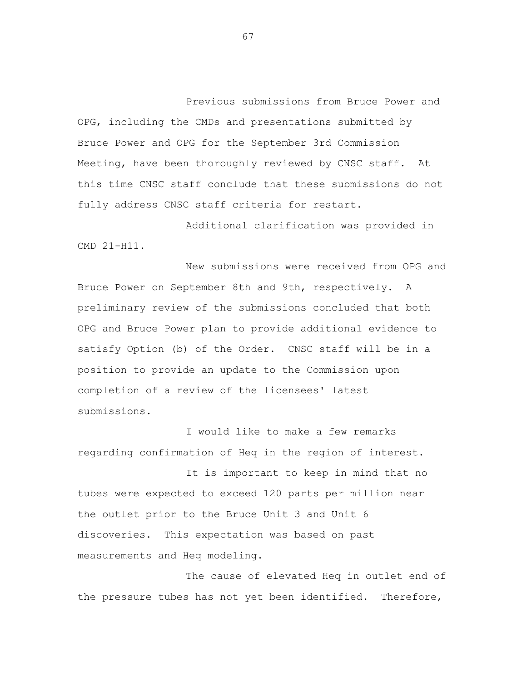Previous submissions from Bruce Power and OPG, including the CMDs and presentations submitted by Bruce Power and OPG for the September 3rd Commission Meeting, have been thoroughly reviewed by CNSC staff. At this time CNSC staff conclude that these submissions do not fully address CNSC staff criteria for restart.

Additional clarification was provided in CMD 21-H11.

New submissions were received from OPG and Bruce Power on September 8th and 9th, respectively. A preliminary review of the submissions concluded that both OPG and Bruce Power plan to provide additional evidence to satisfy Option (b) of the Order. CNSC staff will be in a position to provide an update to the Commission upon completion of a review of the licensees' latest submissions.

I would like to make a few remarks regarding confirmation of Heq in the region of interest.

It is important to keep in mind that no tubes were expected to exceed 120 parts per million near the outlet prior to the Bruce Unit 3 and Unit 6 discoveries. This expectation was based on past measurements and Heq modeling.

The cause of elevated Heq in outlet end of the pressure tubes has not yet been identified. Therefore,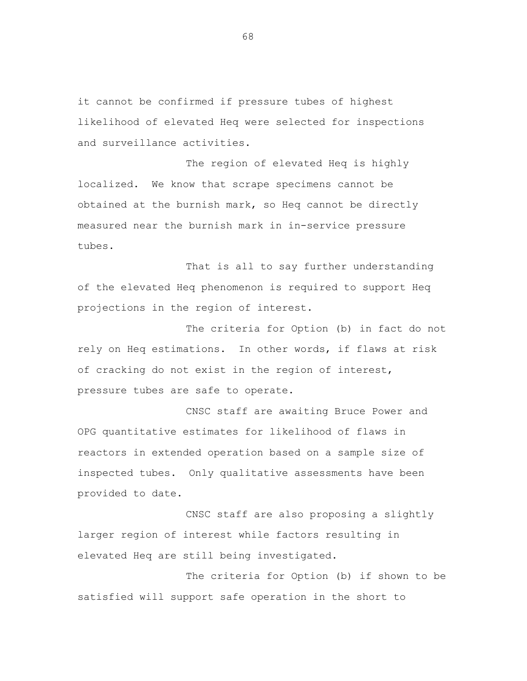it cannot be confirmed if pressure tubes of highest likelihood of elevated Heq were selected for inspections and surveillance activities.

The region of elevated Heq is highly localized. We know that scrape specimens cannot be obtained at the burnish mark, so Heq cannot be directly measured near the burnish mark in in-service pressure tubes.

That is all to say further understanding of the elevated Heq phenomenon is required to support Heq projections in the region of interest.

The criteria for Option (b) in fact do not rely on Heq estimations. In other words, if flaws at risk of cracking do not exist in the region of interest, pressure tubes are safe to operate.

CNSC staff are awaiting Bruce Power and OPG quantitative estimates for likelihood of flaws in reactors in extended operation based on a sample size of inspected tubes. Only qualitative assessments have been provided to date.

CNSC staff are also proposing a slightly larger region of interest while factors resulting in elevated Heq are still being investigated.

The criteria for Option (b) if shown to be satisfied will support safe operation in the short to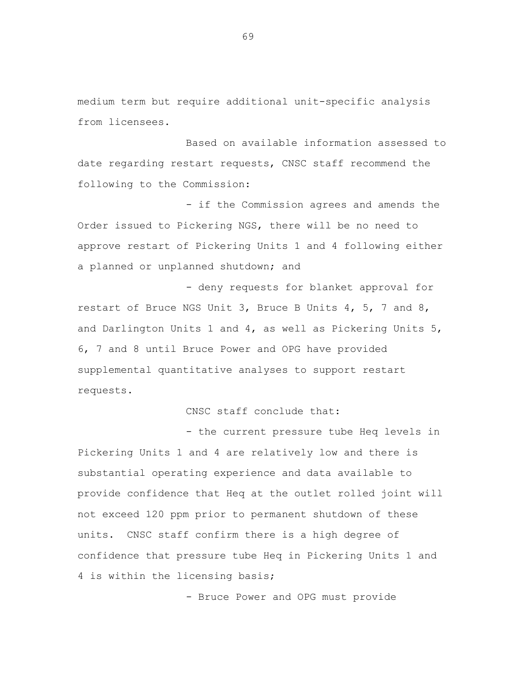medium term but require additional unit-specific analysis from licensees.

Based on available information assessed to date regarding restart requests, CNSC staff recommend the following to the Commission:

- if the Commission agrees and amends the Order issued to Pickering NGS, there will be no need to approve restart of Pickering Units 1 and 4 following either a planned or unplanned shutdown; and

- deny requests for blanket approval for restart of Bruce NGS Unit 3, Bruce B Units 4, 5, 7 and 8, and Darlington Units 1 and 4, as well as Pickering Units 5, 6, 7 and 8 until Bruce Power and OPG have provided supplemental quantitative analyses to support restart requests.

CNSC staff conclude that:

- the current pressure tube Heq levels in Pickering Units 1 and 4 are relatively low and there is substantial operating experience and data available to provide confidence that Heq at the outlet rolled joint will not exceed 120 ppm prior to permanent shutdown of these units. CNSC staff confirm there is a high degree of confidence that pressure tube Heq in Pickering Units 1 and 4 is within the licensing basis;

- Bruce Power and OPG must provide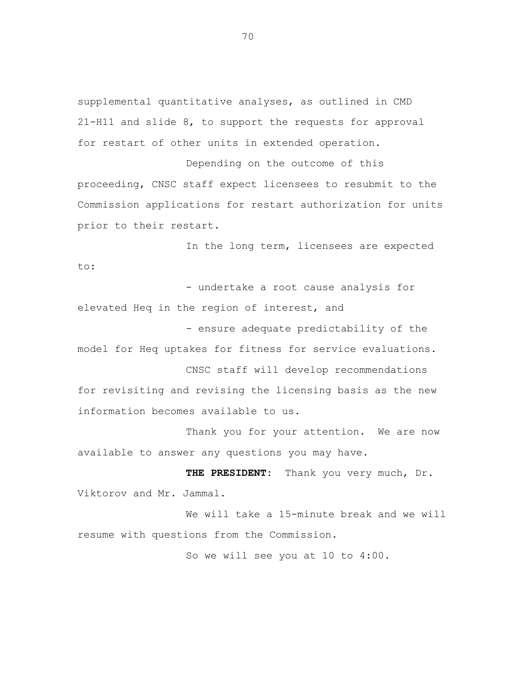supplemental quantitative analyses, as outlined in CMD 21-H11 and slide 8, to support the requests for approval for restart of other units in extended operation.

Depending on the outcome of this proceeding, CNSC staff expect licensees to resubmit to the Commission applications for restart authorization for units prior to their restart.

In the long term, licensees are expected to:

- undertake a root cause analysis for elevated Heq in the region of interest, and

- ensure adequate predictability of the model for Heq uptakes for fitness for service evaluations.

CNSC staff will develop recommendations for revisiting and revising the licensing basis as the new information becomes available to us.

Thank you for your attention. We are now available to answer any questions you may have.

**THE PRESIDENT:** Thank you very much, Dr. Viktorov and Mr. Jammal.

We will take a 15-minute break and we will resume with questions from the Commission.

So we will see you at 10 to 4:00.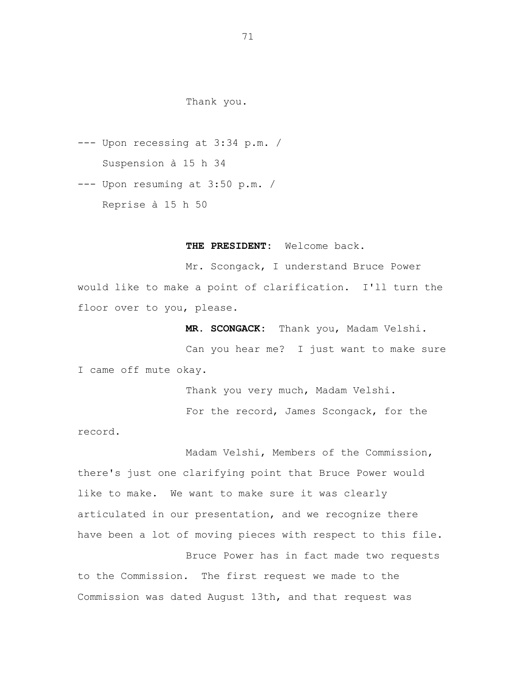# Thank you.

- --- Upon recessing at 3:34 p.m. / Suspension à 15 h 34
- --- Upon resuming at 3:50 p.m. / Reprise à 15 h 50

## **THE PRESIDENT:** Welcome back.

Mr. Scongack, I understand Bruce Power would like to make a point of clarification. I'll turn the floor over to you, please.

**MR. SCONGACK:** Thank you, Madam Velshi.

Can you hear me? I just want to make sure I came off mute okay.

Thank you very much, Madam Velshi.

For the record, James Scongack, for the

record.

Madam Velshi, Members of the Commission, there's just one clarifying point that Bruce Power would like to make. We want to make sure it was clearly articulated in our presentation, and we recognize there have been a lot of moving pieces with respect to this file.

Bruce Power has in fact made two requests to the Commission. The first request we made to the Commission was dated August 13th, and that request was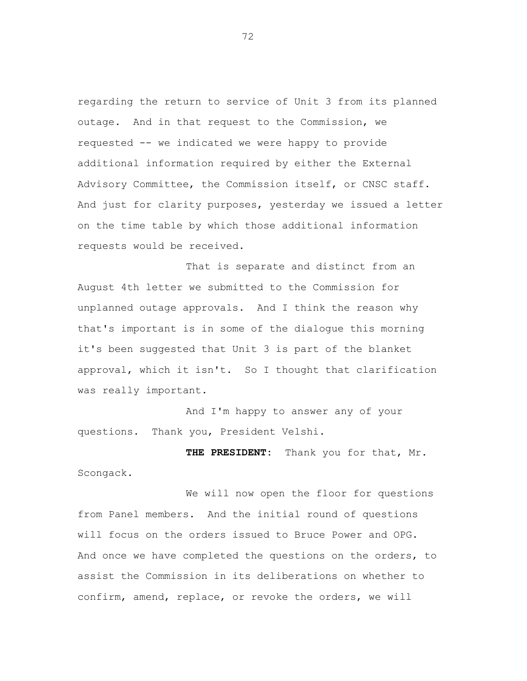regarding the return to service of Unit 3 from its planned outage. And in that request to the Commission, we requested -- we indicated we were happy to provide additional information required by either the External Advisory Committee, the Commission itself, or CNSC staff. And just for clarity purposes, yesterday we issued a letter on the time table by which those additional information requests would be received.

That is separate and distinct from an August 4th letter we submitted to the Commission for unplanned outage approvals. And I think the reason why that's important is in some of the dialogue this morning it's been suggested that Unit 3 is part of the blanket approval, which it isn't. So I thought that clarification was really important.

And I'm happy to answer any of your questions. Thank you, President Velshi.

**THE PRESIDENT:** Thank you for that, Mr. Scongack.

We will now open the floor for questions from Panel members. And the initial round of questions will focus on the orders issued to Bruce Power and OPG. And once we have completed the questions on the orders, to assist the Commission in its deliberations on whether to confirm, amend, replace, or revoke the orders, we will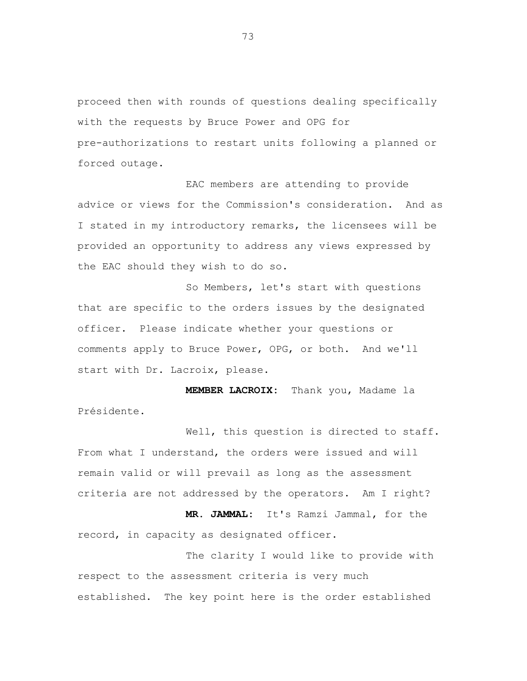proceed then with rounds of questions dealing specifically with the requests by Bruce Power and OPG for pre-authorizations to restart units following a planned or forced outage.

EAC members are attending to provide advice or views for the Commission's consideration. And as I stated in my introductory remarks, the licensees will be provided an opportunity to address any views expressed by the EAC should they wish to do so.

So Members, let's start with questions that are specific to the orders issues by the designated officer. Please indicate whether your questions or comments apply to Bruce Power, OPG, or both. And we'll start with Dr. Lacroix, please.

**MEMBER LACROIX:** Thank you, Madame la Présidente.

Well, this question is directed to staff. From what I understand, the orders were issued and will remain valid or will prevail as long as the assessment criteria are not addressed by the operators. Am I right?

**MR. JAMMAL:** It's Ramzi Jammal, for the record, in capacity as designated officer.

The clarity I would like to provide with respect to the assessment criteria is very much established. The key point here is the order established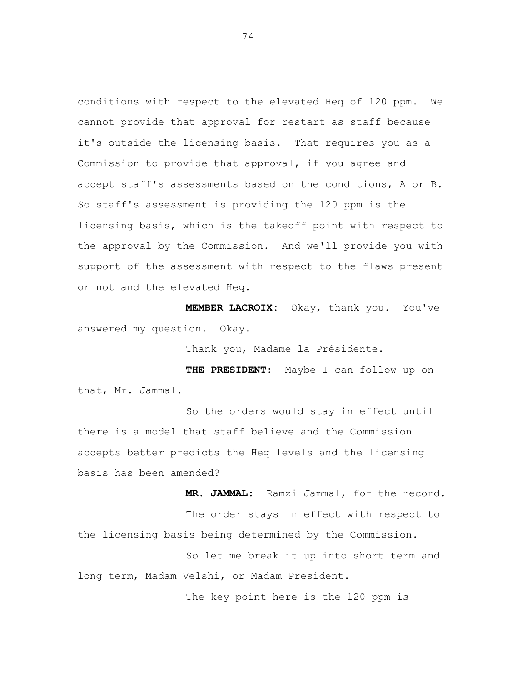conditions with respect to the elevated Heq of 120 ppm. We cannot provide that approval for restart as staff because it's outside the licensing basis. That requires you as a Commission to provide that approval, if you agree and accept staff's assessments based on the conditions, A or B. So staff's assessment is providing the 120 ppm is the licensing basis, which is the takeoff point with respect to the approval by the Commission. And we'll provide you with support of the assessment with respect to the flaws present or not and the elevated Heq.

**MEMBER LACROIX:** Okay, thank you. You've answered my question. Okay.

Thank you, Madame la Présidente.

**THE PRESIDENT:** Maybe I can follow up on that, Mr. Jammal.

So the orders would stay in effect until there is a model that staff believe and the Commission accepts better predicts the Heq levels and the licensing basis has been amended?

**MR. JAMMAL:** Ramzi Jammal, for the record. The order stays in effect with respect to the licensing basis being determined by the Commission.

So let me break it up into short term and long term, Madam Velshi, or Madam President.

The key point here is the 120 ppm is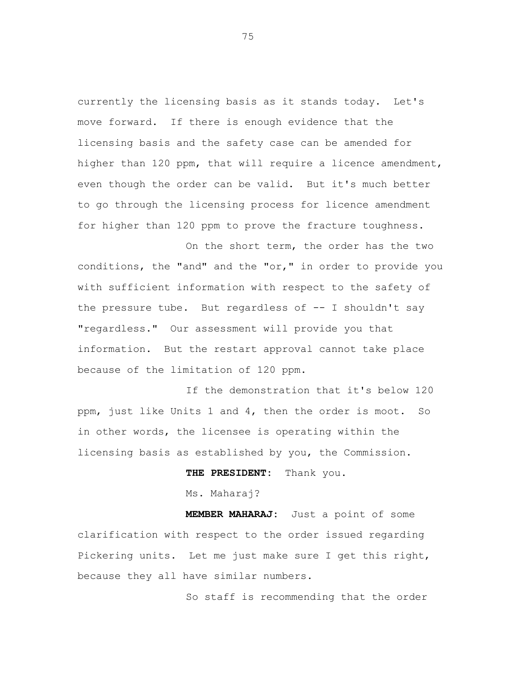currently the licensing basis as it stands today. Let's move forward. If there is enough evidence that the licensing basis and the safety case can be amended for higher than 120 ppm, that will require a licence amendment, even though the order can be valid. But it's much better to go through the licensing process for licence amendment for higher than 120 ppm to prove the fracture toughness.

On the short term, the order has the two conditions, the "and" and the "or," in order to provide you with sufficient information with respect to the safety of the pressure tube. But regardless of -- I shouldn't say "regardless." Our assessment will provide you that information. But the restart approval cannot take place because of the limitation of 120 ppm.

If the demonstration that it's below 120 ppm, just like Units 1 and 4, then the order is moot. So in other words, the licensee is operating within the licensing basis as established by you, the Commission.

**THE PRESIDENT:** Thank you.

Ms. Maharaj?

**MEMBER MAHARAJ:** Just a point of some clarification with respect to the order issued regarding Pickering units. Let me just make sure I get this right, because they all have similar numbers.

So staff is recommending that the order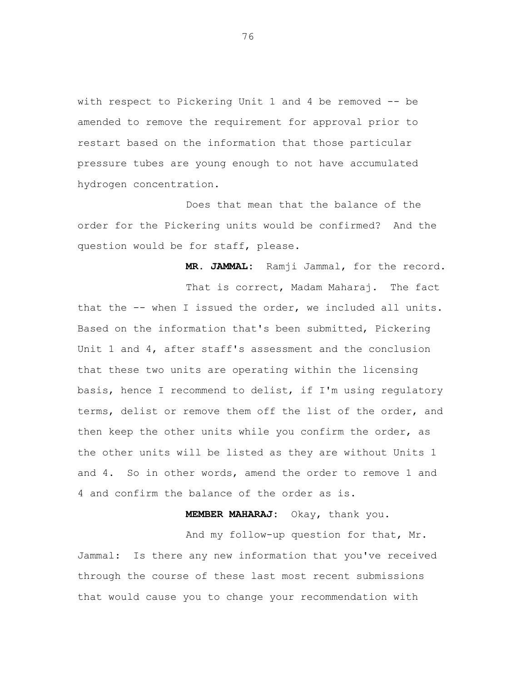with respect to Pickering Unit 1 and 4 be removed -- be amended to remove the requirement for approval prior to restart based on the information that those particular pressure tubes are young enough to not have accumulated hydrogen concentration.

Does that mean that the balance of the order for the Pickering units would be confirmed? And the question would be for staff, please.

**MR. JAMMAL:** Ramji Jammal, for the record.

That is correct, Madam Maharaj. The fact that the -- when I issued the order, we included all units. Based on the information that's been submitted, Pickering Unit 1 and 4, after staff's assessment and the conclusion that these two units are operating within the licensing basis, hence I recommend to delist, if I'm using regulatory terms, delist or remove them off the list of the order, and then keep the other units while you confirm the order, as the other units will be listed as they are without Units 1 and 4. So in other words, amend the order to remove 1 and 4 and confirm the balance of the order as is.

**MEMBER MAHARAJ:** Okay, thank you.

And my follow-up question for that, Mr. Jammal: Is there any new information that you've received through the course of these last most recent submissions that would cause you to change your recommendation with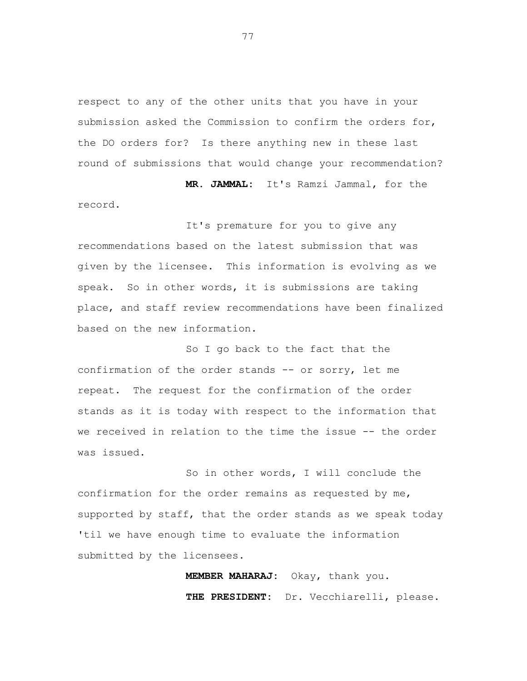respect to any of the other units that you have in your submission asked the Commission to confirm the orders for, the DO orders for? Is there anything new in these last round of submissions that would change your recommendation?

**MR. JAMMAL:** It's Ramzi Jammal, for the record.

It's premature for you to give any recommendations based on the latest submission that was given by the licensee. This information is evolving as we speak. So in other words, it is submissions are taking place, and staff review recommendations have been finalized based on the new information.

So I go back to the fact that the confirmation of the order stands -- or sorry, let me repeat. The request for the confirmation of the order stands as it is today with respect to the information that we received in relation to the time the issue -- the order was issued.

So in other words, I will conclude the confirmation for the order remains as requested by me, supported by staff, that the order stands as we speak today 'til we have enough time to evaluate the information submitted by the licensees.

> **MEMBER MAHARAJ:** Okay, thank you. **THE PRESIDENT:** Dr. Vecchiarelli, please.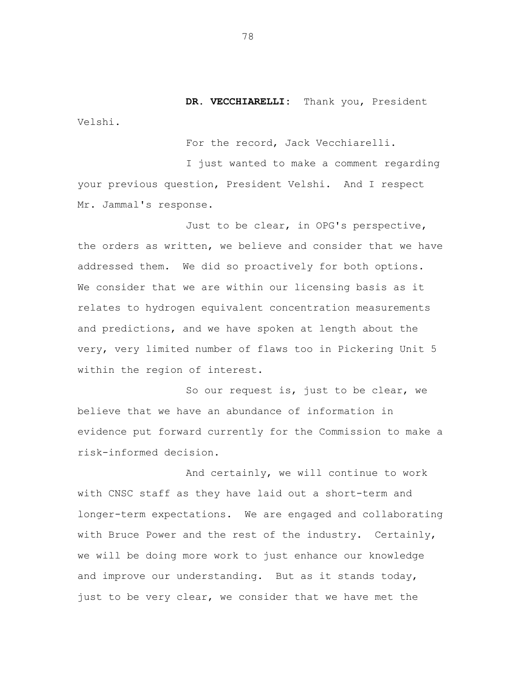**DR. VECCHIARELLI:** Thank you, President Velshi.

For the record, Jack Vecchiarelli.

I just wanted to make a comment regarding your previous question, President Velshi. And I respect Mr. Jammal's response.

Just to be clear, in OPG's perspective, the orders as written, we believe and consider that we have addressed them. We did so proactively for both options. We consider that we are within our licensing basis as it relates to hydrogen equivalent concentration measurements and predictions, and we have spoken at length about the very, very limited number of flaws too in Pickering Unit 5 within the region of interest.

So our request is, just to be clear, we believe that we have an abundance of information in evidence put forward currently for the Commission to make a risk-informed decision.

And certainly, we will continue to work with CNSC staff as they have laid out a short-term and longer-term expectations. We are engaged and collaborating with Bruce Power and the rest of the industry. Certainly, we will be doing more work to just enhance our knowledge and improve our understanding. But as it stands today, just to be very clear, we consider that we have met the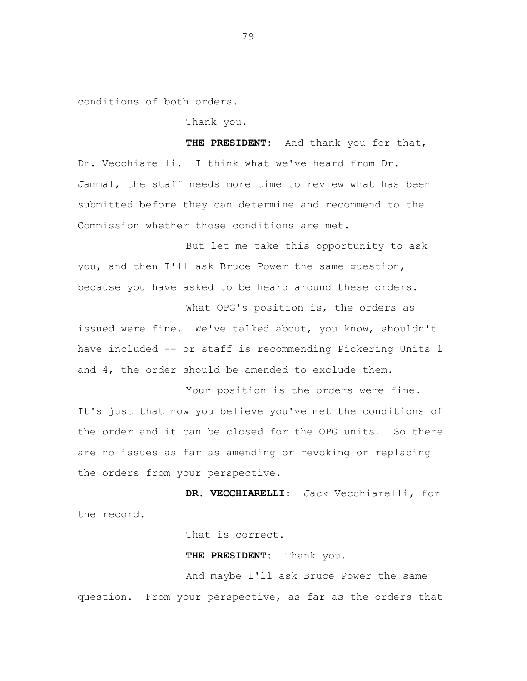conditions of both orders.

Thank you.

**THE PRESIDENT:** And thank you for that, Dr. Vecchiarelli. I think what we've heard from Dr. Jammal, the staff needs more time to review what has been submitted before they can determine and recommend to the Commission whether those conditions are met.

But let me take this opportunity to ask you, and then I'll ask Bruce Power the same question, because you have asked to be heard around these orders.

What OPG's position is, the orders as issued were fine. We've talked about, you know, shouldn't have included -- or staff is recommending Pickering Units 1 and 4, the order should be amended to exclude them.

Your position is the orders were fine. It's just that now you believe you've met the conditions of the order and it can be closed for the OPG units. So there are no issues as far as amending or revoking or replacing the orders from your perspective.

**DR. VECCHIARELLI:** Jack Vecchiarelli, for the record.

That is correct.

**THE PRESIDENT:** Thank you.

And maybe I'll ask Bruce Power the same question. From your perspective, as far as the orders that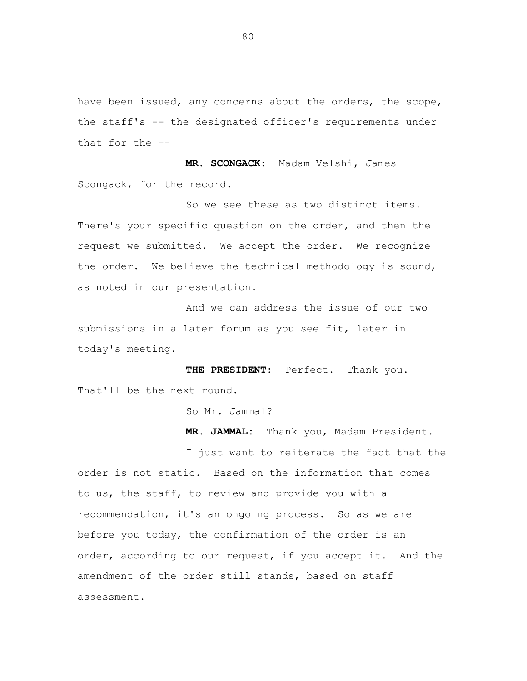have been issued, any concerns about the orders, the scope, the staff's -- the designated officer's requirements under that for the --

**MR. SCONGACK:** Madam Velshi, James Scongack, for the record.

So we see these as two distinct items. There's your specific question on the order, and then the request we submitted. We accept the order. We recognize the order. We believe the technical methodology is sound, as noted in our presentation.

And we can address the issue of our two submissions in a later forum as you see fit, later in today's meeting.

**THE PRESIDENT:** Perfect. Thank you. That'll be the next round.

So Mr. Jammal?

**MR. JAMMAL:** Thank you, Madam President.

I just want to reiterate the fact that the order is not static. Based on the information that comes to us, the staff, to review and provide you with a recommendation, it's an ongoing process. So as we are before you today, the confirmation of the order is an order, according to our request, if you accept it. And the amendment of the order still stands, based on staff assessment.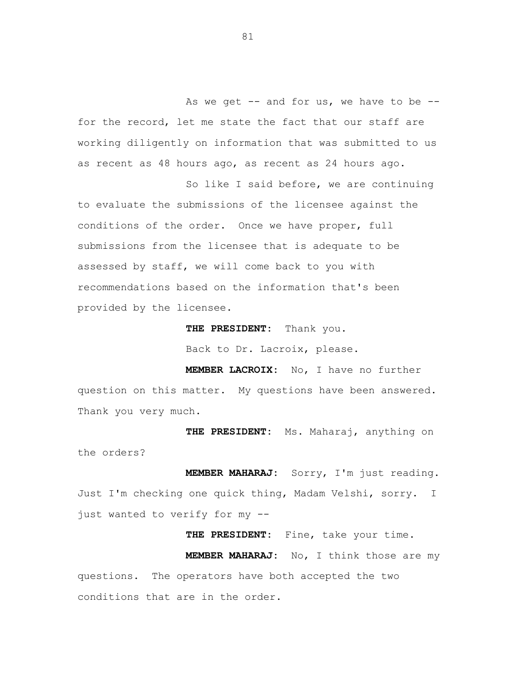As we get  $-$  and for us, we have to be  $$ for the record, let me state the fact that our staff are working diligently on information that was submitted to us as recent as 48 hours ago, as recent as 24 hours ago.

So like I said before, we are continuing to evaluate the submissions of the licensee against the conditions of the order. Once we have proper, full submissions from the licensee that is adequate to be assessed by staff, we will come back to you with recommendations based on the information that's been provided by the licensee.

> **THE PRESIDENT:** Thank you. Back to Dr. Lacroix, please.

**MEMBER LACROIX:** No, I have no further question on this matter. My questions have been answered. Thank you very much.

**THE PRESIDENT:** Ms. Maharaj, anything on the orders?

**MEMBER MAHARAJ:** Sorry, I'm just reading. Just I'm checking one quick thing, Madam Velshi, sorry. I just wanted to verify for my --

**THE PRESIDENT:** Fine, take your time. **MEMBER MAHARAJ:** No, I think those are my questions. The operators have both accepted the two conditions that are in the order.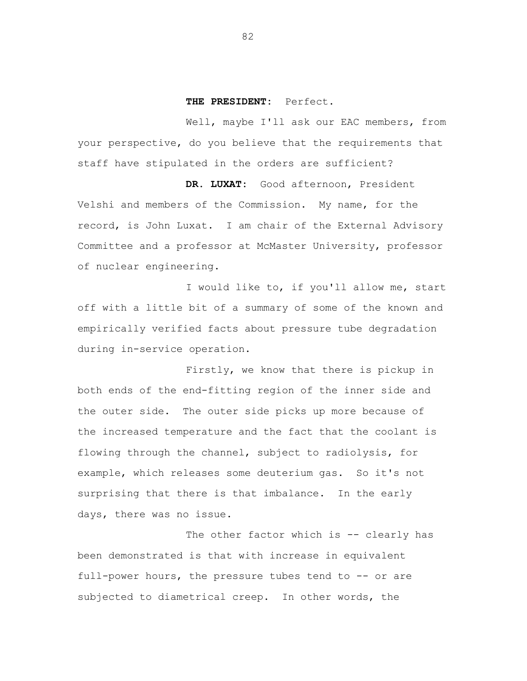#### **THE PRESIDENT:** Perfect.

Well, maybe I'll ask our EAC members, from your perspective, do you believe that the requirements that staff have stipulated in the orders are sufficient?

**DR. LUXAT:** Good afternoon, President Velshi and members of the Commission. My name, for the record, is John Luxat. I am chair of the External Advisory Committee and a professor at McMaster University, professor of nuclear engineering.

I would like to, if you'll allow me, start off with a little bit of a summary of some of the known and empirically verified facts about pressure tube degradation during in-service operation.

Firstly, we know that there is pickup in both ends of the end-fitting region of the inner side and the outer side. The outer side picks up more because of the increased temperature and the fact that the coolant is flowing through the channel, subject to radiolysis, for example, which releases some deuterium gas. So it's not surprising that there is that imbalance. In the early days, there was no issue.

The other factor which is -- clearly has been demonstrated is that with increase in equivalent full-power hours, the pressure tubes tend to -- or are subjected to diametrical creep. In other words, the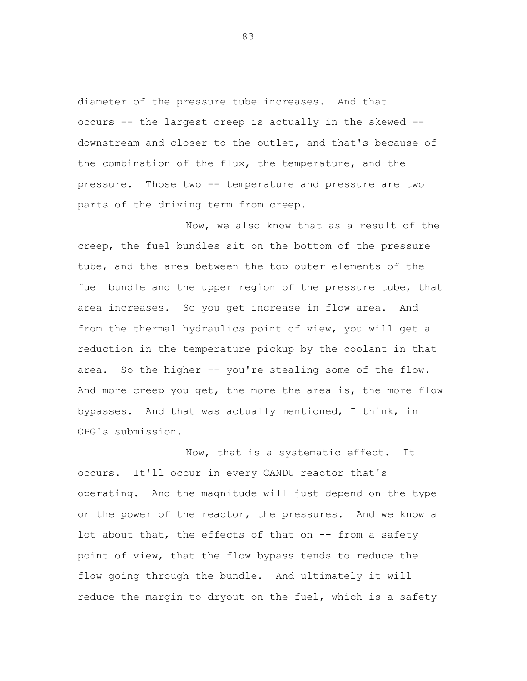diameter of the pressure tube increases. And that occurs -- the largest creep is actually in the skewed - downstream and closer to the outlet, and that's because of the combination of the flux, the temperature, and the pressure. Those two -- temperature and pressure are two parts of the driving term from creep.

Now, we also know that as a result of the creep, the fuel bundles sit on the bottom of the pressure tube, and the area between the top outer elements of the fuel bundle and the upper region of the pressure tube, that area increases. So you get increase in flow area. And from the thermal hydraulics point of view, you will get a reduction in the temperature pickup by the coolant in that area. So the higher -- you're stealing some of the flow. And more creep you get, the more the area is, the more flow bypasses. And that was actually mentioned, I think, in OPG's submission.

Now, that is a systematic effect. It occurs. It'll occur in every CANDU reactor that's operating. And the magnitude will just depend on the type or the power of the reactor, the pressures. And we know a lot about that, the effects of that on -- from a safety point of view, that the flow bypass tends to reduce the flow going through the bundle. And ultimately it will reduce the margin to dryout on the fuel, which is a safety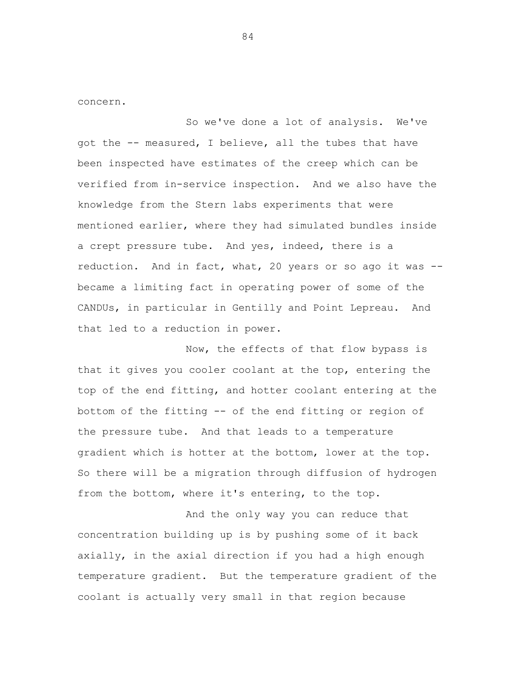concern.

So we've done a lot of analysis. We've got the -- measured, I believe, all the tubes that have been inspected have estimates of the creep which can be verified from in-service inspection. And we also have the knowledge from the Stern labs experiments that were mentioned earlier, where they had simulated bundles inside a crept pressure tube. And yes, indeed, there is a reduction. And in fact, what, 20 years or so ago it was - became a limiting fact in operating power of some of the CANDUs, in particular in Gentilly and Point Lepreau. And that led to a reduction in power.

Now, the effects of that flow bypass is that it gives you cooler coolant at the top, entering the top of the end fitting, and hotter coolant entering at the bottom of the fitting -- of the end fitting or region of the pressure tube. And that leads to a temperature gradient which is hotter at the bottom, lower at the top. So there will be a migration through diffusion of hydrogen from the bottom, where it's entering, to the top.

And the only way you can reduce that concentration building up is by pushing some of it back axially, in the axial direction if you had a high enough temperature gradient. But the temperature gradient of the coolant is actually very small in that region because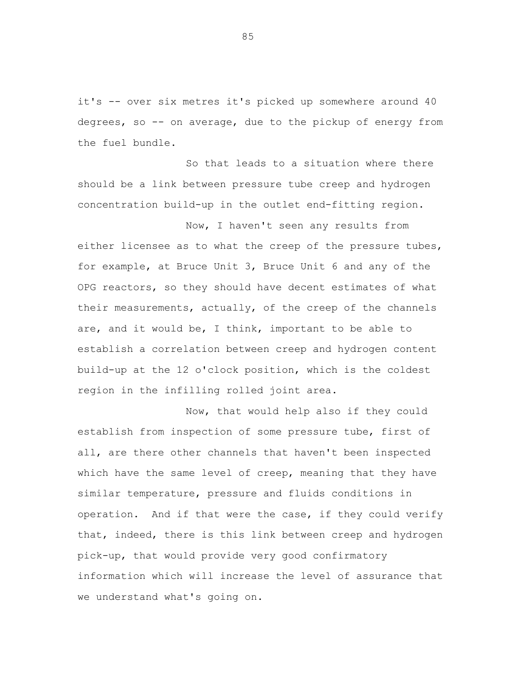it's -- over six metres it's picked up somewhere around 40 degrees, so -- on average, due to the pickup of energy from the fuel bundle.

So that leads to a situation where there should be a link between pressure tube creep and hydrogen concentration build-up in the outlet end-fitting region.

Now, I haven't seen any results from either licensee as to what the creep of the pressure tubes, for example, at Bruce Unit 3, Bruce Unit 6 and any of the OPG reactors, so they should have decent estimates of what their measurements, actually, of the creep of the channels are, and it would be, I think, important to be able to establish a correlation between creep and hydrogen content build-up at the 12 o'clock position, which is the coldest region in the infilling rolled joint area.

Now, that would help also if they could establish from inspection of some pressure tube, first of all, are there other channels that haven't been inspected which have the same level of creep, meaning that they have similar temperature, pressure and fluids conditions in operation. And if that were the case, if they could verify that, indeed, there is this link between creep and hydrogen pick-up, that would provide very good confirmatory information which will increase the level of assurance that we understand what's going on.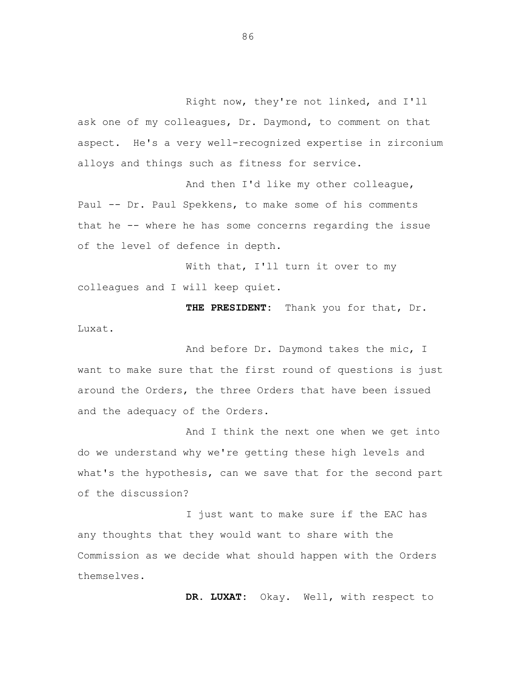Right now, they're not linked, and I'll ask one of my colleagues, Dr. Daymond, to comment on that aspect. He's a very well-recognized expertise in zirconium alloys and things such as fitness for service.

And then I'd like my other colleague, Paul -- Dr. Paul Spekkens, to make some of his comments that he -- where he has some concerns regarding the issue of the level of defence in depth.

With that, I'll turn it over to my colleagues and I will keep quiet.

**THE PRESIDENT:** Thank you for that, Dr. Luxat.

And before Dr. Daymond takes the mic, I want to make sure that the first round of questions is just around the Orders, the three Orders that have been issued and the adequacy of the Orders.

And I think the next one when we get into do we understand why we're getting these high levels and what's the hypothesis, can we save that for the second part of the discussion?

I just want to make sure if the EAC has any thoughts that they would want to share with the Commission as we decide what should happen with the Orders themselves.

**DR. LUXAT:** Okay. Well, with respect to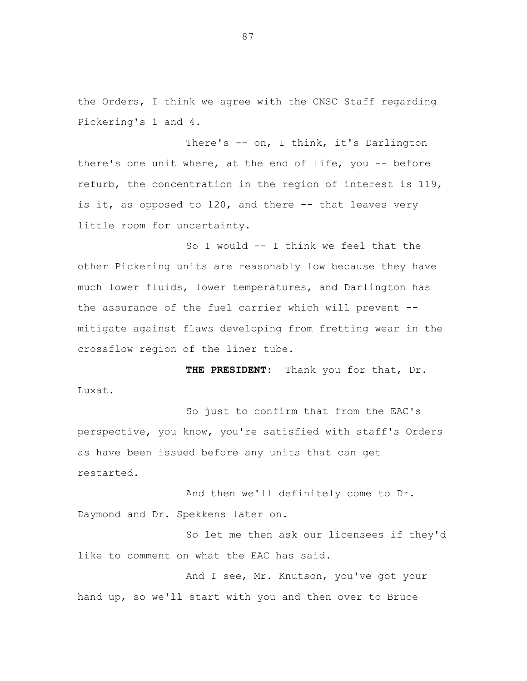the Orders, I think we agree with the CNSC Staff regarding Pickering's 1 and 4.

There's -- on, I think, it's Darlington there's one unit where, at the end of life, you -- before refurb, the concentration in the region of interest is 119, is it, as opposed to  $120$ , and there  $-$ - that leaves very little room for uncertainty.

So I would -- I think we feel that the other Pickering units are reasonably low because they have much lower fluids, lower temperatures, and Darlington has the assurance of the fuel carrier which will prevent - mitigate against flaws developing from fretting wear in the crossflow region of the liner tube.

**THE PRESIDENT:** Thank you for that, Dr. Luxat.

So just to confirm that from the EAC's perspective, you know, you're satisfied with staff's Orders as have been issued before any units that can get restarted.

And then we'll definitely come to Dr. Daymond and Dr. Spekkens later on.

So let me then ask our licensees if they'd like to comment on what the EAC has said.

And I see, Mr. Knutson, you've got your hand up, so we'll start with you and then over to Bruce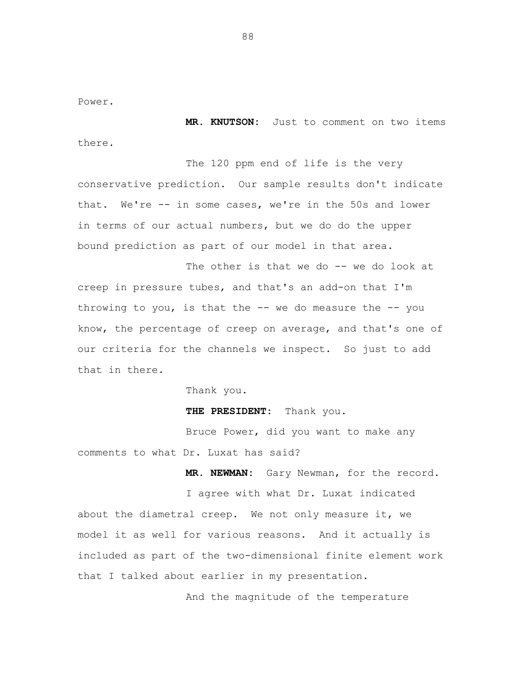Power.

**MR. KNUTSON:** Just to comment on two items there.

The 120 ppm end of life is the very conservative prediction. Our sample results don't indicate that. We're -- in some cases, we're in the 50s and lower in terms of our actual numbers, but we do do the upper bound prediction as part of our model in that area.

The other is that we do -- we do look at creep in pressure tubes, and that's an add-on that I'm throwing to you, is that the  $-$ - we do measure the  $-$ - you know, the percentage of creep on average, and that's one of our criteria for the channels we inspect. So just to add that in there.

Thank you.

**THE PRESIDENT:** Thank you.

Bruce Power, did you want to make any comments to what Dr. Luxat has said?

**MR. NEWMAN:** Gary Newman, for the record.

I agree with what Dr. Luxat indicated about the diametral creep. We not only measure it, we model it as well for various reasons. And it actually is included as part of the two-dimensional finite element work that I talked about earlier in my presentation.

And the magnitude of the temperature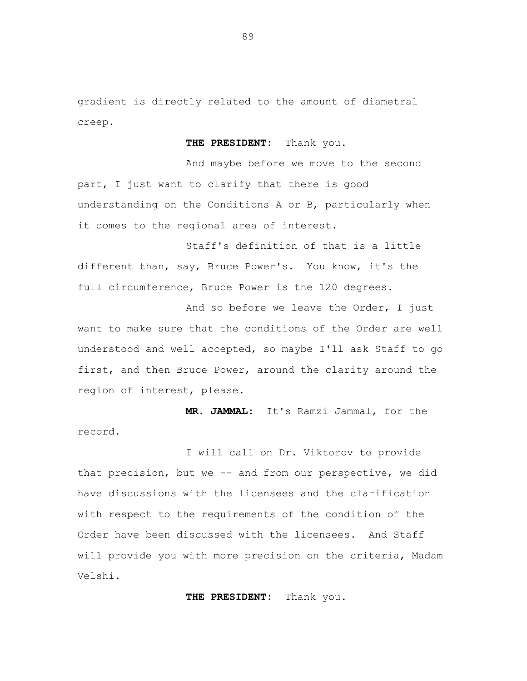gradient is directly related to the amount of diametral creep.

**THE PRESIDENT:** Thank you.

And maybe before we move to the second part, I just want to clarify that there is good understanding on the Conditions A or B, particularly when it comes to the regional area of interest.

Staff's definition of that is a little different than, say, Bruce Power's. You know, it's the full circumference, Bruce Power is the 120 degrees.

And so before we leave the Order, I just want to make sure that the conditions of the Order are well understood and well accepted, so maybe I'll ask Staff to go first, and then Bruce Power, around the clarity around the region of interest, please.

**MR. JAMMAL:** It's Ramzi Jammal, for the record.

I will call on Dr. Viktorov to provide that precision, but we -- and from our perspective, we did have discussions with the licensees and the clarification with respect to the requirements of the condition of the Order have been discussed with the licensees. And Staff will provide you with more precision on the criteria, Madam Velshi.

**THE PRESIDENT:** Thank you.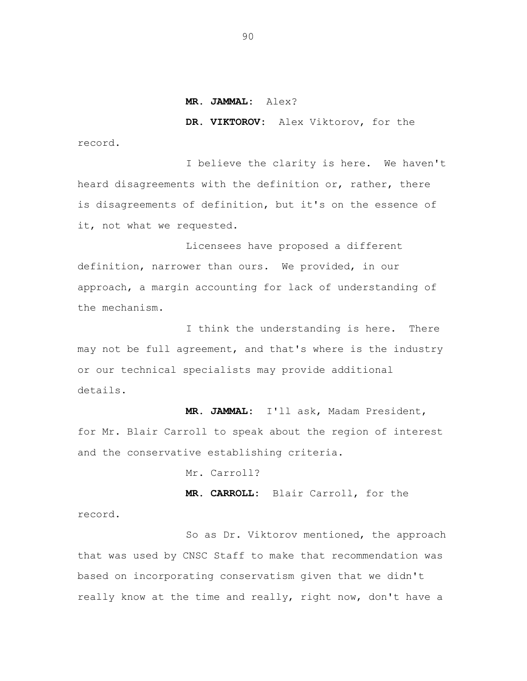#### **MR. JAMMAL:** Alex?

**DR. VIKTOROV:** Alex Viktorov, for the record.

I believe the clarity is here. We haven't heard disagreements with the definition or, rather, there is disagreements of definition, but it's on the essence of it, not what we requested.

Licensees have proposed a different definition, narrower than ours. We provided, in our approach, a margin accounting for lack of understanding of the mechanism.

I think the understanding is here. There may not be full agreement, and that's where is the industry or our technical specialists may provide additional details.

**MR. JAMMAL:** I'll ask, Madam President, for Mr. Blair Carroll to speak about the region of interest and the conservative establishing criteria.

Mr. Carroll?

**MR. CARROLL:** Blair Carroll, for the record.

So as Dr. Viktorov mentioned, the approach that was used by CNSC Staff to make that recommendation was based on incorporating conservatism given that we didn't really know at the time and really, right now, don't have a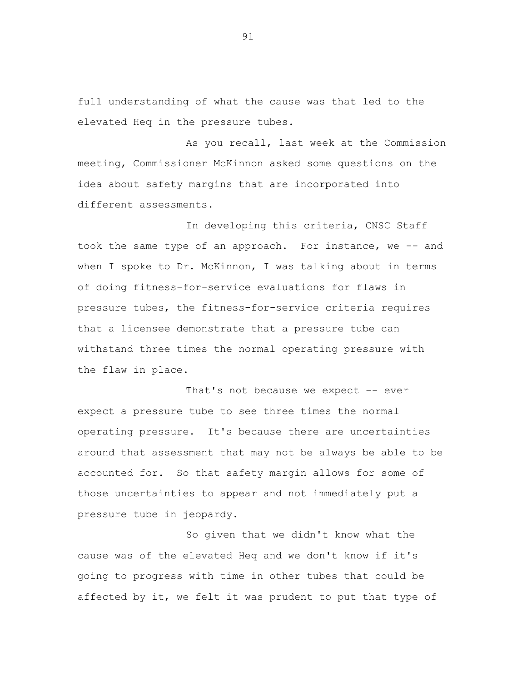full understanding of what the cause was that led to the elevated Heq in the pressure tubes.

As you recall, last week at the Commission meeting, Commissioner McKinnon asked some questions on the idea about safety margins that are incorporated into different assessments.

In developing this criteria, CNSC Staff took the same type of an approach. For instance, we -- and when I spoke to Dr. McKinnon, I was talking about in terms of doing fitness-for-service evaluations for flaws in pressure tubes, the fitness-for-service criteria requires that a licensee demonstrate that a pressure tube can withstand three times the normal operating pressure with the flaw in place.

That's not because we expect -- ever expect a pressure tube to see three times the normal operating pressure. It's because there are uncertainties around that assessment that may not be always be able to be accounted for. So that safety margin allows for some of those uncertainties to appear and not immediately put a pressure tube in jeopardy.

So given that we didn't know what the cause was of the elevated Heq and we don't know if it's going to progress with time in other tubes that could be affected by it, we felt it was prudent to put that type of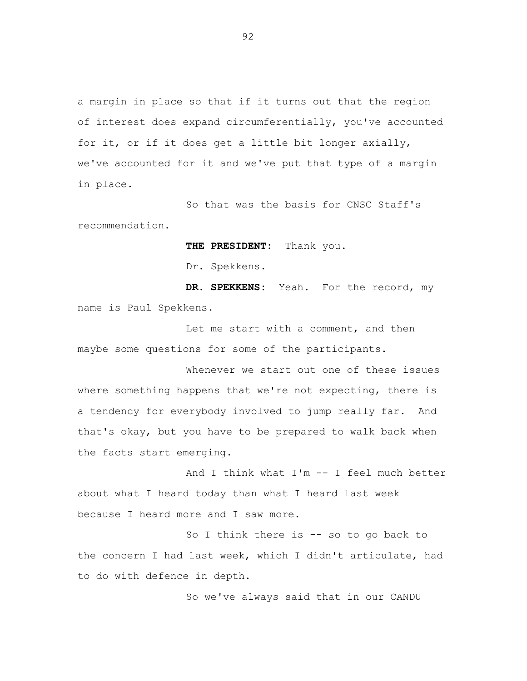a margin in place so that if it turns out that the region of interest does expand circumferentially, you've accounted for it, or if it does get a little bit longer axially, we've accounted for it and we've put that type of a margin in place.

So that was the basis for CNSC Staff's recommendation.

**THE PRESIDENT:** Thank you.

Dr. Spekkens.

**DR. SPEKKENS:** Yeah. For the record, my name is Paul Spekkens.

Let me start with a comment, and then maybe some questions for some of the participants.

Whenever we start out one of these issues where something happens that we're not expecting, there is a tendency for everybody involved to jump really far. And that's okay, but you have to be prepared to walk back when the facts start emerging.

And I think what I'm -- I feel much better about what I heard today than what I heard last week because I heard more and I saw more.

So I think there is -- so to go back to the concern I had last week, which I didn't articulate, had to do with defence in depth.

So we've always said that in our CANDU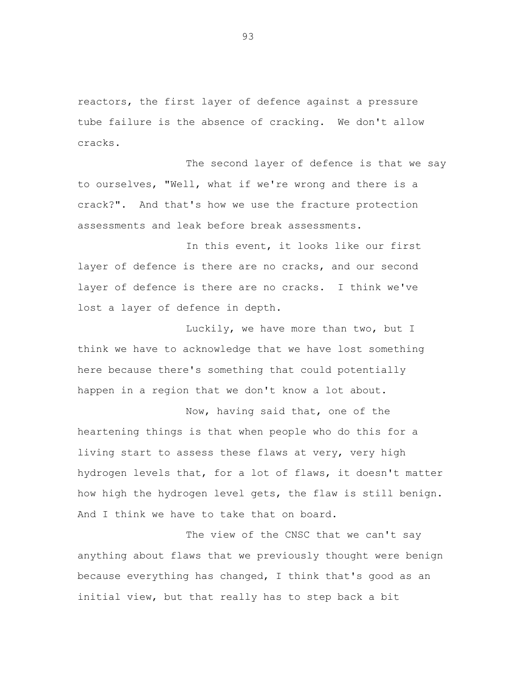reactors, the first layer of defence against a pressure tube failure is the absence of cracking. We don't allow cracks.

The second layer of defence is that we say to ourselves, "Well, what if we're wrong and there is a crack?". And that's how we use the fracture protection assessments and leak before break assessments.

In this event, it looks like our first layer of defence is there are no cracks, and our second layer of defence is there are no cracks. I think we've lost a layer of defence in depth.

Luckily, we have more than two, but I think we have to acknowledge that we have lost something here because there's something that could potentially happen in a region that we don't know a lot about.

Now, having said that, one of the heartening things is that when people who do this for a living start to assess these flaws at very, very high hydrogen levels that, for a lot of flaws, it doesn't matter how high the hydrogen level gets, the flaw is still benign. And I think we have to take that on board.

The view of the CNSC that we can't say anything about flaws that we previously thought were benign because everything has changed, I think that's good as an initial view, but that really has to step back a bit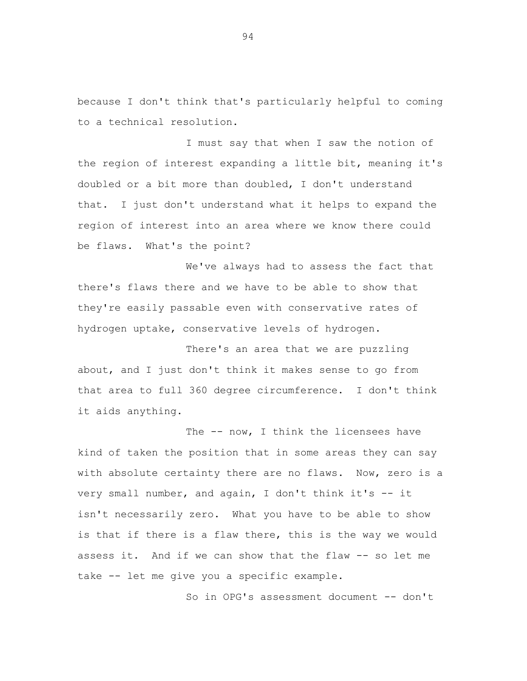because I don't think that's particularly helpful to coming to a technical resolution.

I must say that when I saw the notion of the region of interest expanding a little bit, meaning it's doubled or a bit more than doubled, I don't understand that. I just don't understand what it helps to expand the region of interest into an area where we know there could be flaws. What's the point?

We've always had to assess the fact that there's flaws there and we have to be able to show that they're easily passable even with conservative rates of hydrogen uptake, conservative levels of hydrogen.

There's an area that we are puzzling about, and I just don't think it makes sense to go from that area to full 360 degree circumference. I don't think it aids anything.

The -- now, I think the licensees have kind of taken the position that in some areas they can say with absolute certainty there are no flaws. Now, zero is a very small number, and again, I don't think it's -- it isn't necessarily zero. What you have to be able to show is that if there is a flaw there, this is the way we would assess it. And if we can show that the flaw -- so let me take -- let me give you a specific example.

So in OPG's assessment document -- don't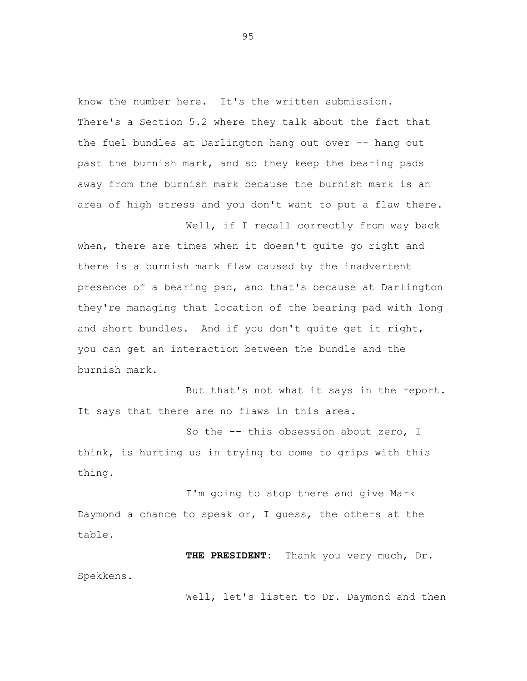know the number here. It's the written submission. There's a Section 5.2 where they talk about the fact that the fuel bundles at Darlington hang out over -- hang out past the burnish mark, and so they keep the bearing pads away from the burnish mark because the burnish mark is an area of high stress and you don't want to put a flaw there.

when, there are times when it doesn't quite go right and there is a burnish mark flaw caused by the inadvertent presence of a bearing pad, and that's because at Darlington they're managing that location of the bearing pad with long and short bundles. And if you don't quite get it right, you can get an interaction between the bundle and the burnish mark.

Well, if I recall correctly from way back

But that's not what it says in the report. It says that there are no flaws in this area.

So the -- this obsession about zero, I think, is hurting us in trying to come to grips with this thing.

I'm going to stop there and give Mark Daymond a chance to speak or, I guess, the others at the table.

**THE PRESIDENT:** Thank you very much, Dr. Spekkens.

Well, let's listen to Dr. Daymond and then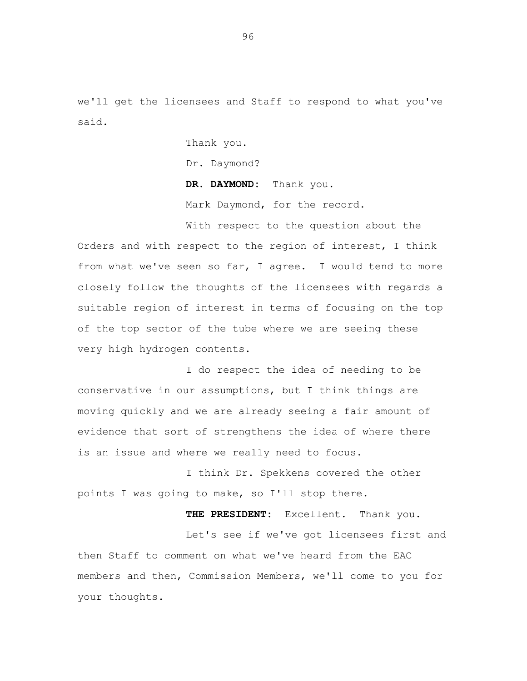we'll get the licensees and Staff to respond to what you've said.

Thank you.

Dr. Daymond?

**DR. DAYMOND:** Thank you.

Mark Daymond, for the record.

With respect to the question about the Orders and with respect to the region of interest, I think from what we've seen so far, I agree. I would tend to more closely follow the thoughts of the licensees with regards a suitable region of interest in terms of focusing on the top of the top sector of the tube where we are seeing these very high hydrogen contents.

I do respect the idea of needing to be conservative in our assumptions, but I think things are moving quickly and we are already seeing a fair amount of evidence that sort of strengthens the idea of where there is an issue and where we really need to focus.

I think Dr. Spekkens covered the other points I was going to make, so I'll stop there.

**THE PRESIDENT:** Excellent. Thank you. Let's see if we've got licensees first and then Staff to comment on what we've heard from the EAC members and then, Commission Members, we'll come to you for your thoughts.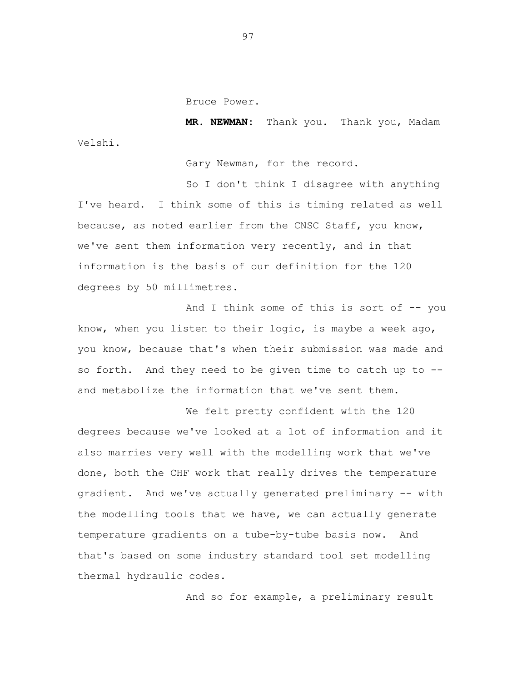Bruce Power.

**MR. NEWMAN:** Thank you. Thank you, Madam Velshi.

Gary Newman, for the record.

So I don't think I disagree with anything I've heard. I think some of this is timing related as well because, as noted earlier from the CNSC Staff, you know, we've sent them information very recently, and in that information is the basis of our definition for the 120 degrees by 50 millimetres.

And I think some of this is sort of  $-$ - you know, when you listen to their logic, is maybe a week ago, you know, because that's when their submission was made and so forth. And they need to be given time to catch up to - and metabolize the information that we've sent them.

We felt pretty confident with the 120 degrees because we've looked at a lot of information and it also marries very well with the modelling work that we've done, both the CHF work that really drives the temperature gradient. And we've actually generated preliminary -- with the modelling tools that we have, we can actually generate temperature gradients on a tube-by-tube basis now. And that's based on some industry standard tool set modelling thermal hydraulic codes.

And so for example, a preliminary result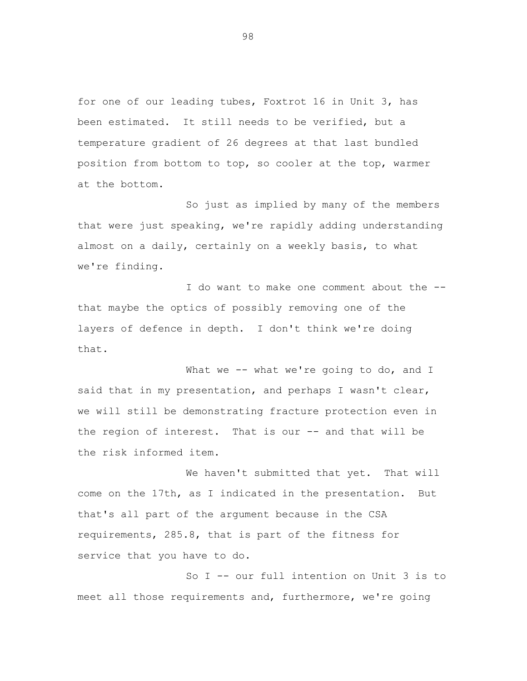for one of our leading tubes, Foxtrot 16 in Unit 3, has been estimated. It still needs to be verified, but a temperature gradient of 26 degrees at that last bundled position from bottom to top, so cooler at the top, warmer at the bottom.

So just as implied by many of the members that were just speaking, we're rapidly adding understanding almost on a daily, certainly on a weekly basis, to what we're finding.

I do want to make one comment about the - that maybe the optics of possibly removing one of the layers of defence in depth. I don't think we're doing that.

What we -- what we're going to do, and I said that in my presentation, and perhaps I wasn't clear, we will still be demonstrating fracture protection even in the region of interest. That is our -- and that will be the risk informed item.

We haven't submitted that yet. That will come on the 17th, as I indicated in the presentation. But that's all part of the argument because in the CSA requirements, 285.8, that is part of the fitness for service that you have to do.

So I -- our full intention on Unit 3 is to meet all those requirements and, furthermore, we're going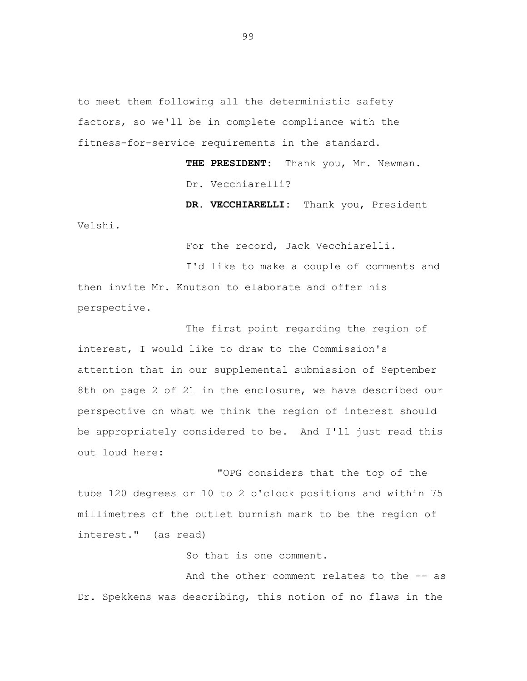to meet them following all the deterministic safety factors, so we'll be in complete compliance with the fitness-for-service requirements in the standard.

> **THE PRESIDENT:** Thank you, Mr. Newman. Dr. Vecchiarelli?

**DR. VECCHIARELLI:** Thank you, President Velshi.

For the record, Jack Vecchiarelli.

I'd like to make a couple of comments and then invite Mr. Knutson to elaborate and offer his perspective.

The first point regarding the region of interest, I would like to draw to the Commission's attention that in our supplemental submission of September 8th on page 2 of 21 in the enclosure, we have described our perspective on what we think the region of interest should be appropriately considered to be. And I'll just read this out loud here:

"OPG considers that the top of the tube 120 degrees or 10 to 2 o'clock positions and within 75 millimetres of the outlet burnish mark to be the region of interest." (as read)

So that is one comment.

And the other comment relates to the -- as Dr. Spekkens was describing, this notion of no flaws in the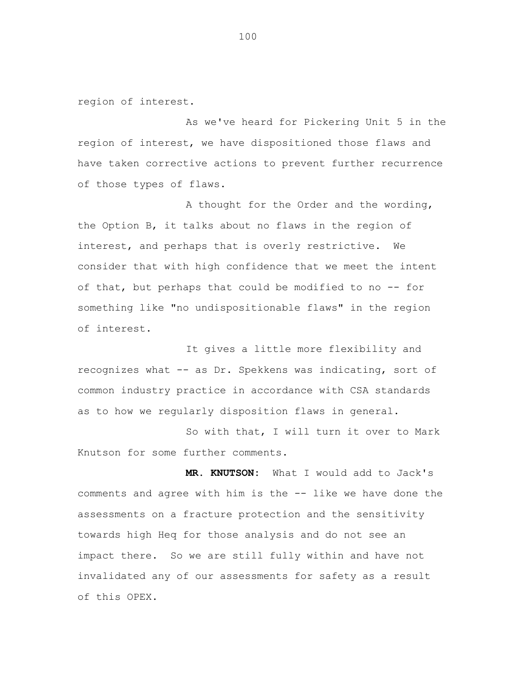region of interest.

As we've heard for Pickering Unit 5 in the region of interest, we have dispositioned those flaws and have taken corrective actions to prevent further recurrence of those types of flaws.

A thought for the Order and the wording, the Option B, it talks about no flaws in the region of interest, and perhaps that is overly restrictive. We consider that with high confidence that we meet the intent of that, but perhaps that could be modified to no -- for something like "no undispositionable flaws" in the region of interest.

It gives a little more flexibility and recognizes what -- as Dr. Spekkens was indicating, sort of common industry practice in accordance with CSA standards as to how we regularly disposition flaws in general.

So with that, I will turn it over to Mark Knutson for some further comments.

**MR. KNUTSON:** What I would add to Jack's comments and agree with him is the -- like we have done the assessments on a fracture protection and the sensitivity towards high Heq for those analysis and do not see an impact there. So we are still fully within and have not invalidated any of our assessments for safety as a result of this OPEX.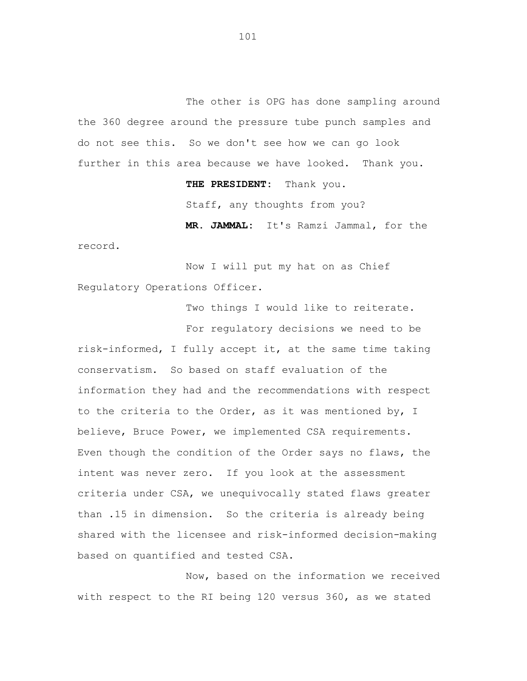The other is OPG has done sampling around the 360 degree around the pressure tube punch samples and do not see this. So we don't see how we can go look further in this area because we have looked. Thank you.

**THE PRESIDENT:** Thank you.

Staff, any thoughts from you?

**MR. JAMMAL:** It's Ramzi Jammal, for the record.

Now I will put my hat on as Chief Regulatory Operations Officer.

Two things I would like to reiterate.

For regulatory decisions we need to be risk-informed, I fully accept it, at the same time taking conservatism. So based on staff evaluation of the information they had and the recommendations with respect to the criteria to the Order, as it was mentioned by, I believe, Bruce Power, we implemented CSA requirements. Even though the condition of the Order says no flaws, the intent was never zero. If you look at the assessment criteria under CSA, we unequivocally stated flaws greater than .15 in dimension. So the criteria is already being shared with the licensee and risk-informed decision-making based on quantified and tested CSA.

Now, based on the information we received with respect to the RI being 120 versus 360, as we stated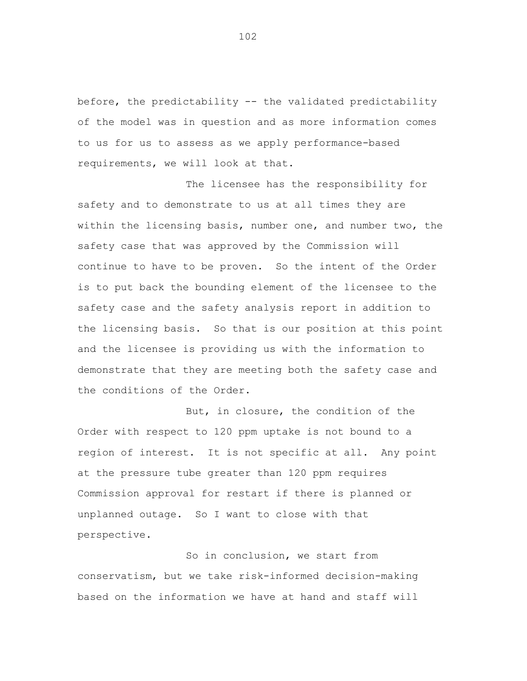before, the predictability -- the validated predictability of the model was in question and as more information comes to us for us to assess as we apply performance-based requirements, we will look at that.

The licensee has the responsibility for safety and to demonstrate to us at all times they are within the licensing basis, number one, and number two, the safety case that was approved by the Commission will continue to have to be proven. So the intent of the Order is to put back the bounding element of the licensee to the safety case and the safety analysis report in addition to the licensing basis. So that is our position at this point and the licensee is providing us with the information to demonstrate that they are meeting both the safety case and the conditions of the Order.

But, in closure, the condition of the Order with respect to 120 ppm uptake is not bound to a region of interest. It is not specific at all. Any point at the pressure tube greater than 120 ppm requires Commission approval for restart if there is planned or unplanned outage. So I want to close with that perspective.

So in conclusion, we start from conservatism, but we take risk-informed decision-making based on the information we have at hand and staff will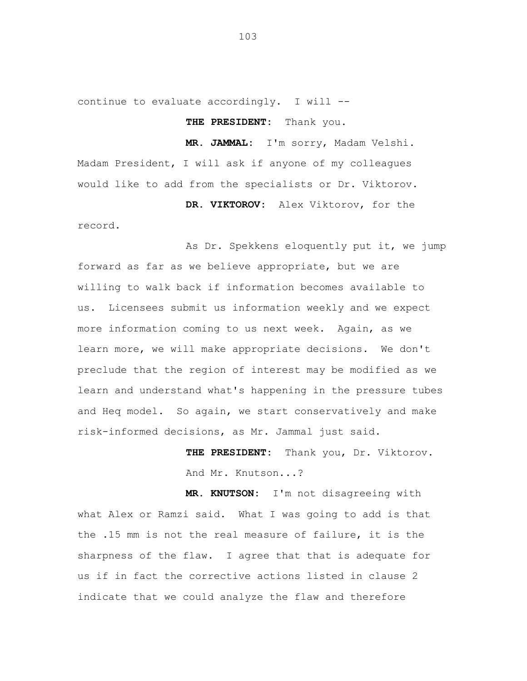continue to evaluate accordingly. I will --

**THE PRESIDENT:** Thank you.

**MR. JAMMAL:** I'm sorry, Madam Velshi. Madam President, I will ask if anyone of my colleagues would like to add from the specialists or Dr. Viktorov.

**DR. VIKTOROV:** Alex Viktorov, for the record.

As Dr. Spekkens eloquently put it, we jump forward as far as we believe appropriate, but we are willing to walk back if information becomes available to us. Licensees submit us information weekly and we expect more information coming to us next week. Again, as we learn more, we will make appropriate decisions. We don't preclude that the region of interest may be modified as we learn and understand what's happening in the pressure tubes and Heq model. So again, we start conservatively and make risk-informed decisions, as Mr. Jammal just said.

> **THE PRESIDENT:** Thank you, Dr. Viktorov. And Mr. Knutson...?

**MR. KNUTSON:** I'm not disagreeing with what Alex or Ramzi said. What I was going to add is that the .15 mm is not the real measure of failure, it is the sharpness of the flaw. I agree that that is adequate for us if in fact the corrective actions listed in clause 2 indicate that we could analyze the flaw and therefore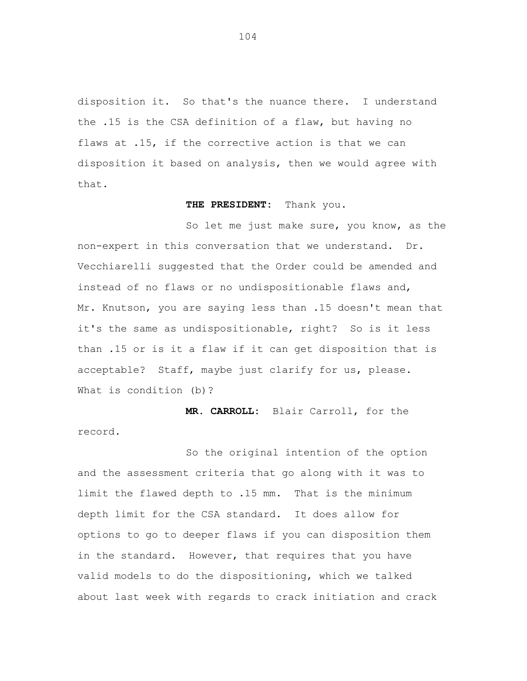disposition it. So that's the nuance there. I understand the .15 is the CSA definition of a flaw, but having no flaws at .15, if the corrective action is that we can disposition it based on analysis, then we would agree with that.

### **THE PRESIDENT:** Thank you.

So let me just make sure, you know, as the non-expert in this conversation that we understand. Dr. Vecchiarelli suggested that the Order could be amended and instead of no flaws or no undispositionable flaws and, Mr. Knutson, you are saying less than .15 doesn't mean that it's the same as undispositionable, right? So is it less than .15 or is it a flaw if it can get disposition that is acceptable? Staff, maybe just clarify for us, please. What is condition (b)?

**MR. CARROLL:** Blair Carroll, for the record.

So the original intention of the option and the assessment criteria that go along with it was to limit the flawed depth to .15 mm. That is the minimum depth limit for the CSA standard. It does allow for options to go to deeper flaws if you can disposition them in the standard. However, that requires that you have valid models to do the dispositioning, which we talked about last week with regards to crack initiation and crack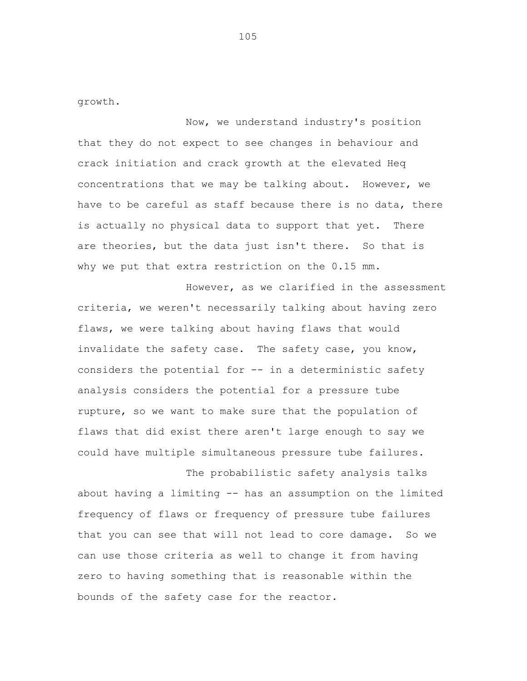growth.

Now, we understand industry's position that they do not expect to see changes in behaviour and crack initiation and crack growth at the elevated Heq concentrations that we may be talking about. However, we have to be careful as staff because there is no data, there is actually no physical data to support that yet. There are theories, but the data just isn't there. So that is why we put that extra restriction on the 0.15 mm.

However, as we clarified in the assessment criteria, we weren't necessarily talking about having zero flaws, we were talking about having flaws that would invalidate the safety case. The safety case, you know, considers the potential for -- in a deterministic safety analysis considers the potential for a pressure tube rupture, so we want to make sure that the population of flaws that did exist there aren't large enough to say we could have multiple simultaneous pressure tube failures.

The probabilistic safety analysis talks about having a limiting -- has an assumption on the limited frequency of flaws or frequency of pressure tube failures that you can see that will not lead to core damage. So we can use those criteria as well to change it from having zero to having something that is reasonable within the bounds of the safety case for the reactor.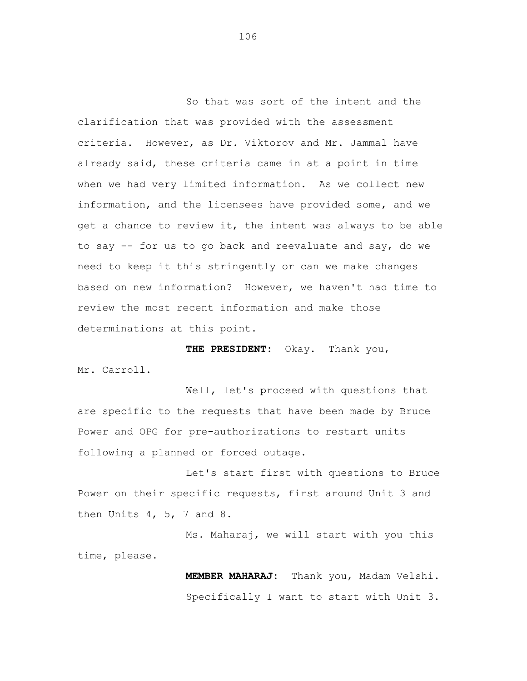So that was sort of the intent and the clarification that was provided with the assessment criteria. However, as Dr. Viktorov and Mr. Jammal have already said, these criteria came in at a point in time when we had very limited information. As we collect new information, and the licensees have provided some, and we get a chance to review it, the intent was always to be able to say -- for us to go back and reevaluate and say, do we need to keep it this stringently or can we make changes based on new information? However, we haven't had time to review the most recent information and make those determinations at this point.

**THE PRESIDENT:** Okay. Thank you,

Mr. Carroll.

Well, let's proceed with questions that are specific to the requests that have been made by Bruce Power and OPG for pre-authorizations to restart units following a planned or forced outage.

Let's start first with questions to Bruce Power on their specific requests, first around Unit 3 and then Units  $4, 5, 7$  and  $8.$ 

Ms. Maharaj, we will start with you this time, please.

> **MEMBER MAHARAJ:** Thank you, Madam Velshi. Specifically I want to start with Unit 3.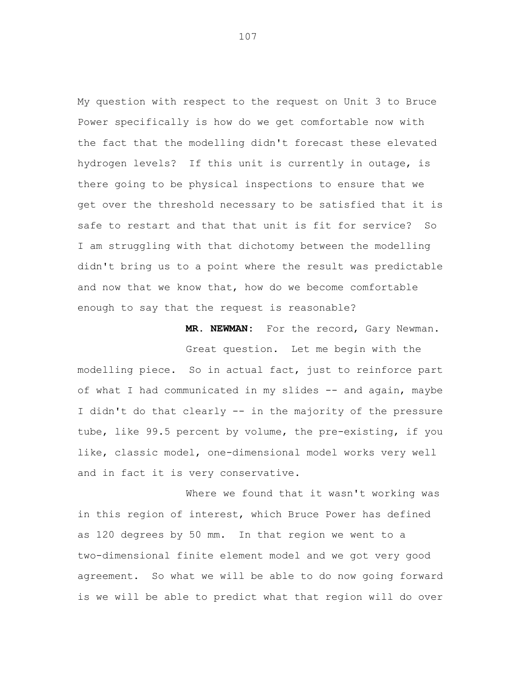My question with respect to the request on Unit 3 to Bruce Power specifically is how do we get comfortable now with the fact that the modelling didn't forecast these elevated hydrogen levels? If this unit is currently in outage, is there going to be physical inspections to ensure that we get over the threshold necessary to be satisfied that it is safe to restart and that that unit is fit for service? So I am struggling with that dichotomy between the modelling didn't bring us to a point where the result was predictable and now that we know that, how do we become comfortable enough to say that the request is reasonable?

**MR. NEWMAN:** For the record, Gary Newman.

Great question. Let me begin with the modelling piece. So in actual fact, just to reinforce part of what I had communicated in my slides -- and again, maybe I didn't do that clearly -- in the majority of the pressure tube, like 99.5 percent by volume, the pre-existing, if you like, classic model, one-dimensional model works very well and in fact it is very conservative.

Where we found that it wasn't working was in this region of interest, which Bruce Power has defined as 120 degrees by 50 mm. In that region we went to a two-dimensional finite element model and we got very good agreement. So what we will be able to do now going forward is we will be able to predict what that region will do over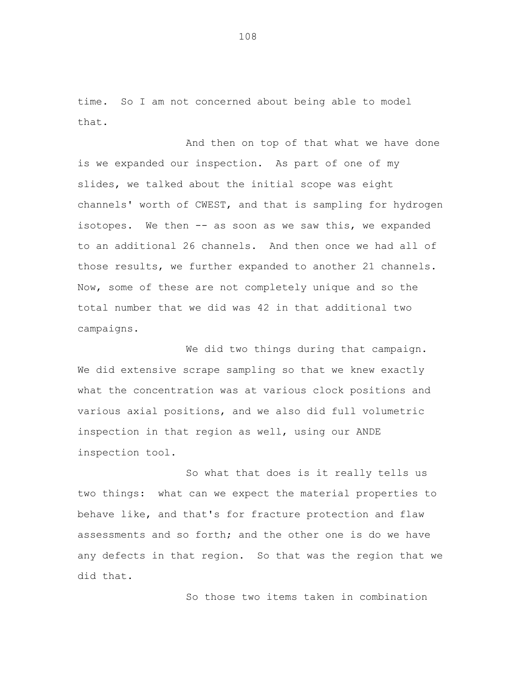time. So I am not concerned about being able to model that.

And then on top of that what we have done is we expanded our inspection. As part of one of my slides, we talked about the initial scope was eight channels' worth of CWEST, and that is sampling for hydrogen isotopes. We then -- as soon as we saw this, we expanded to an additional 26 channels. And then once we had all of those results, we further expanded to another 21 channels. Now, some of these are not completely unique and so the total number that we did was 42 in that additional two campaigns.

We did two things during that campaign. We did extensive scrape sampling so that we knew exactly what the concentration was at various clock positions and various axial positions, and we also did full volumetric inspection in that region as well, using our ANDE inspection tool.

So what that does is it really tells us two things: what can we expect the material properties to behave like, and that's for fracture protection and flaw assessments and so forth; and the other one is do we have any defects in that region. So that was the region that we did that.

So those two items taken in combination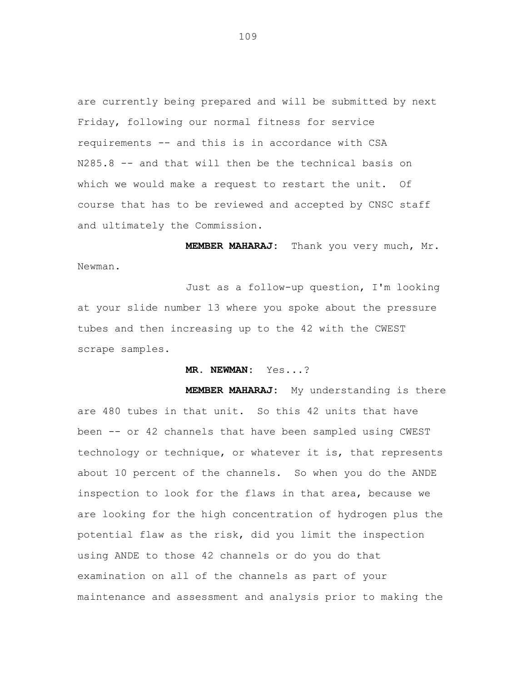are currently being prepared and will be submitted by next Friday, following our normal fitness for service requirements -- and this is in accordance with CSA N285.8 -- and that will then be the technical basis on which we would make a request to restart the unit. Of course that has to be reviewed and accepted by CNSC staff and ultimately the Commission.

**MEMBER MAHARAJ:** Thank you very much, Mr. Newman.

Just as a follow-up question, I'm looking at your slide number 13 where you spoke about the pressure tubes and then increasing up to the 42 with the CWEST scrape samples.

**MR. NEWMAN:** Yes...?

**MEMBER MAHARAJ:** My understanding is there are 480 tubes in that unit. So this 42 units that have been -- or 42 channels that have been sampled using CWEST technology or technique, or whatever it is, that represents about 10 percent of the channels. So when you do the ANDE inspection to look for the flaws in that area, because we are looking for the high concentration of hydrogen plus the potential flaw as the risk, did you limit the inspection using ANDE to those 42 channels or do you do that examination on all of the channels as part of your maintenance and assessment and analysis prior to making the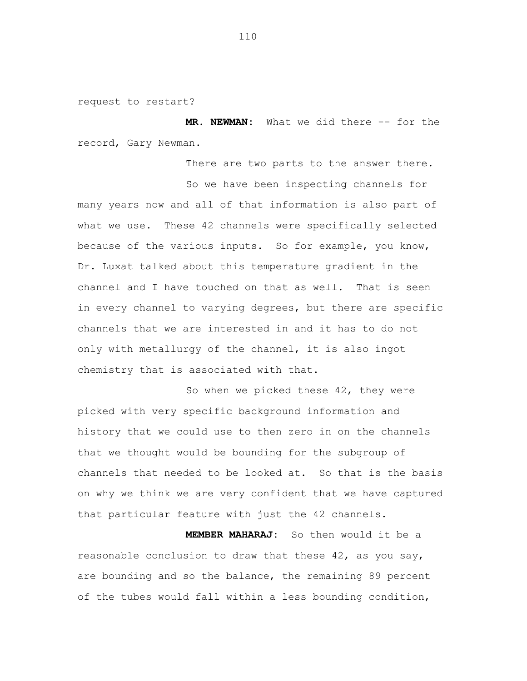request to restart?

**MR. NEWMAN:** What we did there -- for the record, Gary Newman.

There are two parts to the answer there.

So we have been inspecting channels for many years now and all of that information is also part of what we use. These 42 channels were specifically selected because of the various inputs. So for example, you know, Dr. Luxat talked about this temperature gradient in the channel and I have touched on that as well. That is seen in every channel to varying degrees, but there are specific channels that we are interested in and it has to do not only with metallurgy of the channel, it is also ingot chemistry that is associated with that.

So when we picked these 42, they were picked with very specific background information and history that we could use to then zero in on the channels that we thought would be bounding for the subgroup of channels that needed to be looked at. So that is the basis on why we think we are very confident that we have captured that particular feature with just the 42 channels.

**MEMBER MAHARAJ:** So then would it be a reasonable conclusion to draw that these 42, as you say, are bounding and so the balance, the remaining 89 percent of the tubes would fall within a less bounding condition,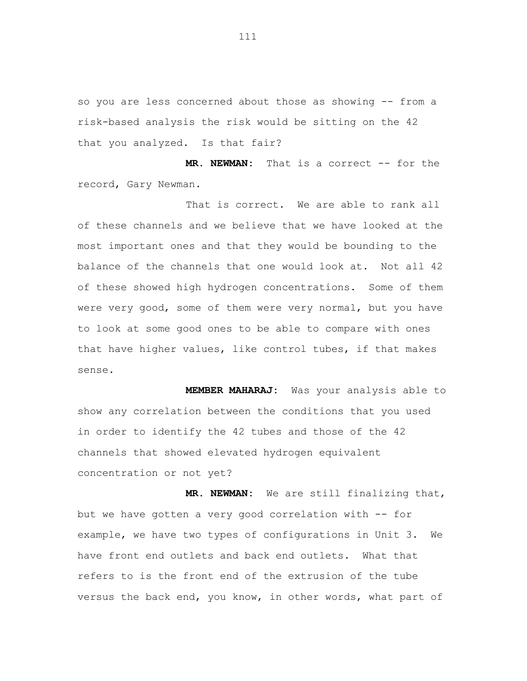so you are less concerned about those as showing -- from a risk-based analysis the risk would be sitting on the 42 that you analyzed. Is that fair?

**MR. NEWMAN:** That is a correct -- for the record, Gary Newman.

That is correct. We are able to rank all of these channels and we believe that we have looked at the most important ones and that they would be bounding to the balance of the channels that one would look at. Not all 42 of these showed high hydrogen concentrations. Some of them were very good, some of them were very normal, but you have to look at some good ones to be able to compare with ones that have higher values, like control tubes, if that makes sense.

**MEMBER MAHARAJ:** Was your analysis able to show any correlation between the conditions that you used in order to identify the 42 tubes and those of the 42 channels that showed elevated hydrogen equivalent concentration or not yet?

**MR. NEWMAN:** We are still finalizing that, but we have gotten a very good correlation with -- for example, we have two types of configurations in Unit 3. We have front end outlets and back end outlets. What that refers to is the front end of the extrusion of the tube versus the back end, you know, in other words, what part of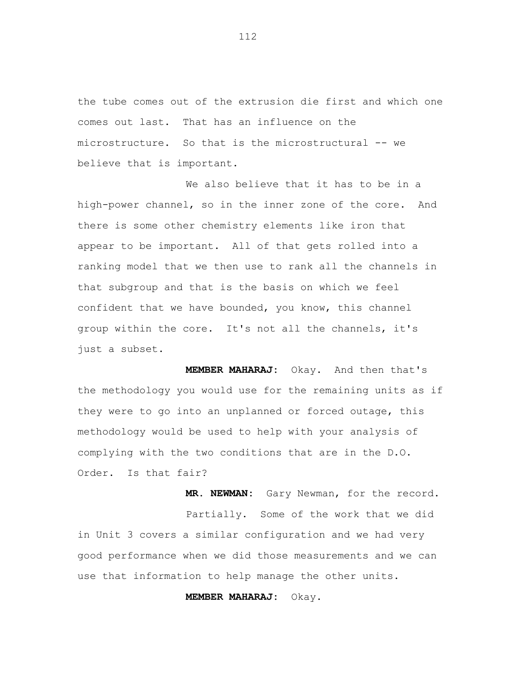the tube comes out of the extrusion die first and which one comes out last. That has an influence on the microstructure. So that is the microstructural -- we believe that is important.

We also believe that it has to be in a high-power channel, so in the inner zone of the core. And there is some other chemistry elements like iron that appear to be important. All of that gets rolled into a ranking model that we then use to rank all the channels in that subgroup and that is the basis on which we feel confident that we have bounded, you know, this channel group within the core. It's not all the channels, it's just a subset.

**MEMBER MAHARAJ:** Okay. And then that's the methodology you would use for the remaining units as if they were to go into an unplanned or forced outage, this methodology would be used to help with your analysis of complying with the two conditions that are in the D.O. Order. Is that fair?

**MR. NEWMAN:** Gary Newman, for the record. Partially. Some of the work that we did in Unit 3 covers a similar configuration and we had very good performance when we did those measurements and we can use that information to help manage the other units.

**MEMBER MAHARAJ:** Okay.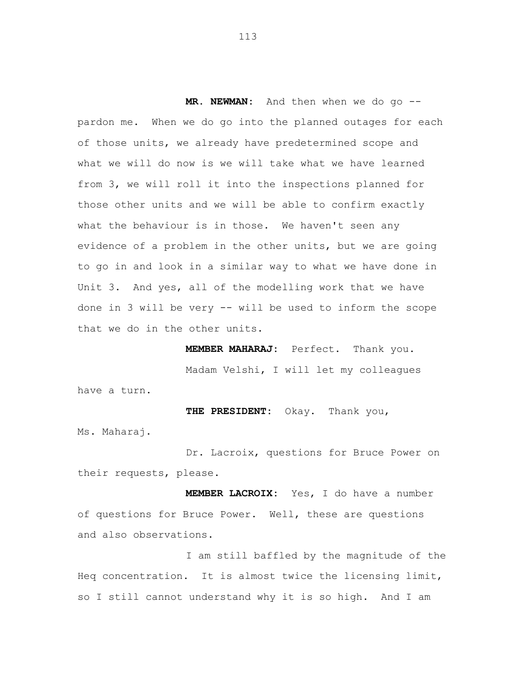**MR. NEWMAN:** And then when we do go - pardon me. When we do go into the planned outages for each of those units, we already have predetermined scope and what we will do now is we will take what we have learned from 3, we will roll it into the inspections planned for those other units and we will be able to confirm exactly what the behaviour is in those. We haven't seen any evidence of a problem in the other units, but we are going to go in and look in a similar way to what we have done in Unit 3. And yes, all of the modelling work that we have done in 3 will be very -- will be used to inform the scope that we do in the other units.

**MEMBER MAHARAJ:** Perfect. Thank you. Madam Velshi, I will let my colleagues have a turn.

**THE PRESIDENT:** Okay. Thank you, Ms. Maharaj.

Dr. Lacroix, questions for Bruce Power on their requests, please.

**MEMBER LACROIX:** Yes, I do have a number of questions for Bruce Power. Well, these are questions and also observations.

I am still baffled by the magnitude of the Heq concentration. It is almost twice the licensing limit, so I still cannot understand why it is so high. And I am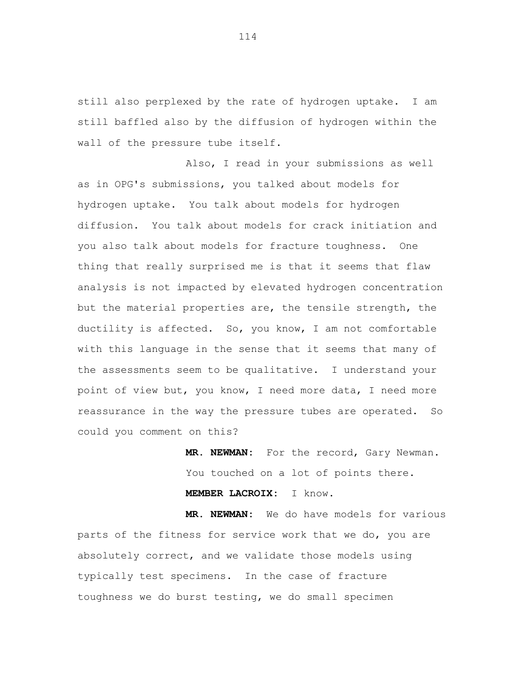still also perplexed by the rate of hydrogen uptake. I am still baffled also by the diffusion of hydrogen within the wall of the pressure tube itself.

Also, I read in your submissions as well as in OPG's submissions, you talked about models for hydrogen uptake. You talk about models for hydrogen diffusion. You talk about models for crack initiation and you also talk about models for fracture toughness. One thing that really surprised me is that it seems that flaw analysis is not impacted by elevated hydrogen concentration but the material properties are, the tensile strength, the ductility is affected. So, you know, I am not comfortable with this language in the sense that it seems that many of the assessments seem to be qualitative. I understand your point of view but, you know, I need more data, I need more reassurance in the way the pressure tubes are operated. So could you comment on this?

> **MR. NEWMAN:** For the record, Gary Newman. You touched on a lot of points there. **MEMBER LACROIX:** I know.

**MR. NEWMAN:** We do have models for various parts of the fitness for service work that we do, you are absolutely correct, and we validate those models using typically test specimens. In the case of fracture toughness we do burst testing, we do small specimen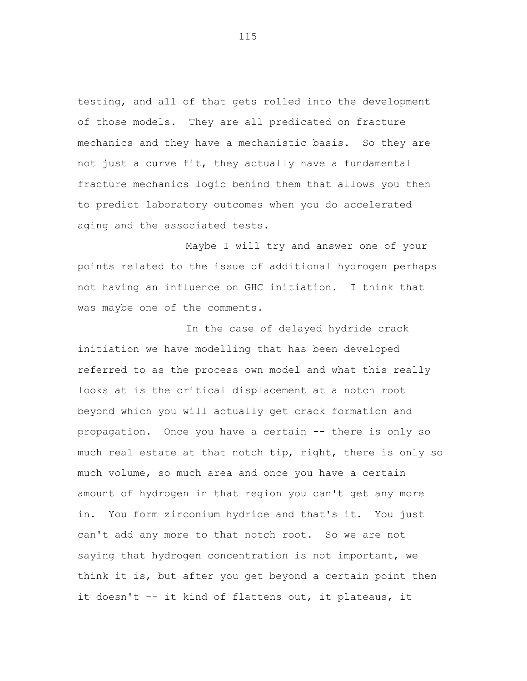testing, and all of that gets rolled into the development of those models. They are all predicated on fracture mechanics and they have a mechanistic basis. So they are not just a curve fit, they actually have a fundamental fracture mechanics logic behind them that allows you then to predict laboratory outcomes when you do accelerated aging and the associated tests.

Maybe I will try and answer one of your points related to the issue of additional hydrogen perhaps not having an influence on GHC initiation. I think that was maybe one of the comments.

In the case of delayed hydride crack initiation we have modelling that has been developed referred to as the process own model and what this really looks at is the critical displacement at a notch root beyond which you will actually get crack formation and propagation. Once you have a certain -- there is only so much real estate at that notch tip, right, there is only so much volume, so much area and once you have a certain amount of hydrogen in that region you can't get any more in. You form zirconium hydride and that's it. You just can't add any more to that notch root. So we are not saying that hydrogen concentration is not important, we think it is, but after you get beyond a certain point then it doesn't -- it kind of flattens out, it plateaus, it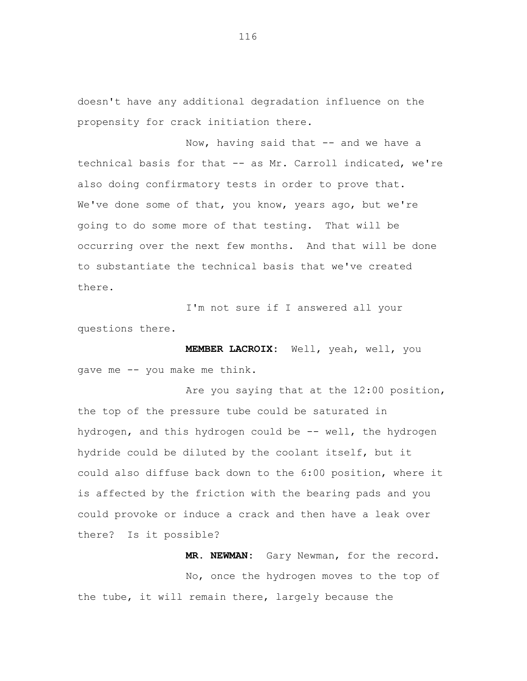doesn't have any additional degradation influence on the propensity for crack initiation there.

Now, having said that -- and we have a technical basis for that -- as Mr. Carroll indicated, we're also doing confirmatory tests in order to prove that. We've done some of that, you know, years ago, but we're going to do some more of that testing. That will be occurring over the next few months. And that will be done to substantiate the technical basis that we've created there.

I'm not sure if I answered all your questions there.

**MEMBER LACROIX:** Well, yeah, well, you gave me -- you make me think.

Are you saying that at the 12:00 position, the top of the pressure tube could be saturated in hydrogen, and this hydrogen could be -- well, the hydrogen hydride could be diluted by the coolant itself, but it could also diffuse back down to the 6:00 position, where it is affected by the friction with the bearing pads and you could provoke or induce a crack and then have a leak over there? Is it possible?

**MR. NEWMAN:** Gary Newman, for the record. No, once the hydrogen moves to the top of the tube, it will remain there, largely because the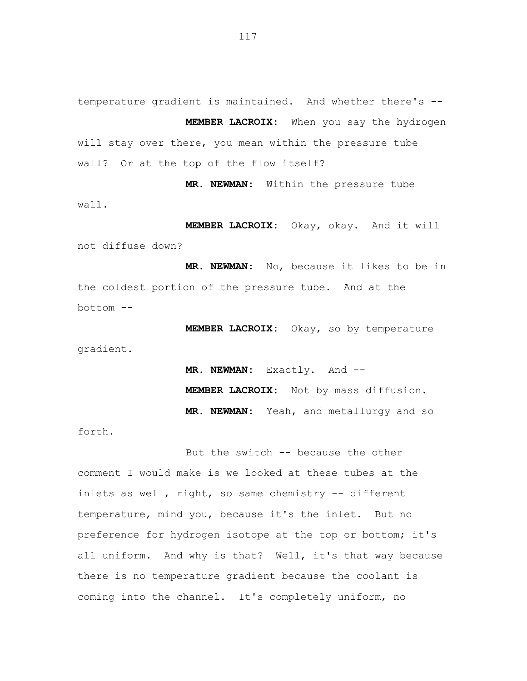temperature gradient is maintained. And whether there's -- **MEMBER LACROIX:** When you say the hydrogen will stay over there, you mean within the pressure tube wall? Or at the top of the flow itself?

**MR. NEWMAN:** Within the pressure tube wall.

**MEMBER LACROIX:** Okay, okay. And it will not diffuse down?

**MR. NEWMAN:** No, because it likes to be in the coldest portion of the pressure tube. And at the bottom --

**MEMBER LACROIX:** Okay, so by temperature gradient.

> **MR. NEWMAN:** Exactly. And -- **MEMBER LACROIX:** Not by mass diffusion. **MR. NEWMAN:** Yeah, and metallurgy and so

forth.

But the switch -- because the other comment I would make is we looked at these tubes at the inlets as well, right, so same chemistry -- different temperature, mind you, because it's the inlet. But no preference for hydrogen isotope at the top or bottom; it's all uniform. And why is that? Well, it's that way because there is no temperature gradient because the coolant is coming into the channel. It's completely uniform, no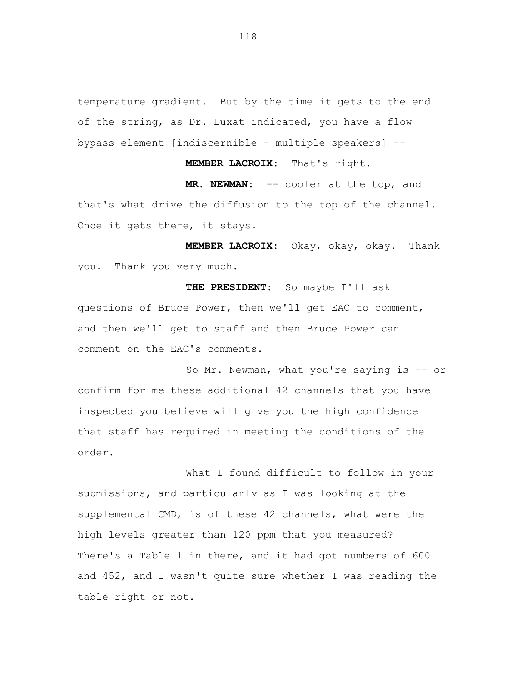temperature gradient. But by the time it gets to the end of the string, as Dr. Luxat indicated, you have a flow bypass element [indiscernible - multiple speakers] --

**MEMBER LACROIX:** That's right.

**MR. NEWMAN:** -- cooler at the top, and that's what drive the diffusion to the top of the channel. Once it gets there, it stays.

**MEMBER LACROIX:** Okay, okay, okay. Thank you. Thank you very much.

**THE PRESIDENT:** So maybe I'll ask questions of Bruce Power, then we'll get EAC to comment, and then we'll get to staff and then Bruce Power can comment on the EAC's comments.

So Mr. Newman, what you're saying is -- or confirm for me these additional 42 channels that you have inspected you believe will give you the high confidence that staff has required in meeting the conditions of the order.

What I found difficult to follow in your submissions, and particularly as I was looking at the supplemental CMD, is of these 42 channels, what were the high levels greater than 120 ppm that you measured? There's a Table 1 in there, and it had got numbers of 600 and 452, and I wasn't quite sure whether I was reading the table right or not.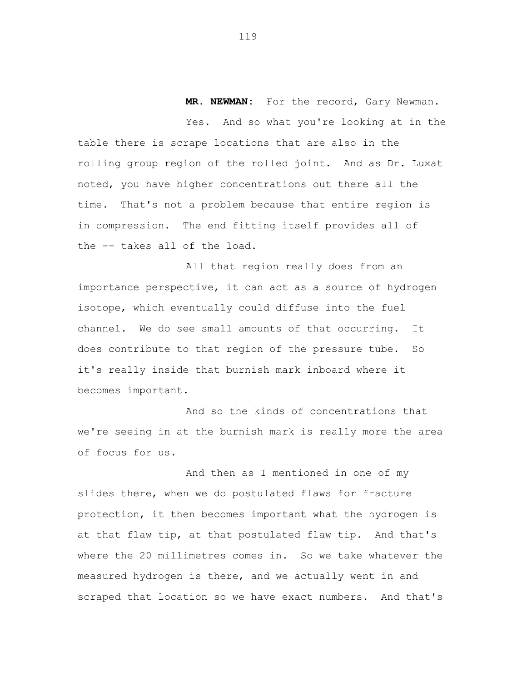**MR. NEWMAN:** For the record, Gary Newman.

Yes. And so what you're looking at in the table there is scrape locations that are also in the rolling group region of the rolled joint. And as Dr. Luxat noted, you have higher concentrations out there all the time. That's not a problem because that entire region is in compression. The end fitting itself provides all of the -- takes all of the load.

All that region really does from an importance perspective, it can act as a source of hydrogen isotope, which eventually could diffuse into the fuel channel. We do see small amounts of that occurring. It does contribute to that region of the pressure tube. So it's really inside that burnish mark inboard where it becomes important.

And so the kinds of concentrations that we're seeing in at the burnish mark is really more the area of focus for us.

And then as I mentioned in one of my slides there, when we do postulated flaws for fracture protection, it then becomes important what the hydrogen is at that flaw tip, at that postulated flaw tip. And that's where the 20 millimetres comes in. So we take whatever the measured hydrogen is there, and we actually went in and scraped that location so we have exact numbers. And that's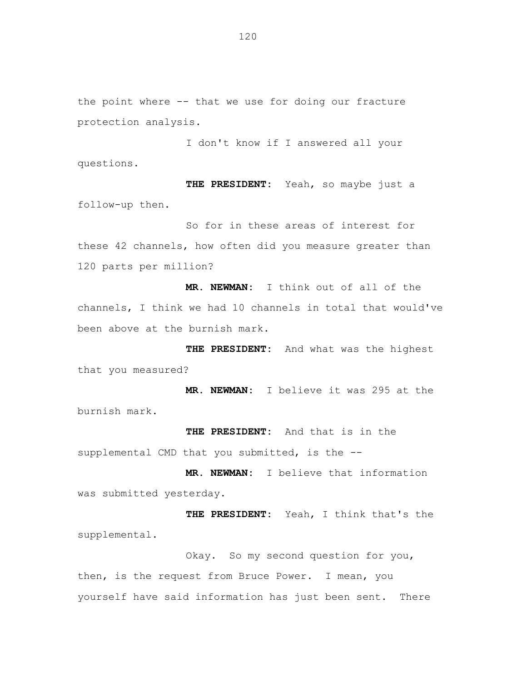the point where -- that we use for doing our fracture protection analysis.

I don't know if I answered all your questions.

**THE PRESIDENT:** Yeah, so maybe just a follow-up then.

So for in these areas of interest for these 42 channels, how often did you measure greater than 120 parts per million?

**MR. NEWMAN:** I think out of all of the channels, I think we had 10 channels in total that would've been above at the burnish mark.

**THE PRESIDENT:** And what was the highest that you measured?

**MR. NEWMAN:** I believe it was 295 at the burnish mark.

**THE PRESIDENT:** And that is in the supplemental CMD that you submitted, is the --

**MR. NEWMAN:** I believe that information was submitted yesterday.

**THE PRESIDENT:** Yeah, I think that's the supplemental.

Okay. So my second question for you, then, is the request from Bruce Power. I mean, you yourself have said information has just been sent. There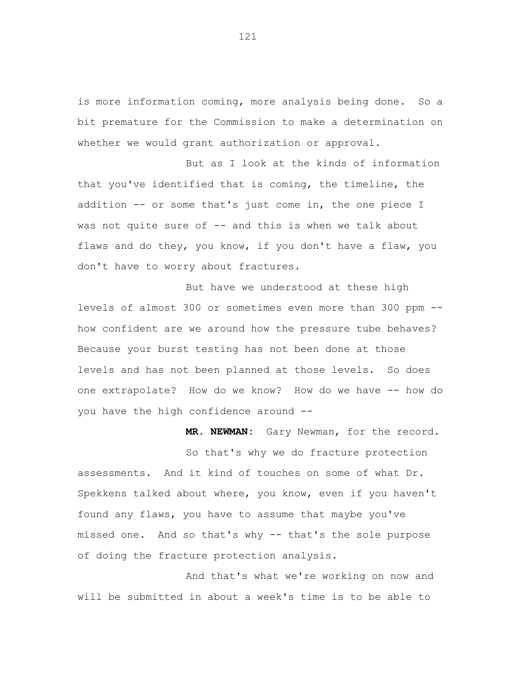is more information coming, more analysis being done. So a bit premature for the Commission to make a determination on whether we would grant authorization or approval.

But as I look at the kinds of information that you've identified that is coming, the timeline, the addition -- or some that's just come in, the one piece I was not quite sure of -- and this is when we talk about flaws and do they, you know, if you don't have a flaw, you don't have to worry about fractures.

But have we understood at these high levels of almost 300 or sometimes even more than 300 ppm - how confident are we around how the pressure tube behaves? Because your burst testing has not been done at those levels and has not been planned at those levels. So does one extrapolate? How do we know? How do we have -- how do you have the high confidence around --

**MR. NEWMAN:** Gary Newman, for the record.

So that's why we do fracture protection assessments. And it kind of touches on some of what Dr. Spekkens talked about where, you know, even if you haven't found any flaws, you have to assume that maybe you've missed one. And so that's why -- that's the sole purpose of doing the fracture protection analysis.

And that's what we're working on now and will be submitted in about a week's time is to be able to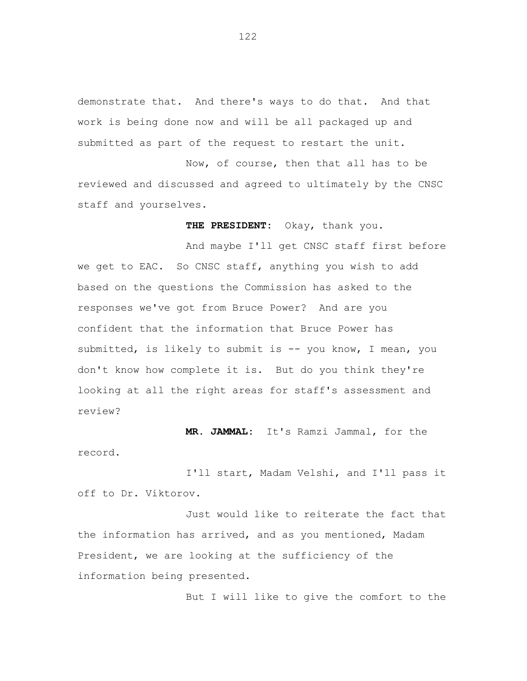demonstrate that. And there's ways to do that. And that work is being done now and will be all packaged up and submitted as part of the request to restart the unit.

Now, of course, then that all has to be reviewed and discussed and agreed to ultimately by the CNSC staff and yourselves.

**THE PRESIDENT:** Okay, thank you.

And maybe I'll get CNSC staff first before we get to EAC. So CNSC staff, anything you wish to add based on the questions the Commission has asked to the responses we've got from Bruce Power? And are you confident that the information that Bruce Power has submitted, is likely to submit is -- you know, I mean, you don't know how complete it is. But do you think they're looking at all the right areas for staff's assessment and review?

**MR. JAMMAL:** It's Ramzi Jammal, for the record.

I'll start, Madam Velshi, and I'll pass it off to Dr. Viktorov.

Just would like to reiterate the fact that the information has arrived, and as you mentioned, Madam President, we are looking at the sufficiency of the information being presented.

But I will like to give the comfort to the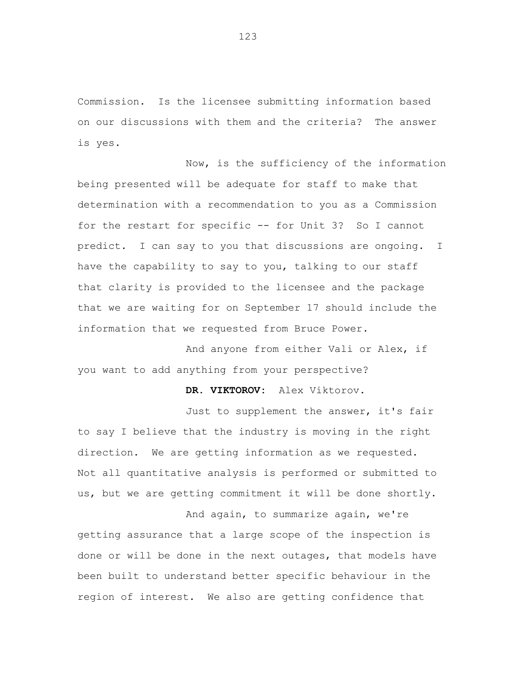Commission. Is the licensee submitting information based on our discussions with them and the criteria? The answer is yes.

Now, is the sufficiency of the information being presented will be adequate for staff to make that determination with a recommendation to you as a Commission for the restart for specific -- for Unit 3? So I cannot predict. I can say to you that discussions are ongoing. I have the capability to say to you, talking to our staff that clarity is provided to the licensee and the package that we are waiting for on September 17 should include the information that we requested from Bruce Power.

And anyone from either Vali or Alex, if you want to add anything from your perspective?

**DR. VIKTOROV:** Alex Viktorov.

Just to supplement the answer, it's fair to say I believe that the industry is moving in the right direction. We are getting information as we requested. Not all quantitative analysis is performed or submitted to us, but we are getting commitment it will be done shortly.

And again, to summarize again, we're getting assurance that a large scope of the inspection is done or will be done in the next outages, that models have been built to understand better specific behaviour in the region of interest. We also are getting confidence that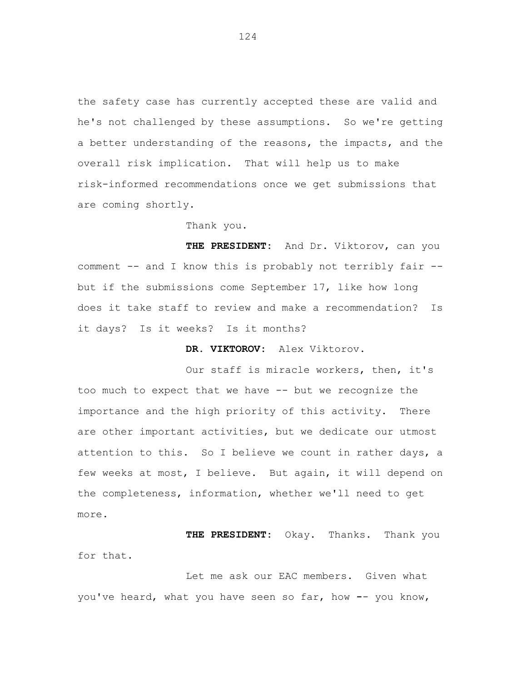the safety case has currently accepted these are valid and he's not challenged by these assumptions. So we're getting a better understanding of the reasons, the impacts, and the overall risk implication. That will help us to make risk-informed recommendations once we get submissions that are coming shortly.

## Thank you.

**THE PRESIDENT:** And Dr. Viktorov, can you comment -- and I know this is probably not terribly fair - but if the submissions come September 17, like how long does it take staff to review and make a recommendation? Is it days? Is it weeks? Is it months?

**DR. VIKTOROV:** Alex Viktorov.

Our staff is miracle workers, then, it's too much to expect that we have -- but we recognize the importance and the high priority of this activity. There are other important activities, but we dedicate our utmost attention to this. So I believe we count in rather days, a few weeks at most, I believe. But again, it will depend on the completeness, information, whether we'll need to get more.

**THE PRESIDENT:** Okay. Thanks. Thank you for that.

Let me ask our EAC members. Given what you've heard, what you have seen so far, how **-**- you know,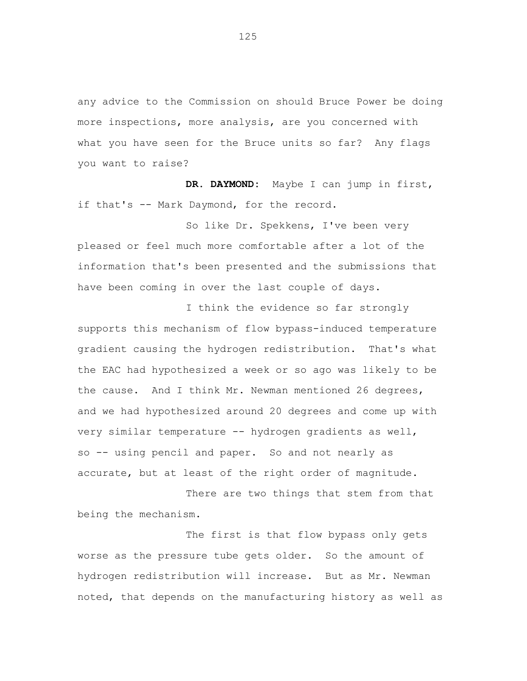any advice to the Commission on should Bruce Power be doing more inspections, more analysis, are you concerned with what you have seen for the Bruce units so far? Any flags you want to raise?

**DR. DAYMOND:** Maybe I can jump in first, if that's -- Mark Daymond, for the record.

So like Dr. Spekkens, I've been very pleased or feel much more comfortable after a lot of the information that's been presented and the submissions that have been coming in over the last couple of days.

I think the evidence so far strongly supports this mechanism of flow bypass-induced temperature gradient causing the hydrogen redistribution. That's what the EAC had hypothesized a week or so ago was likely to be the cause. And I think Mr. Newman mentioned 26 degrees, and we had hypothesized around 20 degrees and come up with very similar temperature -- hydrogen gradients as well, so -- using pencil and paper. So and not nearly as accurate, but at least of the right order of magnitude.

There are two things that stem from that being the mechanism.

The first is that flow bypass only gets worse as the pressure tube gets older. So the amount of hydrogen redistribution will increase. But as Mr. Newman noted, that depends on the manufacturing history as well as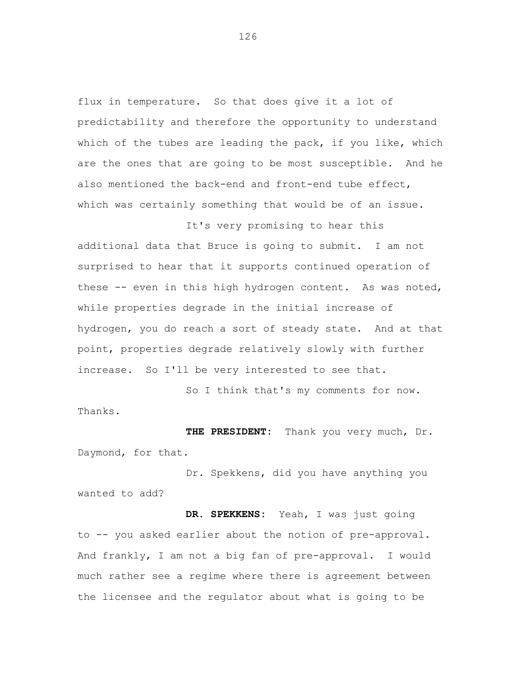flux in temperature. So that does give it a lot of predictability and therefore the opportunity to understand which of the tubes are leading the pack, if you like, which are the ones that are going to be most susceptible. And he also mentioned the back-end and front-end tube effect, which was certainly something that would be of an issue.

It's very promising to hear this additional data that Bruce is going to submit. I am not surprised to hear that it supports continued operation of these -- even in this high hydrogen content. As was noted, while properties degrade in the initial increase of hydrogen, you do reach a sort of steady state. And at that point, properties degrade relatively slowly with further increase. So I'll be very interested to see that.

So I think that's my comments for now. Thanks.

**THE PRESIDENT:** Thank you very much, Dr. Daymond, for that.

Dr. Spekkens, did you have anything you wanted to add?

**DR. SPEKKENS:** Yeah, I was just going to -- you asked earlier about the notion of pre-approval. And frankly, I am not a big fan of pre-approval. I would much rather see a regime where there is agreement between the licensee and the regulator about what is going to be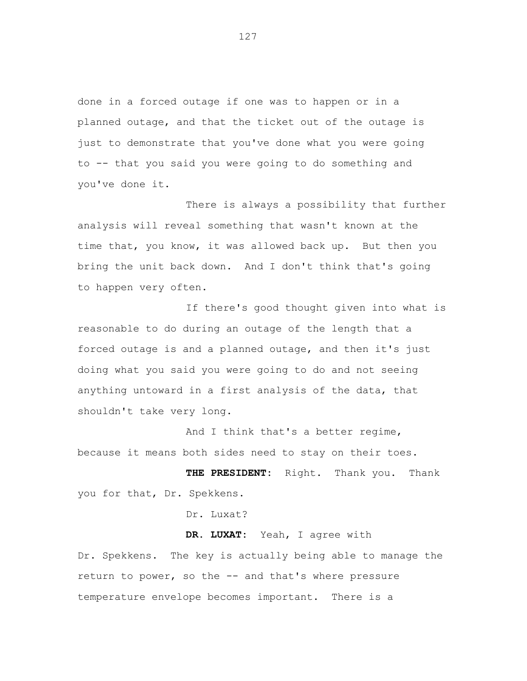done in a forced outage if one was to happen or in a planned outage, and that the ticket out of the outage is just to demonstrate that you've done what you were going to -- that you said you were going to do something and you've done it.

There is always a possibility that further analysis will reveal something that wasn't known at the time that, you know, it was allowed back up. But then you bring the unit back down. And I don't think that's going to happen very often.

If there's good thought given into what is reasonable to do during an outage of the length that a forced outage is and a planned outage, and then it's just doing what you said you were going to do and not seeing anything untoward in a first analysis of the data, that shouldn't take very long.

And I think that's a better regime, because it means both sides need to stay on their toes.

**THE PRESIDENT:** Right. Thank you. Thank you for that, Dr. Spekkens.

Dr. Luxat?

**DR. LUXAT:** Yeah, I agree with

Dr. Spekkens. The key is actually being able to manage the return to power, so the -- and that's where pressure temperature envelope becomes important. There is a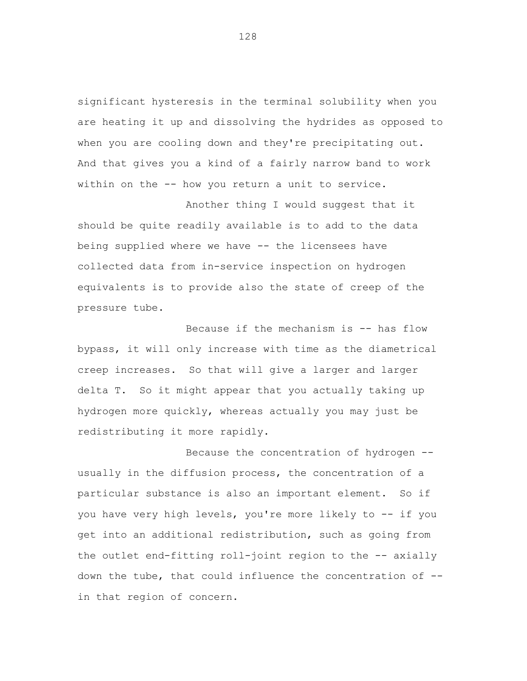significant hysteresis in the terminal solubility when you are heating it up and dissolving the hydrides as opposed to when you are cooling down and they're precipitating out. And that gives you a kind of a fairly narrow band to work within on the -- how you return a unit to service.

Another thing I would suggest that it should be quite readily available is to add to the data being supplied where we have -- the licensees have collected data from in-service inspection on hydrogen equivalents is to provide also the state of creep of the pressure tube.

Because if the mechanism is -- has flow bypass, it will only increase with time as the diametrical creep increases. So that will give a larger and larger delta T. So it might appear that you actually taking up hydrogen more quickly, whereas actually you may just be redistributing it more rapidly.

Because the concentration of hydrogen - usually in the diffusion process, the concentration of a particular substance is also an important element. So if you have very high levels, you're more likely to -- if you get into an additional redistribution, such as going from the outlet end-fitting roll-joint region to the -- axially down the tube, that could influence the concentration of - in that region of concern.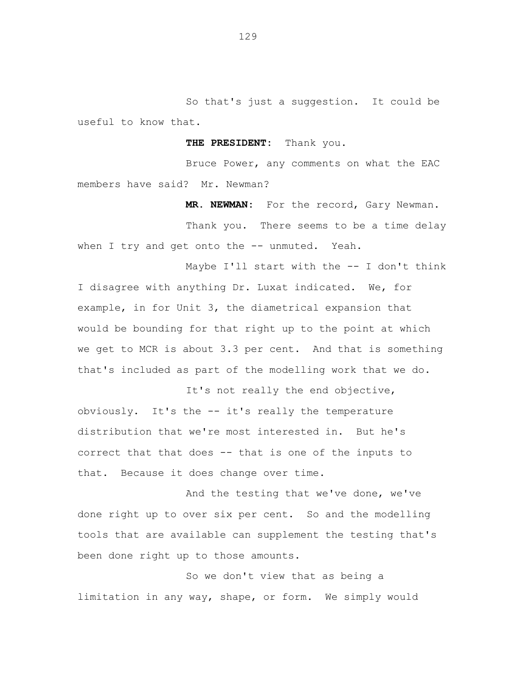So that's just a suggestion. It could be useful to know that.

**THE PRESIDENT:** Thank you.

Bruce Power, any comments on what the EAC members have said? Mr. Newman?

**MR. NEWMAN:** For the record, Gary Newman.

Thank you. There seems to be a time delay when I try and get onto the -- unmuted. Yeah.

Maybe I'll start with the -- I don't think I disagree with anything Dr. Luxat indicated. We, for example, in for Unit 3, the diametrical expansion that would be bounding for that right up to the point at which we get to MCR is about 3.3 per cent. And that is something that's included as part of the modelling work that we do.

It's not really the end objective, obviously. It's the -- it's really the temperature distribution that we're most interested in. But he's correct that that does -- that is one of the inputs to that. Because it does change over time.

And the testing that we've done, we've done right up to over six per cent. So and the modelling tools that are available can supplement the testing that's been done right up to those amounts.

So we don't view that as being a limitation in any way, shape, or form. We simply would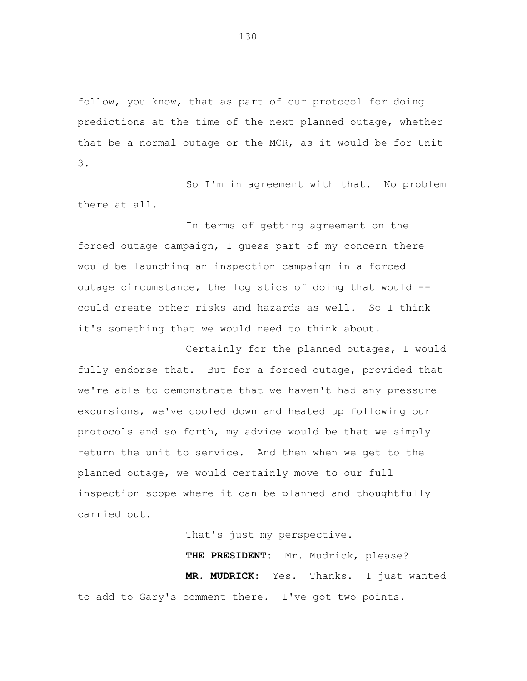follow, you know, that as part of our protocol for doing predictions at the time of the next planned outage, whether that be a normal outage or the MCR, as it would be for Unit 3.

So I'm in agreement with that. No problem there at all.

In terms of getting agreement on the forced outage campaign, I guess part of my concern there would be launching an inspection campaign in a forced outage circumstance, the logistics of doing that would - could create other risks and hazards as well. So I think it's something that we would need to think about.

Certainly for the planned outages, I would fully endorse that. But for a forced outage, provided that we're able to demonstrate that we haven't had any pressure excursions, we've cooled down and heated up following our protocols and so forth, my advice would be that we simply return the unit to service. And then when we get to the planned outage, we would certainly move to our full inspection scope where it can be planned and thoughtfully carried out.

That's just my perspective.

**THE PRESIDENT:** Mr. Mudrick, please? **MR. MUDRICK:** Yes. Thanks. I just wanted to add to Gary's comment there. I've got two points.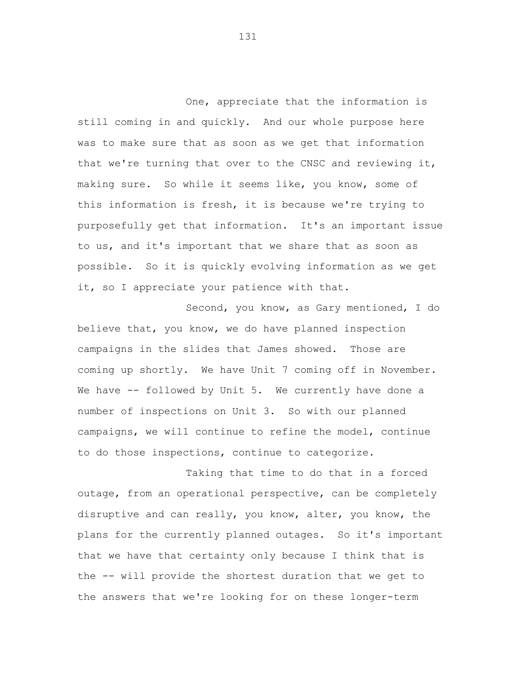One, appreciate that the information is still coming in and quickly. And our whole purpose here was to make sure that as soon as we get that information that we're turning that over to the CNSC and reviewing it, making sure. So while it seems like, you know, some of this information is fresh, it is because we're trying to purposefully get that information. It's an important issue to us, and it's important that we share that as soon as possible. So it is quickly evolving information as we get it, so I appreciate your patience with that.

Second, you know, as Gary mentioned, I do believe that, you know, we do have planned inspection campaigns in the slides that James showed. Those are coming up shortly. We have Unit 7 coming off in November. We have -- followed by Unit 5. We currently have done a number of inspections on Unit 3. So with our planned campaigns, we will continue to refine the model, continue to do those inspections, continue to categorize.

Taking that time to do that in a forced outage, from an operational perspective, can be completely disruptive and can really, you know, alter, you know, the plans for the currently planned outages. So it's important that we have that certainty only because I think that is the -- will provide the shortest duration that we get to the answers that we're looking for on these longer-term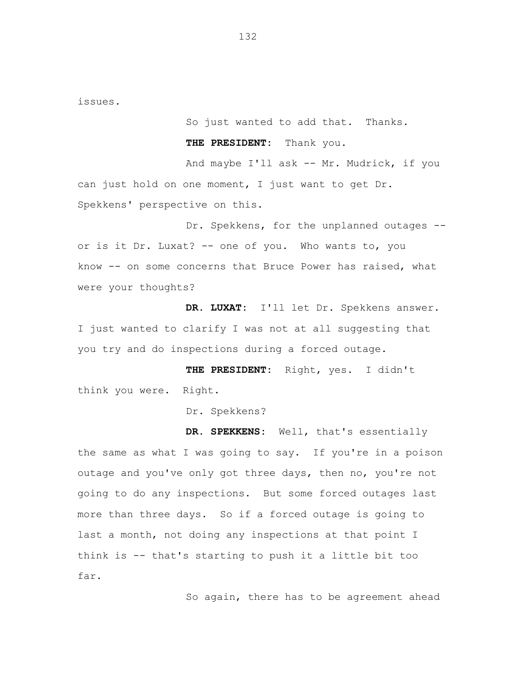issues.

So just wanted to add that. Thanks.

**THE PRESIDENT:** Thank you.

And maybe I'll ask -- Mr. Mudrick, if you can just hold on one moment, I just want to get Dr. Spekkens' perspective on this.

Dr. Spekkens, for the unplanned outages - or is it Dr. Luxat? -- one of you. Who wants to, you know -- on some concerns that Bruce Power has raised, what were your thoughts?

**DR. LUXAT:** I'll let Dr. Spekkens answer. I just wanted to clarify I was not at all suggesting that you try and do inspections during a forced outage.

**THE PRESIDENT:** Right, yes. I didn't think you were. Right.

Dr. Spekkens?

**DR. SPEKKENS:** Well, that's essentially the same as what I was going to say. If you're in a poison outage and you've only got three days, then no, you're not going to do any inspections. But some forced outages last more than three days. So if a forced outage is going to last a month, not doing any inspections at that point I think is -- that's starting to push it a little bit too far.

So again, there has to be agreement ahead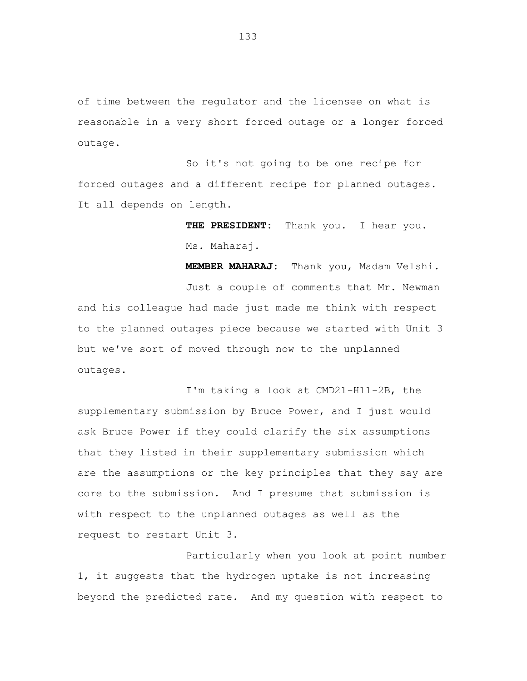of time between the regulator and the licensee on what is reasonable in a very short forced outage or a longer forced outage.

So it's not going to be one recipe for forced outages and a different recipe for planned outages. It all depends on length.

> **THE PRESIDENT:** Thank you. I hear you. Ms. Maharaj.

**MEMBER MAHARAJ:** Thank you, Madam Velshi. Just a couple of comments that Mr. Newman and his colleague had made just made me think with respect to the planned outages piece because we started with Unit 3 but we've sort of moved through now to the unplanned outages.

I'm taking a look at CMD21-H11-2B, the supplementary submission by Bruce Power, and I just would ask Bruce Power if they could clarify the six assumptions that they listed in their supplementary submission which are the assumptions or the key principles that they say are core to the submission. And I presume that submission is with respect to the unplanned outages as well as the request to restart Unit 3.

Particularly when you look at point number 1, it suggests that the hydrogen uptake is not increasing beyond the predicted rate. And my question with respect to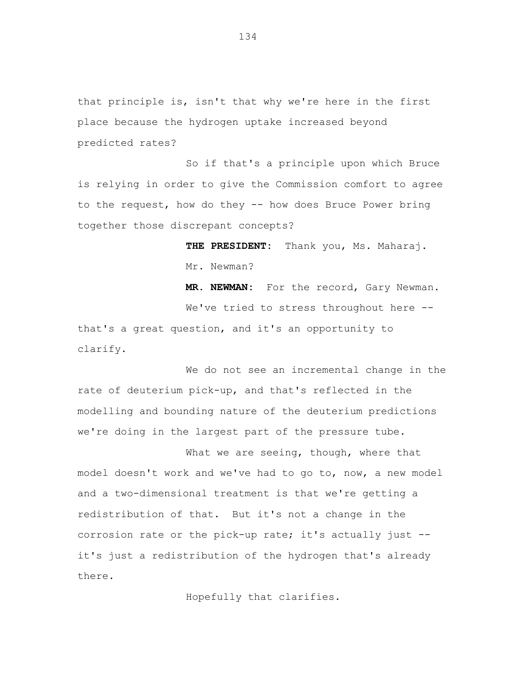that principle is, isn't that why we're here in the first place because the hydrogen uptake increased beyond predicted rates?

So if that's a principle upon which Bruce is relying in order to give the Commission comfort to agree to the request, how do they -- how does Bruce Power bring together those discrepant concepts?

> **THE PRESIDENT:** Thank you, Ms. Maharaj. Mr. Newman?

**MR. NEWMAN:** For the record, Gary Newman. We've tried to stress throughout here -that's a great question, and it's an opportunity to clarify.

We do not see an incremental change in the rate of deuterium pick-up, and that's reflected in the modelling and bounding nature of the deuterium predictions we're doing in the largest part of the pressure tube.

What we are seeing, though, where that model doesn't work and we've had to go to, now, a new model and a two-dimensional treatment is that we're getting a redistribution of that. But it's not a change in the corrosion rate or the pick-up rate; it's actually just - it's just a redistribution of the hydrogen that's already there.

Hopefully that clarifies.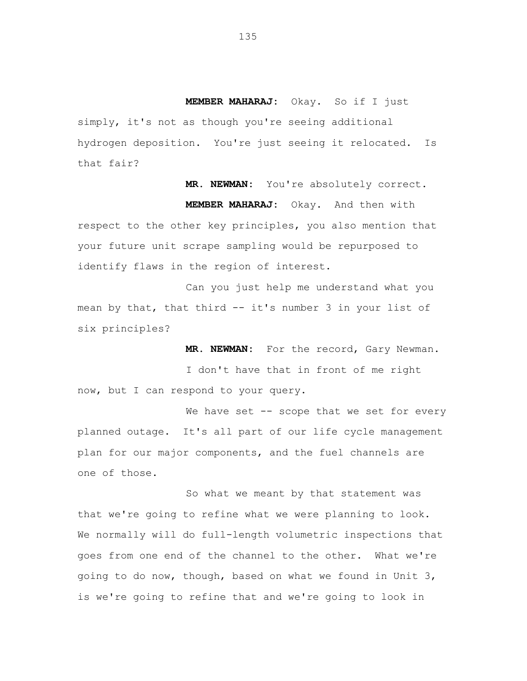**MEMBER MAHARAJ:** Okay. So if I just simply, it's not as though you're seeing additional hydrogen deposition. You're just seeing it relocated. Is that fair?

**MR. NEWMAN:** You're absolutely correct. **MEMBER MAHARAJ:** Okay. And then with respect to the other key principles, you also mention that your future unit scrape sampling would be repurposed to identify flaws in the region of interest.

Can you just help me understand what you mean by that, that third -- it's number 3 in your list of six principles?

**MR. NEWMAN:** For the record, Gary Newman. I don't have that in front of me right now, but I can respond to your query.

We have set -- scope that we set for every planned outage. It's all part of our life cycle management plan for our major components, and the fuel channels are one of those.

So what we meant by that statement was that we're going to refine what we were planning to look. We normally will do full-length volumetric inspections that goes from one end of the channel to the other. What we're going to do now, though, based on what we found in Unit 3, is we're going to refine that and we're going to look in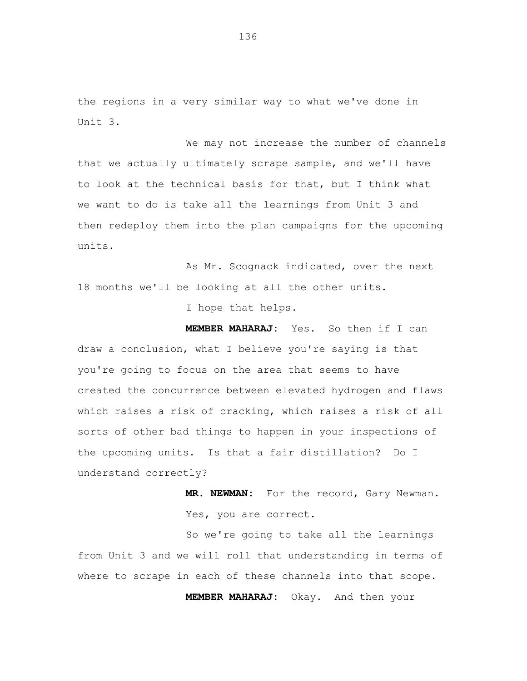the regions in a very similar way to what we've done in Unit 3.

We may not increase the number of channels that we actually ultimately scrape sample, and we'll have to look at the technical basis for that, but I think what we want to do is take all the learnings from Unit 3 and then redeploy them into the plan campaigns for the upcoming units.

As Mr. Scognack indicated, over the next 18 months we'll be looking at all the other units.

I hope that helps.

**MEMBER MAHARAJ:** Yes. So then if I can draw a conclusion, what I believe you're saying is that you're going to focus on the area that seems to have created the concurrence between elevated hydrogen and flaws which raises a risk of cracking, which raises a risk of all sorts of other bad things to happen in your inspections of the upcoming units. Is that a fair distillation? Do I understand correctly?

> **MR. NEWMAN:** For the record, Gary Newman. Yes, you are correct.

So we're going to take all the learnings from Unit 3 and we will roll that understanding in terms of where to scrape in each of these channels into that scope.

**MEMBER MAHARAJ:** Okay. And then your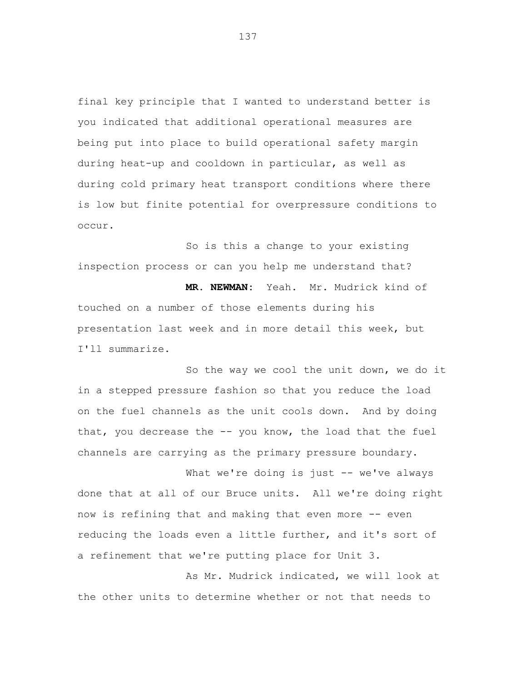final key principle that I wanted to understand better is you indicated that additional operational measures are being put into place to build operational safety margin during heat-up and cooldown in particular, as well as during cold primary heat transport conditions where there is low but finite potential for overpressure conditions to occur.

So is this a change to your existing inspection process or can you help me understand that?

**MR. NEWMAN:** Yeah. Mr. Mudrick kind of touched on a number of those elements during his presentation last week and in more detail this week, but I'll summarize.

So the way we cool the unit down, we do it in a stepped pressure fashion so that you reduce the load on the fuel channels as the unit cools down. And by doing that, you decrease the -- you know, the load that the fuel channels are carrying as the primary pressure boundary.

What we're doing is just -- we've always done that at all of our Bruce units. All we're doing right now is refining that and making that even more -- even reducing the loads even a little further, and it's sort of a refinement that we're putting place for Unit 3.

As Mr. Mudrick indicated, we will look at the other units to determine whether or not that needs to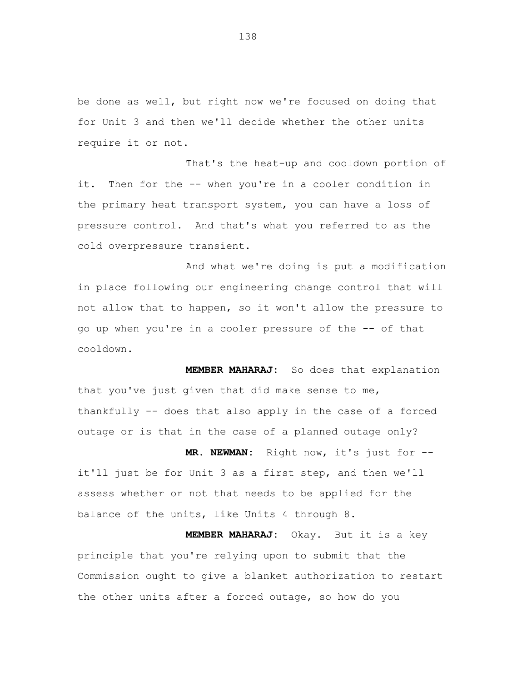be done as well, but right now we're focused on doing that for Unit 3 and then we'll decide whether the other units require it or not.

That's the heat-up and cooldown portion of it. Then for the -- when you're in a cooler condition in the primary heat transport system, you can have a loss of pressure control. And that's what you referred to as the cold overpressure transient.

And what we're doing is put a modification in place following our engineering change control that will not allow that to happen, so it won't allow the pressure to go up when you're in a cooler pressure of the -- of that cooldown.

**MEMBER MAHARAJ:** So does that explanation that you've just given that did make sense to me, thankfully -- does that also apply in the case of a forced outage or is that in the case of a planned outage only?

**MR. NEWMAN:** Right now, it's just for - it'll just be for Unit 3 as a first step, and then we'll assess whether or not that needs to be applied for the balance of the units, like Units 4 through 8.

**MEMBER MAHARAJ:** Okay. But it is a key principle that you're relying upon to submit that the Commission ought to give a blanket authorization to restart the other units after a forced outage, so how do you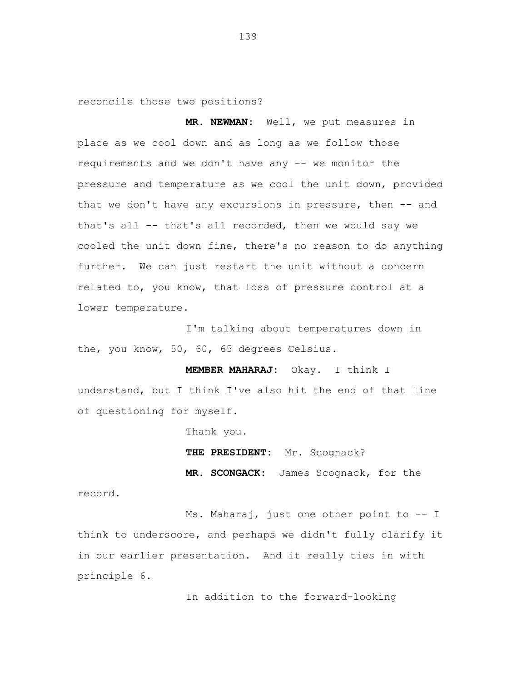reconcile those two positions?

**MR. NEWMAN:** Well, we put measures in place as we cool down and as long as we follow those requirements and we don't have any -- we monitor the pressure and temperature as we cool the unit down, provided that we don't have any excursions in pressure, then -- and that's all -- that's all recorded, then we would say we cooled the unit down fine, there's no reason to do anything further. We can just restart the unit without a concern related to, you know, that loss of pressure control at a lower temperature.

I'm talking about temperatures down in the, you know, 50, 60, 65 degrees Celsius.

**MEMBER MAHARAJ:** Okay. I think I understand, but I think I've also hit the end of that line of questioning for myself.

Thank you.

**THE PRESIDENT:** Mr. Scognack?

**MR. SCONGACK:** James Scognack, for the

record.

Ms. Maharaj, just one other point to -- I think to underscore, and perhaps we didn't fully clarify it in our earlier presentation. And it really ties in with principle 6.

In addition to the forward-looking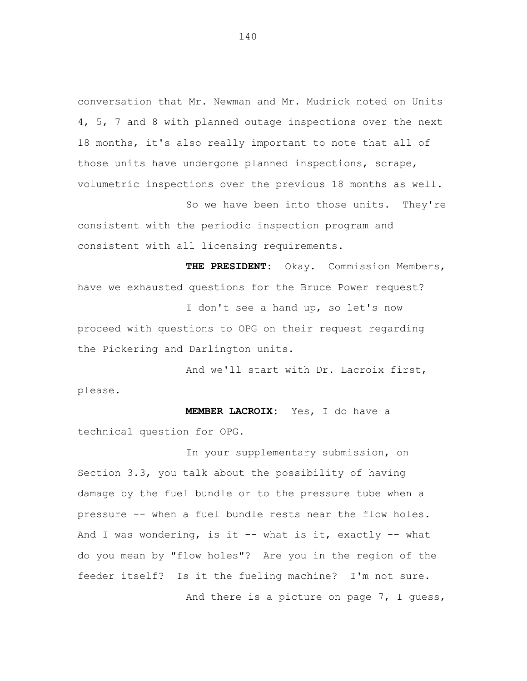conversation that Mr. Newman and Mr. Mudrick noted on Units 4, 5, 7 and 8 with planned outage inspections over the next 18 months, it's also really important to note that all of those units have undergone planned inspections, scrape, volumetric inspections over the previous 18 months as well.

So we have been into those units. They're consistent with the periodic inspection program and consistent with all licensing requirements.

**THE PRESIDENT:** Okay. Commission Members, have we exhausted questions for the Bruce Power request?

I don't see a hand up, so let's now proceed with questions to OPG on their request regarding the Pickering and Darlington units.

And we'll start with Dr. Lacroix first, please.

**MEMBER LACROIX:** Yes, I do have a technical question for OPG.

In your supplementary submission, on Section 3.3, you talk about the possibility of having damage by the fuel bundle or to the pressure tube when a pressure -- when a fuel bundle rests near the flow holes. And I was wondering, is it -- what is it, exactly -- what do you mean by "flow holes"? Are you in the region of the feeder itself? Is it the fueling machine? I'm not sure. And there is a picture on page 7, I guess,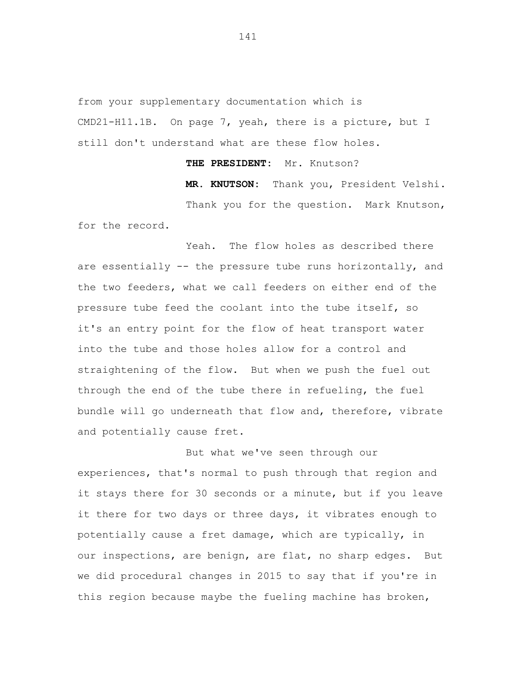from your supplementary documentation which is CMD21-H11.1B. On page 7, yeah, there is a picture, but I still don't understand what are these flow holes.

**THE PRESIDENT:** Mr. Knutson?

**MR. KNUTSON:** Thank you, President Velshi. Thank you for the question. Mark Knutson, for the record.

Yeah. The flow holes as described there are essentially -- the pressure tube runs horizontally, and the two feeders, what we call feeders on either end of the pressure tube feed the coolant into the tube itself, so it's an entry point for the flow of heat transport water into the tube and those holes allow for a control and straightening of the flow. But when we push the fuel out through the end of the tube there in refueling, the fuel bundle will go underneath that flow and, therefore, vibrate and potentially cause fret.

But what we've seen through our experiences, that's normal to push through that region and it stays there for 30 seconds or a minute, but if you leave it there for two days or three days, it vibrates enough to potentially cause a fret damage, which are typically, in our inspections, are benign, are flat, no sharp edges. But we did procedural changes in 2015 to say that if you're in this region because maybe the fueling machine has broken,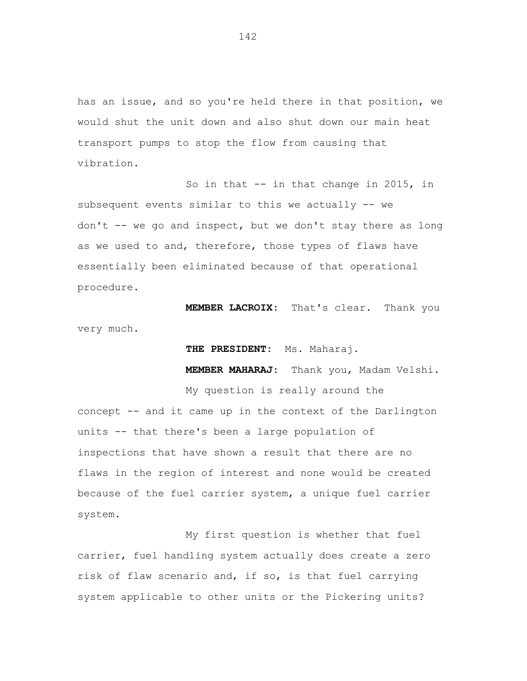has an issue, and so you're held there in that position, we would shut the unit down and also shut down our main heat transport pumps to stop the flow from causing that vibration.

So in that -- in that change in 2015, in subsequent events similar to this we actually -- we don't -- we go and inspect, but we don't stay there as long as we used to and, therefore, those types of flaws have essentially been eliminated because of that operational procedure.

**MEMBER LACROIX:** That's clear. Thank you very much.

**THE PRESIDENT:** Ms. Maharaj.

My question is really around the

**MEMBER MAHARAJ:** Thank you, Madam Velshi.

concept -- and it came up in the context of the Darlington units -- that there's been a large population of inspections that have shown a result that there are no flaws in the region of interest and none would be created because of the fuel carrier system, a unique fuel carrier system.

My first question is whether that fuel carrier, fuel handling system actually does create a zero risk of flaw scenario and, if so, is that fuel carrying system applicable to other units or the Pickering units?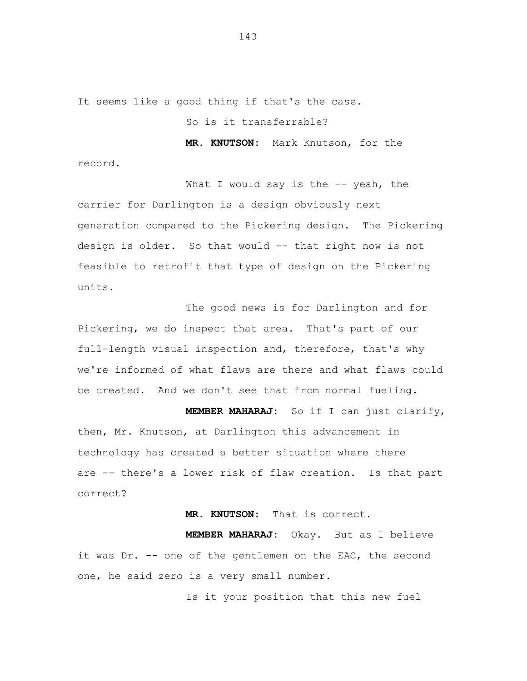It seems like a good thing if that's the case.

record.

So is it transferrable?

**MR. KNUTSON:** Mark Knutson, for the

What I would say is the  $-$ - yeah, the carrier for Darlington is a design obviously next generation compared to the Pickering design. The Pickering design is older. So that would -- that right now is not feasible to retrofit that type of design on the Pickering units.

The good news is for Darlington and for Pickering, we do inspect that area. That's part of our full-length visual inspection and, therefore, that's why we're informed of what flaws are there and what flaws could be created. And we don't see that from normal fueling.

**MEMBER MAHARAJ:** So if I can just clarify, then, Mr. Knutson, at Darlington this advancement in technology has created a better situation where there are -- there's a lower risk of flaw creation. Is that part correct?

## **MR. KNUTSON:** That is correct.

**MEMBER MAHARAJ:** Okay. But as I believe it was Dr. -- one of the gentlemen on the EAC, the second one, he said zero is a very small number.

Is it your position that this new fuel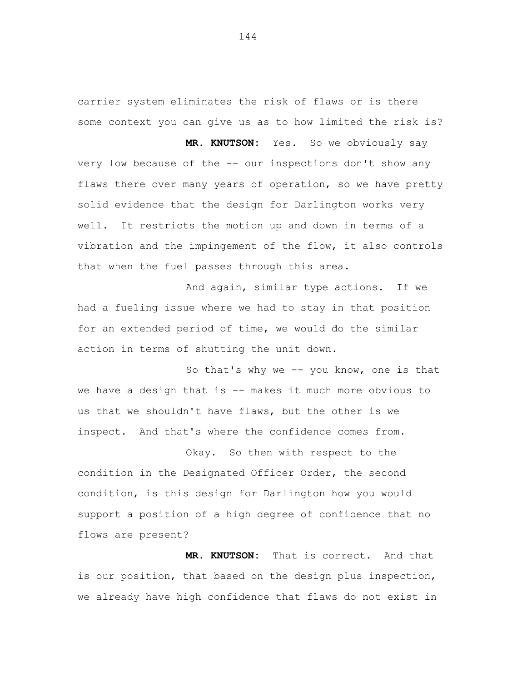carrier system eliminates the risk of flaws or is there some context you can give us as to how limited the risk is?

**MR. KNUTSON:** Yes. So we obviously say very low because of the -- our inspections don't show any flaws there over many years of operation, so we have pretty solid evidence that the design for Darlington works very well. It restricts the motion up and down in terms of a vibration and the impingement of the flow, it also controls that when the fuel passes through this area.

And again, similar type actions. If we had a fueling issue where we had to stay in that position for an extended period of time, we would do the similar action in terms of shutting the unit down.

So that's why we -- you know, one is that we have a design that is -- makes it much more obvious to us that we shouldn't have flaws, but the other is we inspect. And that's where the confidence comes from.

Okay. So then with respect to the condition in the Designated Officer Order, the second condition, is this design for Darlington how you would support a position of a high degree of confidence that no flows are present?

**MR. KNUTSON:** That is correct. And that is our position, that based on the design plus inspection, we already have high confidence that flaws do not exist in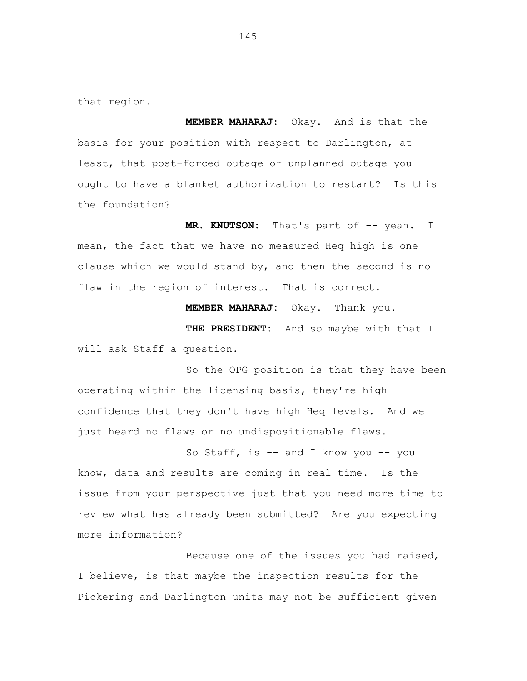that region.

**MEMBER MAHARAJ:** Okay. And is that the basis for your position with respect to Darlington, at least, that post-forced outage or unplanned outage you ought to have a blanket authorization to restart? Is this the foundation?

**MR. KNUTSON:** That's part of -- yeah. I mean, the fact that we have no measured Heq high is one clause which we would stand by, and then the second is no flaw in the region of interest. That is correct.

**MEMBER MAHARAJ:** Okay. Thank you.

**THE PRESIDENT:** And so maybe with that I will ask Staff a question.

So the OPG position is that they have been operating within the licensing basis, they're high confidence that they don't have high Heq levels. And we just heard no flaws or no undispositionable flaws.

So Staff, is -- and I know you -- you know, data and results are coming in real time. Is the issue from your perspective just that you need more time to review what has already been submitted? Are you expecting more information?

Because one of the issues you had raised, I believe, is that maybe the inspection results for the Pickering and Darlington units may not be sufficient given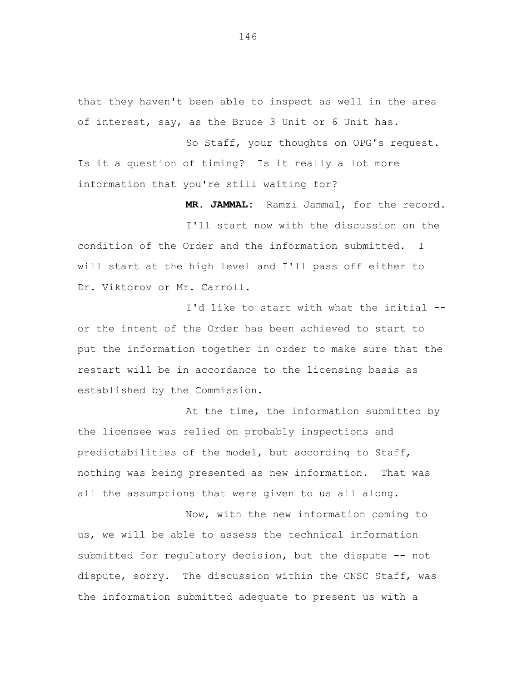that they haven't been able to inspect as well in the area of interest, say, as the Bruce 3 Unit or 6 Unit has.

So Staff, your thoughts on OPG's request. Is it a question of timing? Is it really a lot more information that you're still waiting for?

**MR. JAMMAL:** Ramzi Jammal, for the record.

I'll start now with the discussion on the condition of the Order and the information submitted. I will start at the high level and I'll pass off either to Dr. Viktorov or Mr. Carroll.

I'd like to start with what the initial - or the intent of the Order has been achieved to start to put the information together in order to make sure that the restart will be in accordance to the licensing basis as established by the Commission.

At the time, the information submitted by the licensee was relied on probably inspections and predictabilities of the model, but according to Staff, nothing was being presented as new information. That was all the assumptions that were given to us all along.

Now, with the new information coming to us, we will be able to assess the technical information submitted for regulatory decision, but the dispute -- not dispute, sorry. The discussion within the CNSC Staff, was the information submitted adequate to present us with a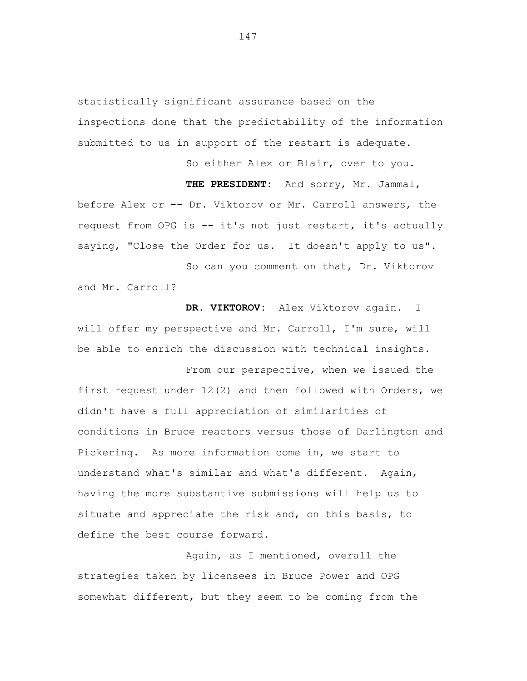statistically significant assurance based on the inspections done that the predictability of the information submitted to us in support of the restart is adequate.

So either Alex or Blair, over to you.

**THE PRESIDENT:** And sorry, Mr. Jammal,

before Alex or -- Dr. Viktorov or Mr. Carroll answers, the request from OPG is -- it's not just restart, it's actually saying, "Close the Order for us. It doesn't apply to us".

So can you comment on that, Dr. Viktorov and Mr. Carroll?

**DR. VIKTOROV:** Alex Viktorov again. I will offer my perspective and Mr. Carroll, I'm sure, will be able to enrich the discussion with technical insights.

From our perspective, when we issued the first request under 12(2) and then followed with Orders, we didn't have a full appreciation of similarities of conditions in Bruce reactors versus those of Darlington and Pickering. As more information come in, we start to understand what's similar and what's different. Again, having the more substantive submissions will help us to situate and appreciate the risk and, on this basis, to define the best course forward.

Again, as I mentioned, overall the strategies taken by licensees in Bruce Power and OPG somewhat different, but they seem to be coming from the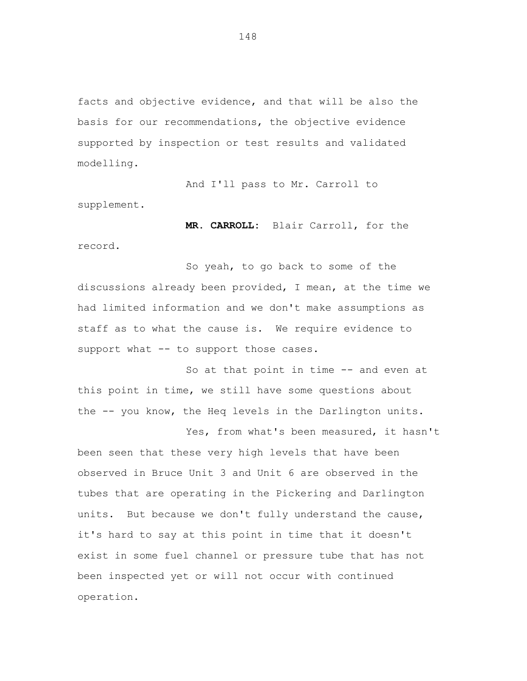facts and objective evidence, and that will be also the basis for our recommendations, the objective evidence supported by inspection or test results and validated modelling.

And I'll pass to Mr. Carroll to supplement.

**MR. CARROLL:** Blair Carroll, for the record.

So yeah, to go back to some of the discussions already been provided, I mean, at the time we had limited information and we don't make assumptions as staff as to what the cause is. We require evidence to support what -- to support those cases.

So at that point in time -- and even at this point in time, we still have some questions about the -- you know, the Heq levels in the Darlington units.

Yes, from what's been measured, it hasn't been seen that these very high levels that have been observed in Bruce Unit 3 and Unit 6 are observed in the tubes that are operating in the Pickering and Darlington units. But because we don't fully understand the cause, it's hard to say at this point in time that it doesn't exist in some fuel channel or pressure tube that has not been inspected yet or will not occur with continued operation.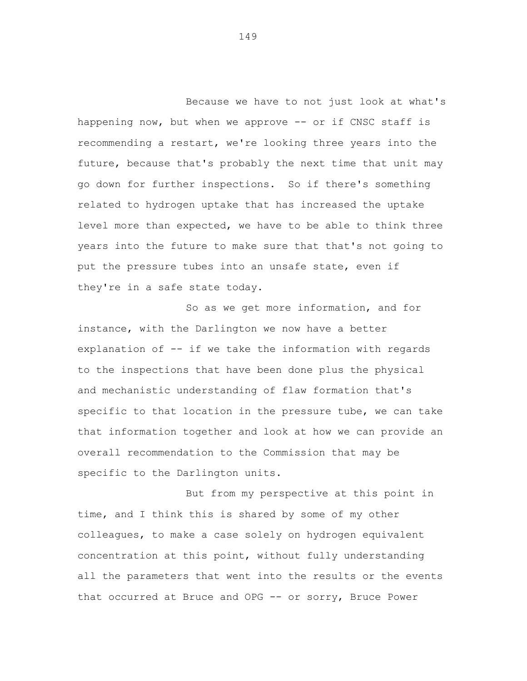Because we have to not just look at what's happening now, but when we approve -- or if CNSC staff is recommending a restart, we're looking three years into the future, because that's probably the next time that unit may go down for further inspections. So if there's something related to hydrogen uptake that has increased the uptake level more than expected, we have to be able to think three years into the future to make sure that that's not going to put the pressure tubes into an unsafe state, even if they're in a safe state today.

So as we get more information, and for instance, with the Darlington we now have a better explanation of -- if we take the information with regards to the inspections that have been done plus the physical and mechanistic understanding of flaw formation that's specific to that location in the pressure tube, we can take that information together and look at how we can provide an overall recommendation to the Commission that may be specific to the Darlington units.

But from my perspective at this point in time, and I think this is shared by some of my other colleagues, to make a case solely on hydrogen equivalent concentration at this point, without fully understanding all the parameters that went into the results or the events that occurred at Bruce and OPG -- or sorry, Bruce Power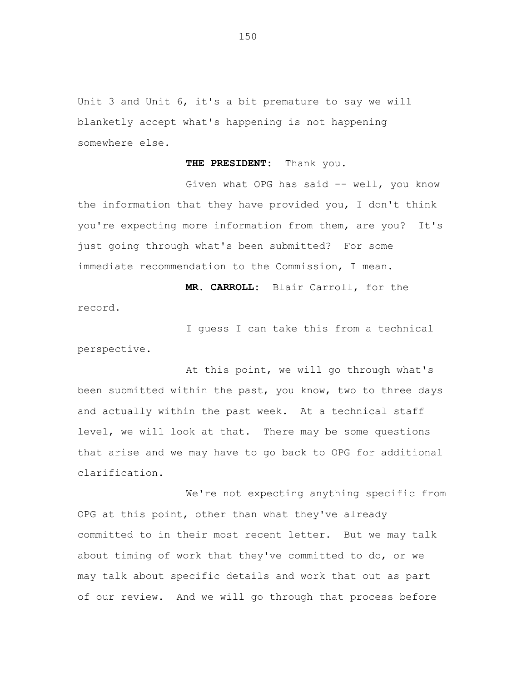Unit 3 and Unit 6, it's a bit premature to say we will blanketly accept what's happening is not happening somewhere else.

**THE PRESIDENT:** Thank you.

Given what OPG has said -- well, you know the information that they have provided you, I don't think you're expecting more information from them, are you? It's just going through what's been submitted? For some immediate recommendation to the Commission, I mean.

**MR. CARROLL:** Blair Carroll, for the

I guess I can take this from a technical perspective.

record.

At this point, we will go through what's been submitted within the past, you know, two to three days and actually within the past week. At a technical staff level, we will look at that. There may be some questions that arise and we may have to go back to OPG for additional clarification.

We're not expecting anything specific from OPG at this point, other than what they've already committed to in their most recent letter. But we may talk about timing of work that they've committed to do, or we may talk about specific details and work that out as part of our review. And we will go through that process before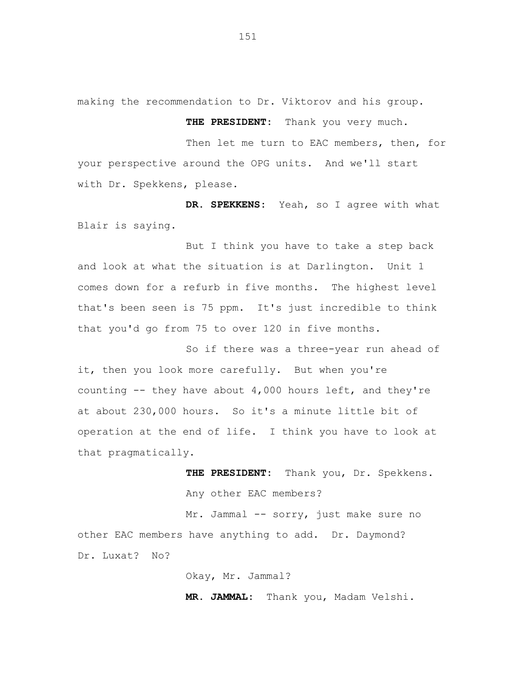making the recommendation to Dr. Viktorov and his group.

**THE PRESIDENT:** Thank you very much.

Then let me turn to EAC members, then, for your perspective around the OPG units. And we'll start with Dr. Spekkens, please.

**DR. SPEKKENS:** Yeah, so I agree with what Blair is saying.

But I think you have to take a step back and look at what the situation is at Darlington. Unit 1 comes down for a refurb in five months. The highest level that's been seen is 75 ppm. It's just incredible to think that you'd go from 75 to over 120 in five months.

So if there was a three-year run ahead of it, then you look more carefully. But when you're counting  $-$  they have about 4,000 hours left, and they're at about 230,000 hours. So it's a minute little bit of operation at the end of life. I think you have to look at that pragmatically.

> **THE PRESIDENT:** Thank you, Dr. Spekkens. Any other EAC members?

Mr. Jammal -- sorry, just make sure no other EAC members have anything to add. Dr. Daymond? Dr. Luxat? No?

Okay, Mr. Jammal?

**MR. JAMMAL:** Thank you, Madam Velshi.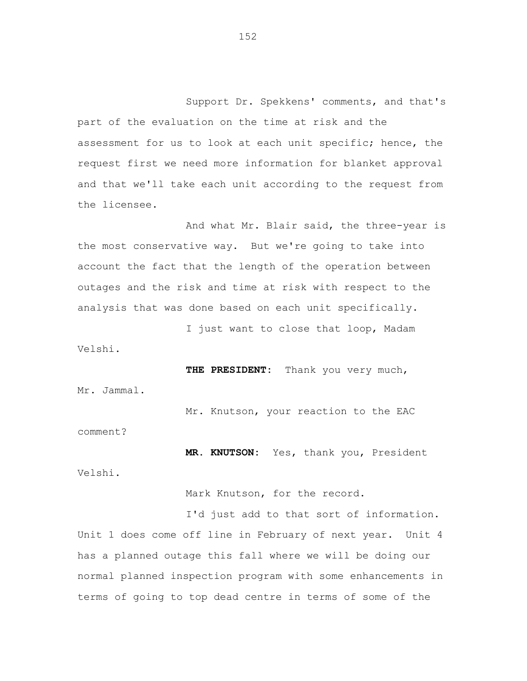Support Dr. Spekkens' comments, and that's part of the evaluation on the time at risk and the assessment for us to look at each unit specific; hence, the request first we need more information for blanket approval and that we'll take each unit according to the request from the licensee.

And what Mr. Blair said, the three-year is the most conservative way. But we're going to take into account the fact that the length of the operation between outages and the risk and time at risk with respect to the analysis that was done based on each unit specifically.

I just want to close that loop, Madam Velshi.

**THE PRESIDENT:** Thank you very much,

Mr. Jammal.

comment?

Mr. Knutson, your reaction to the EAC

**MR. KNUTSON:** Yes, thank you, President Velshi.

Mark Knutson, for the record.

I'd just add to that sort of information. Unit 1 does come off line in February of next year. Unit 4 has a planned outage this fall where we will be doing our normal planned inspection program with some enhancements in terms of going to top dead centre in terms of some of the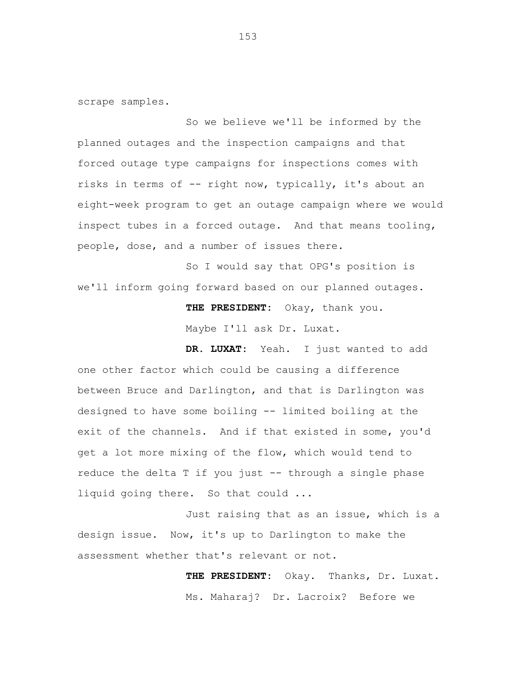scrape samples.

So we believe we'll be informed by the planned outages and the inspection campaigns and that forced outage type campaigns for inspections comes with risks in terms of -- right now, typically, it's about an eight-week program to get an outage campaign where we would inspect tubes in a forced outage. And that means tooling, people, dose, and a number of issues there.

So I would say that OPG's position is we'll inform going forward based on our planned outages.

> **THE PRESIDENT:** Okay, thank you. Maybe I'll ask Dr. Luxat.

**DR. LUXAT:** Yeah. I just wanted to add one other factor which could be causing a difference between Bruce and Darlington, and that is Darlington was designed to have some boiling -- limited boiling at the exit of the channels. And if that existed in some, you'd get a lot more mixing of the flow, which would tend to reduce the delta T if you just -- through a single phase liquid going there. So that could ...

Just raising that as an issue, which is a design issue. Now, it's up to Darlington to make the assessment whether that's relevant or not.

> **THE PRESIDENT:** Okay. Thanks, Dr. Luxat. Ms. Maharaj? Dr. Lacroix? Before we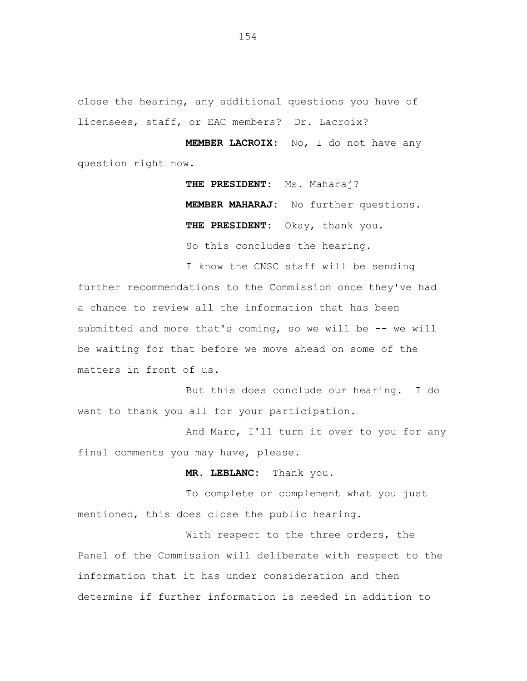close the hearing, any additional questions you have of licensees, staff, or EAC members? Dr. Lacroix?

**MEMBER LACROIX:** No, I do not have any question right now.

> **THE PRESIDENT:** Ms. Maharaj? **MEMBER MAHARAJ:** No further questions. **THE PRESIDENT:** Okay, thank you. So this concludes the hearing.

I know the CNSC staff will be sending further recommendations to the Commission once they've had a chance to review all the information that has been submitted and more that's coming, so we will be -- we will be waiting for that before we move ahead on some of the matters in front of us.

But this does conclude our hearing. I do want to thank you all for your participation.

And Marc, I'll turn it over to you for any final comments you may have, please.

**MR. LEBLANC:** Thank you.

To complete or complement what you just mentioned, this does close the public hearing.

With respect to the three orders, the Panel of the Commission will deliberate with respect to the information that it has under consideration and then determine if further information is needed in addition to